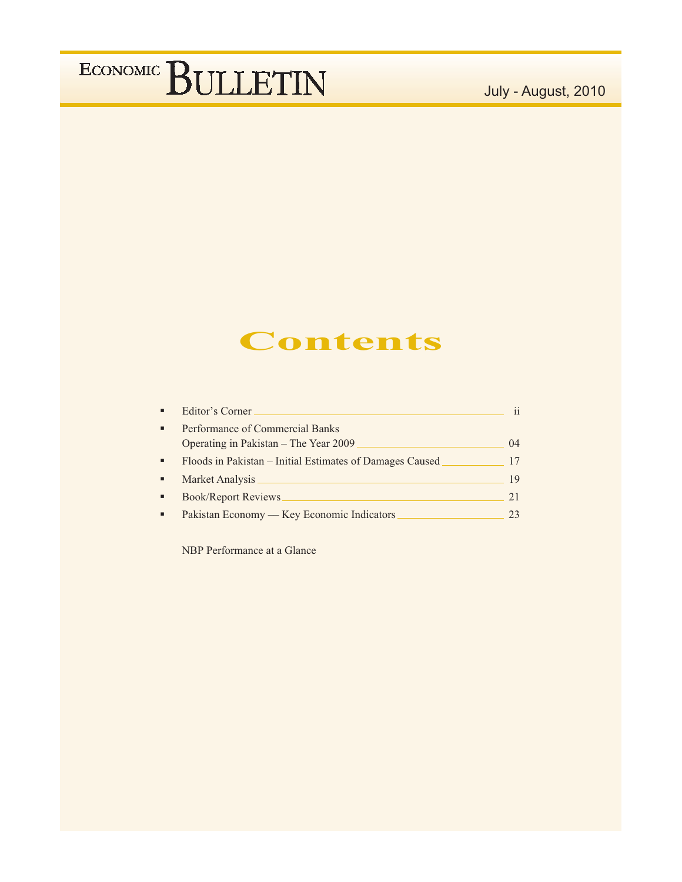### July - August, 2010

## **Contents**

|   | Editor's Corner                                                          | 11      |
|---|--------------------------------------------------------------------------|---------|
| п | Performance of Commercial Banks<br>Operating in Pakistan – The Year 2009 | $^{04}$ |
| п | Floods in Pakistan - Initial Estimates of Damages Caused                 | 17      |
|   | Market Analysis                                                          | 19      |
| п | <b>Book/Report Reviews</b>                                               | 21      |
|   | Pakistan Economy — Key Economic Indicators                               | 23      |

NBP Performance at a Glance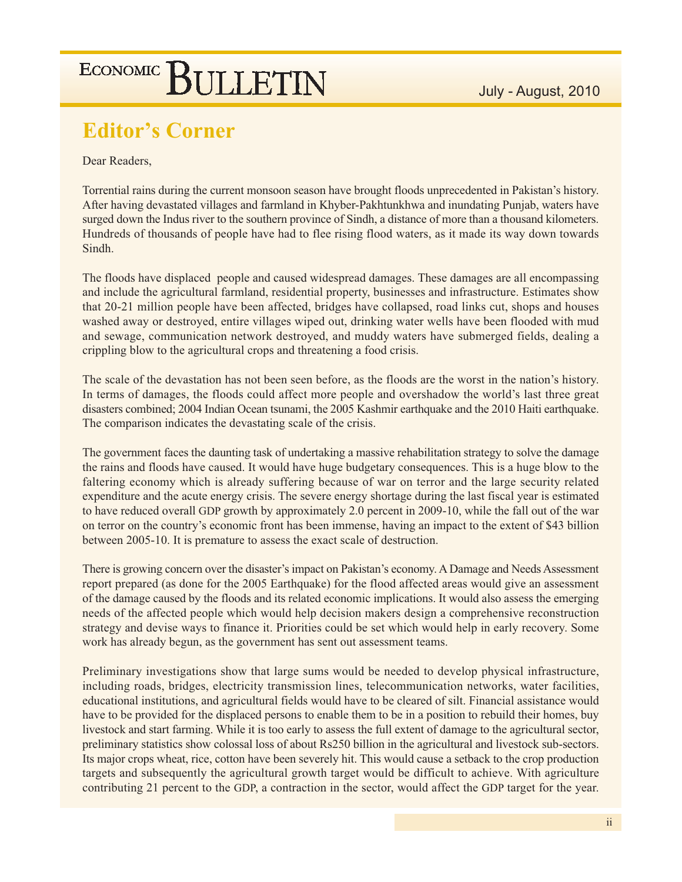## **Editor's Corner**

Dear Readers,

Torrential rains during the current monsoon season have brought floods unprecedented in Pakistan's history. After having devastated villages and farmland in Khyber-Pakhtunkhwa and inundating Punjab, waters have surged down the Indus river to the southern province of Sindh, a distance of more than a thousand kilometers. Hundreds of thousands of people have had to flee rising flood waters, as it made its way down towards Sindh.

The floods have displaced people and caused widespread damages. These damages are all encompassing and include the agricultural farmland, residential property, businesses and infrastructure. Estimates show that 20-21 million people have been affected, bridges have collapsed, road links cut, shops and houses washed away or destroyed, entire villages wiped out, drinking water wells have been flooded with mud and sewage, communication network destroyed, and muddy waters have submerged fields, dealing a crippling blow to the agricultural crops and threatening a food crisis.

The scale of the devastation has not been seen before, as the floods are the worst in the nation's history. In terms of damages, the floods could affect more people and overshadow the world's last three great disasters combined; 2004 Indian Ocean tsunami, the 2005 Kashmir earthquake and the 2010 Haiti earthquake. The comparison indicates the devastating scale of the crisis.

The government faces the daunting task of undertaking a massive rehabilitation strategy to solve the damage the rains and floods have caused. It would have huge budgetary consequences. This is a huge blow to the faltering economy which is already suffering because of war on terror and the large security related expenditure and the acute energy crisis. The severe energy shortage during the last fiscal year is estimated to have reduced overall GDP growth by approximately 2.0 percent in 2009-10, while the fall out of the war on terror on the country's economic front has been immense, having an impact to the extent of \$43 billion between 2005-10. It is premature to assess the exact scale of destruction.

There is growing concern over the disaster's impact on Pakistan's economy. A Damage and Needs Assessment report prepared (as done for the 2005 Earthquake) for the flood affected areas would give an assessment of the damage caused by the floods and its related economic implications. It would also assess the emerging needs of the affected people which would help decision makers design a comprehensive reconstruction strategy and devise ways to finance it. Priorities could be set which would help in early recovery. Some work has already begun, as the government has sent out assessment teams.

Preliminary investigations show that large sums would be needed to develop physical infrastructure, including roads, bridges, electricity transmission lines, telecommunication networks, water facilities, educational institutions, and agricultural fields would have to be cleared of silt. Financial assistance would have to be provided for the displaced persons to enable them to be in a position to rebuild their homes, buy livestock and start farming. While it is too early to assess the full extent of damage to the agricultural sector, preliminary statistics show colossal loss of about Rs250 billion in the agricultural and livestock sub-sectors. Its major crops wheat, rice, cotton have been severely hit. This would cause a setback to the crop production targets and subsequently the agricultural growth target would be difficult to achieve. With agriculture contributing 21 percent to the GDP, a contraction in the sector, would affect the GDP target for the year.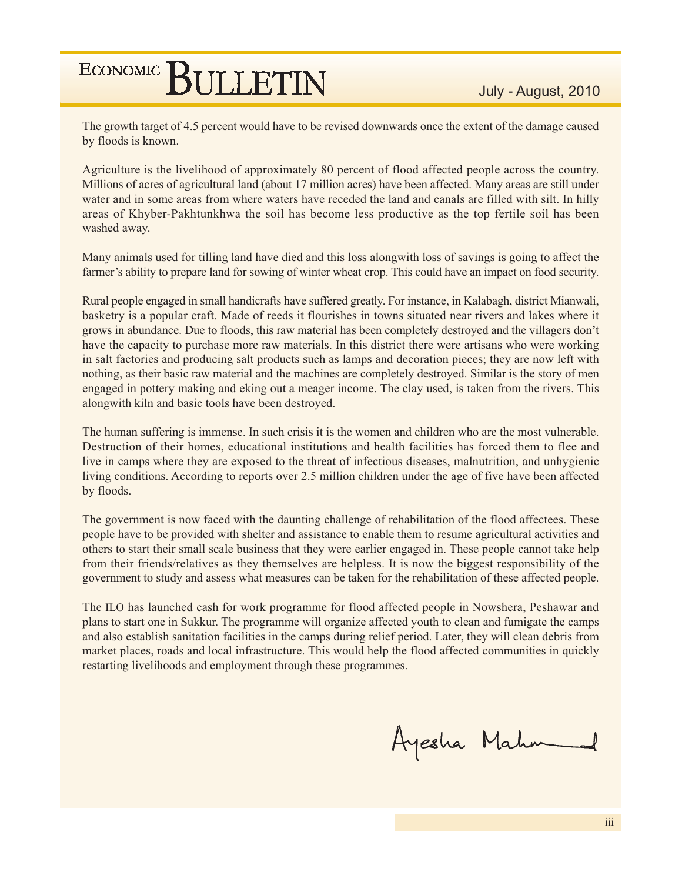The growth target of 4.5 percent would have to be revised downwards once the extent of the damage caused by floods is known.

Agriculture is the livelihood of approximately 80 percent of flood affected people across the country. Millions of acres of agricultural land (about 17 million acres) have been affected. Many areas are still under water and in some areas from where waters have receded the land and canals are filled with silt. In hilly areas of Khyber-Pakhtunkhwa the soil has become less productive as the top fertile soil has been washed away.

Many animals used for tilling land have died and this loss alongwith loss of savings is going to affect the farmer's ability to prepare land for sowing of winter wheat crop. This could have an impact on food security.

Rural people engaged in small handicrafts have suffered greatly. For instance, in Kalabagh, district Mianwali, basketry is a popular craft. Made of reeds it flourishes in towns situated near rivers and lakes where it grows in abundance. Due to floods, this raw material has been completely destroyed and the villagers don't have the capacity to purchase more raw materials. In this district there were artisans who were working in salt factories and producing salt products such as lamps and decoration pieces; they are now left with nothing, as their basic raw material and the machines are completely destroyed. Similar is the story of men engaged in pottery making and eking out a meager income. The clay used, is taken from the rivers. This alongwith kiln and basic tools have been destroyed.

The human suffering is immense. In such crisis it is the women and children who are the most vulnerable. Destruction of their homes, educational institutions and health facilities has forced them to flee and live in camps where they are exposed to the threat of infectious diseases, malnutrition, and unhygienic living conditions. According to reports over 2.5 million children under the age of five have been affected by floods.

The government is now faced with the daunting challenge of rehabilitation of the flood affectees. These people have to be provided with shelter and assistance to enable them to resume agricultural activities and others to start their small scale business that they were earlier engaged in. These people cannot take help from their friends/relatives as they themselves are helpless. It is now the biggest responsibility of the government to study and assess what measures can be taken for the rehabilitation of these affected people.

The ILO has launched cash for work programme for flood affected people in Nowshera, Peshawar and plans to start one in Sukkur. The programme will organize affected youth to clean and fumigate the camps and also establish sanitation facilities in the camps during relief period. Later, they will clean debris from market places, roads and local infrastructure. This would help the flood affected communities in quickly restarting livelihoods and employment through these programmes.

Ayesha Mahm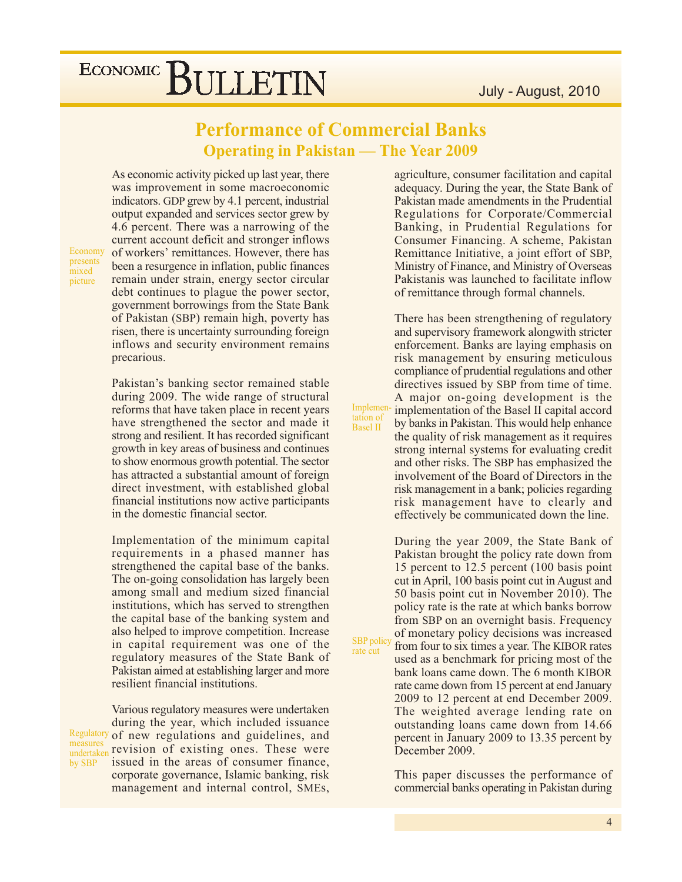### **Performance of Commercial Banks Operating in Pakistan — The Year 2009**

Implemen

tation of

**Basel II** 

SBP polic

rate cut

As economic activity picked up last year, there was improvement in some macroeconomic indicators. GDP grew by 4.1 percent, industrial output expanded and services sector grew by 4.6 percent. There was a narrowing of the current account deficit and stronger inflows of workers' remittances. However, there has been a resurgence in inflation, public finances remain under strain, energy sector circular debt continues to plague the power sector, government borrowings from the State Bank of Pakistan (SBP) remain high, poverty has risen, there is uncertainty surrounding foreign inflows and security environment remains precarious.

Economy presents mixed picture

Pakistan's banking sector remained stable during 2009. The wide range of structural reforms that have taken place in recent years have strengthened the sector and made it strong and resilient. It has recorded significant growth in key areas of business and continues to show enormous growth potential. The sector has attracted a substantial amount of foreign direct investment, with established global financial institutions now active participants in the domestic financial sector.

Implementation of the minimum capital requirements in a phased manner has strengthened the capital base of the banks. The on-going consolidation has largely been among small and medium sized financial institutions, which has served to strengthen the capital base of the banking system and also helped to improve competition. Increase in capital requirement was one of the regulatory measures of the State Bank of Pakistan aimed at establishing larger and more resilient financial institutions.

Various regulatory measures were undertaken during the year, which included issuance Regulatory of new regulations and guidelines, and measures revision of existing ones. These were undertaken issued in the areas of consumer finance, by SBP corporate governance, Islamic banking, risk management and internal control, SMEs, agriculture, consumer facilitation and capital adequacy. During the year, the State Bank of Pakistan made amendments in the Prudential Regulations for Corporate/Commercial Banking, in Prudential Regulations for Consumer Financing. A scheme, Pakistan Remittance Initiative, a joint effort of SBP, Ministry of Finance, and Ministry of Overseas Pakistanis was launched to facilitate inflow of remittance through formal channels.

There has been strengthening of regulatory and supervisory framework alongwith stricter enforcement. Banks are laying emphasis on risk management by ensuring meticulous compliance of prudential regulations and other directives issued by SBP from time of time. A major on-going development is the implementation of the Basel II capital accord by banks in Pakistan. This would help enhance the quality of risk management as it requires strong internal systems for evaluating credit and other risks. The SBP has emphasized the involvement of the Board of Directors in the risk management in a bank; policies regarding risk management have to clearly and effectively be communicated down the line.

During the year 2009, the State Bank of Pakistan brought the policy rate down from 15 percent to 12.5 percent (100 basis point) cut in April, 100 basis point cut in August and 50 basis point cut in November 2010). The policy rate is the rate at which banks borrow from SBP on an overnight basis. Frequency of monetary policy decisions was increased from four to six times a year. The KIBOR rates used as a benchmark for pricing most of the

bank loans came down. The 6 month KIBOR rate came down from 15 percent at end January 2009 to 12 percent at end December 2009. The weighted average lending rate on outstanding loans came down from 14.66 percent in January 2009 to 13.35 percent by December 2009.

This paper discusses the performance of commercial banks operating in Pakistan during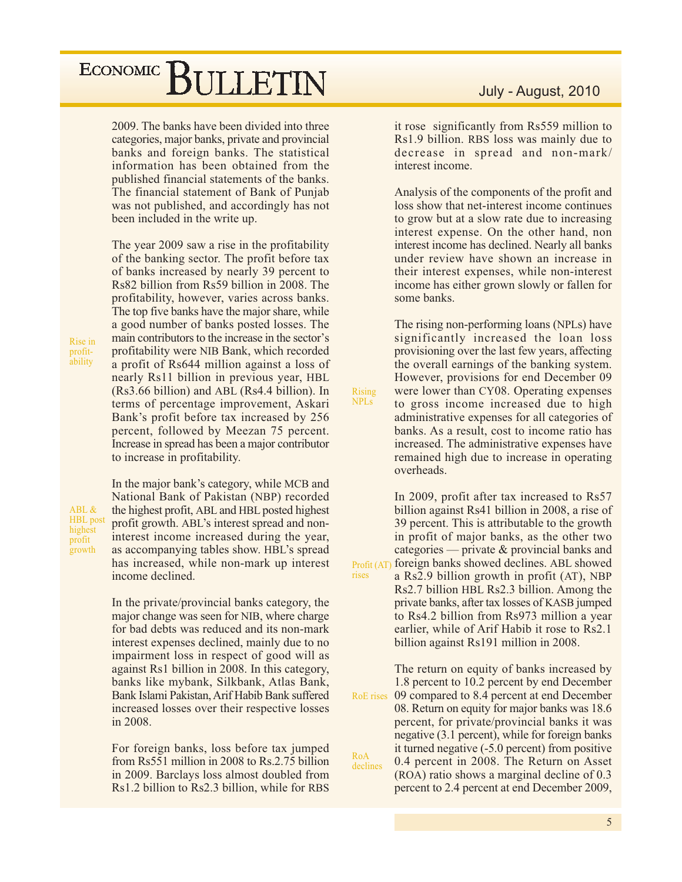2009. The banks have been divided into three categories, major banks, private and provincial banks and foreign banks. The statistical information has been obtained from the published financial statements of the banks. The financial statement of Bank of Punjab was not published, and accordingly has not been included in the write up.

The year 2009 saw a rise in the profitability of the banking sector. The profit before tax of banks increased by nearly 39 percent to Rs82 billion from Rs59 billion in 2008. The profitability, however, varies across banks. The top five banks have the major share, while a good number of banks posted losses. The main contributors to the increase in the sector's profitability were NIB Bank, which recorded a profit of Rs644 million against a loss of nearly Rs11 billion in previous year, HBL (Rs3.66 billion) and ABL (Rs4.4 billion). In terms of percentage improvement, Askari Bank's profit before tax increased by 256 percent, followed by Meezan 75 percent. Increase in spread has been a major contributor to increase in profitability.

Rise in profitability

ABL & **HBL** post highest profit growth

In the major bank's category, while MCB and National Bank of Pakistan (NBP) recorded the highest profit, ABL and HBL posted highest profit growth. ABL's interest spread and noninterest income increased during the year, as accompanying tables show. HBL's spread has increased, while non-mark up interest income declined.

In the private/provincial banks category, the major change was seen for NIB, where charge for bad debts was reduced and its non-mark interest expenses declined, mainly due to no impairment loss in respect of good will as against Rs1 billion in 2008. In this category, banks like mybank, Silkbank, Atlas Bank, Bank Islami Pakistan, Arif Habib Bank suffered increased losses over their respective losses in 2008.

For foreign banks, loss before tax jumped from Rs551 million in 2008 to Rs.2.75 billion in 2009. Barclays loss almost doubled from Rs1.2 billion to Rs2.3 billion, while for RBS

#### July - August, 2010

it rose significantly from Rs559 million to Rs1.9 billion. RBS loss was mainly due to decrease in spread and non-mark/ interest income.

Analysis of the components of the profit and loss show that net-interest income continues to grow but at a slow rate due to increasing interest expense. On the other hand, non interest income has declined. Nearly all banks under review have shown an increase in their interest expenses, while non-interest income has either grown slowly or fallen for some banks.

The rising non-performing loans (NPLs) have significantly increased the loan loss provisioning over the last few years, affecting the overall earnings of the banking system. However, provisions for end December 09 were lower than CY08. Operating expenses to gross income increased due to high administrative expenses for all categories of banks. As a result, cost to income ratio has increased. The administrative expenses have remained high due to increase in operating overheads.

**Rising NPLs** 

rises

In 2009, profit after tax increased to Rs57 billion against Rs41 billion in 2008, a rise of 39 percent. This is attributable to the growth in profit of major banks, as the other two categories — private & provincial banks and Profit (AT) foreign banks showed declines. ABL showed a Rs2.9 billion growth in profit (AT), NBP Rs2.7 billion HBL Rs2.3 billion. Among the private banks, after tax losses of KASB jumped to Rs4.2 billion from Rs973 million a year earlier, while of Arif Habib it rose to Rs2.1 billion against Rs191 million in 2008.

The return on equity of banks increased by 1.8 percent to 10.2 percent by end December 09 compared to 8.4 percent at end December RoE rises 08. Return on equity for major banks was 18.6 percent, for private/provincial banks it was negative (3.1 percent), while for foreign banks it turned negative (-5.0 percent) from positive RoA 0.4 percent in 2008. The Return on Asset declines (ROA) ratio shows a marginal decline of 0.3 percent to 2.4 percent at end December 2009,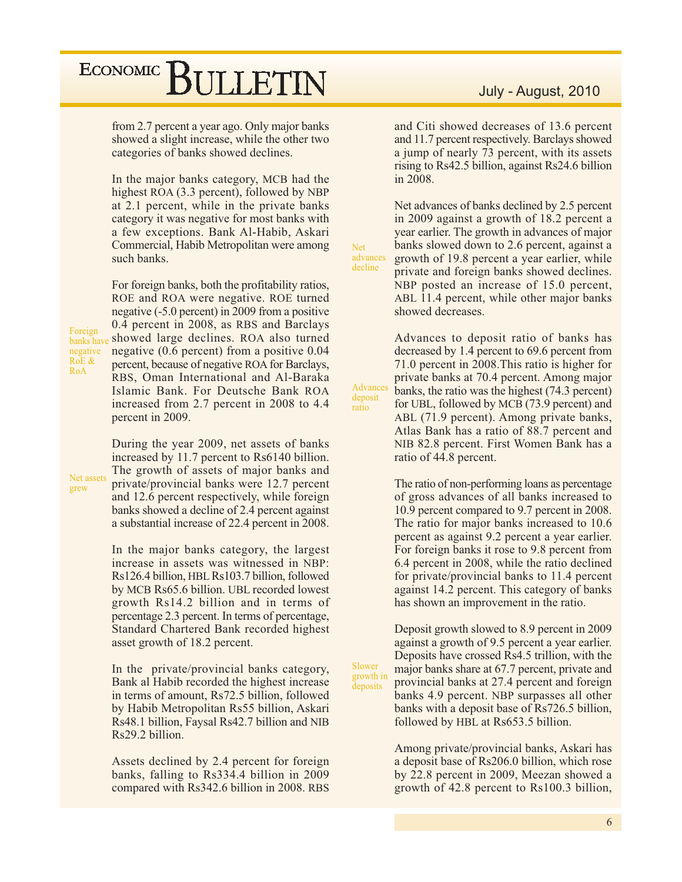from 2.7 percent a year ago. Only major banks showed a slight increase, while the other two categories of banks showed declines.

In the major banks category, MCB had the highest ROA (3.3 percent), followed by NBP at 2.1 percent, while in the private banks category it was negative for most banks with a few exceptions. Bank Al-Habib, Askari Commercial, Habib Metropolitan were among such banks.

For foreign banks, both the profitability ratios, ROE and ROA were negative. ROE turned negative (-5.0 percent) in 2009 from a positive 0.4 percent in 2008, as RBS and Barclays showed large declines. ROA also turned negative  $(0.6$  percent) from a positive  $0.04$ percent, because of negative ROA for Barclays, RBS, Oman International and Al-Baraka Islamic Bank. For Deutsche Bank ROA increased from 2.7 percent in 2008 to 4.4 percent in 2009.

During the year 2009, net assets of banks increased by 11.7 percent to Rs6140 billion. The growth of assets of major banks and private/provincial banks were 12.7 percent and 12.6 percent respectively, while foreign banks showed a decline of 2.4 percent against a substantial increase of 22.4 percent in 2008.

In the major banks category, the largest increase in assets was witnessed in NBP: Rs126.4 billion, HBL Rs103.7 billion, followed by MCB Rs65.6 billion. UBL recorded lowest growth Rs14.2 billion and in terms of percentage 2.3 percent. In terms of percentage, Standard Chartered Bank recorded highest asset growth of 18.2 percent.

In the private/provincial banks category, Bank al Habib recorded the highest increase in terms of amount, Rs72.5 billion, followed by Habib Metropolitan Rs55 billion, Askari Rs48.1 billion, Faysal Rs42.7 billion and NIB Rs29.2 billion.

Assets declined by 2.4 percent for foreign banks, falling to Rs334.4 billion in 2009 compared with Rs342.6 billion in 2008. RBS

#### July - August, 2010

and Citi showed decreases of 13.6 percent and 11.7 percent respectively. Barclays showed a jump of nearly 73 percent, with its assets rising to Rs42.5 billion, against Rs24.6 billion in 2008.

Net advances of banks declined by 2.5 percent in 2009 against a growth of 18.2 percent a year earlier. The growth in advances of major banks slowed down to 2.6 percent, against a advances growth of 19.8 percent a year earlier, while private and foreign banks showed declines. NBP posted an increase of 15.0 percent, ABL 11.4 percent, while other major banks showed decreases.

**Net** 

decline

Advance

deposit

Slower

growth in

deposits

ratio

Advances to deposit ratio of banks has decreased by 1.4 percent to 69.6 percent from 71.0 percent in 2008. This ratio is higher for private banks at 70.4 percent. Among major banks, the ratio was the highest (74.3 percent) for UBL, followed by MCB (73.9 percent) and ABL (71.9 percent). Among private banks, Atlas Bank has a ratio of 88.7 percent and NIB 82.8 percent. First Women Bank has a ratio of 44.8 percent.

The ratio of non-performing loans as percentage of gross advances of all banks increased to 10.9 percent compared to 9.7 percent in 2008. The ratio for major banks increased to 10.6 percent as against 9.2 percent a year earlier. For foreign banks it rose to 9.8 percent from 6.4 percent in 2008, while the ratio declined for private/provincial banks to 11.4 percent against 14.2 percent. This category of banks has shown an improvement in the ratio.

Deposit growth slowed to 8.9 percent in 2009 against a growth of 9.5 percent a year earlier. Deposits have crossed Rs4.5 trillion, with the major banks share at 67.7 percent, private and provincial banks at 27.4 percent and foreign banks 4.9 percent. NBP surpasses all other banks with a deposit base of Rs726.5 billion, followed by HBL at Rs653.5 billion.

Among private/provincial banks, Askari has a deposit base of Rs206.0 billion, which rose by 22.8 percent in 2009, Meezan showed a growth of 42.8 percent to Rs100.3 billion,

Foreign banks hav negative RoE & RoA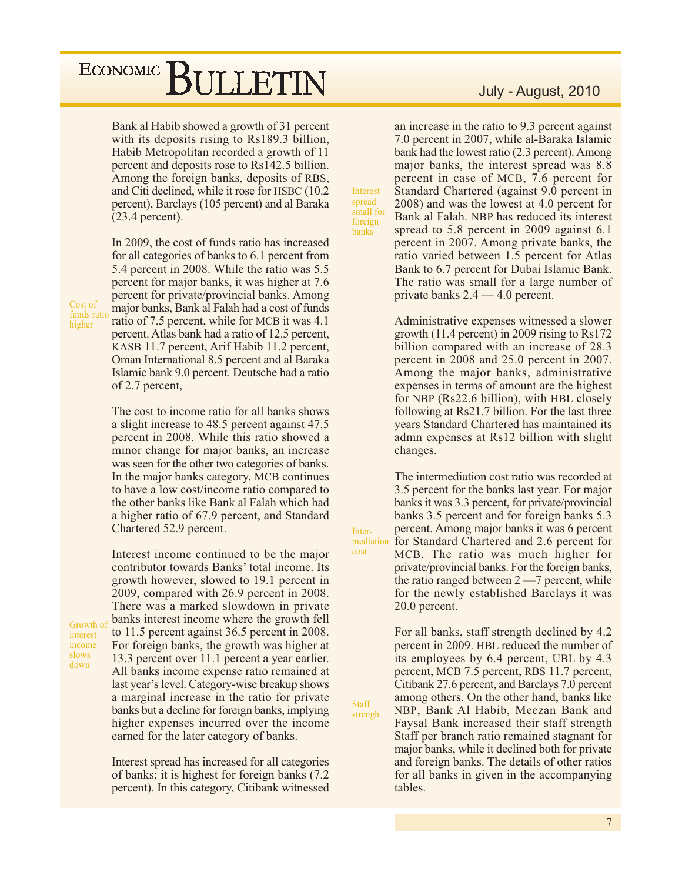Bank al Habib showed a growth of 31 percent with its deposits rising to Rs189.3 billion, Habib Metropolitan recorded a growth of 11 percent and deposits rose to Rs142.5 billion. Among the foreign banks, deposits of RBS, and Citi declined, while it rose for HSBC (10.2) percent), Barclays (105 percent) and al Baraka  $(23.4$  percent).

Cost of funds ratio higher

Growth of

interest

income slows

down

In 2009, the cost of funds ratio has increased for all categories of banks to 6.1 percent from 5.4 percent in 2008. While the ratio was 5.5 percent for major banks, it was higher at 7.6 percent for private/provincial banks. Among major banks, Bank al Falah had a cost of funds ratio of 7.5 percent, while for MCB it was 4.1 percent. Atlas bank had a ratio of 12.5 percent, KASB 11.7 percent, Arif Habib 11.2 percent, Oman International 8.5 percent and al Baraka Islamic bank 9.0 percent. Deutsche had a ratio of 2.7 percent,

The cost to income ratio for all banks shows a slight increase to 48.5 percent against 47.5 percent in 2008. While this ratio showed a minor change for major banks, an increase was seen for the other two categories of banks. In the major banks category, MCB continues to have a low cost/income ratio compared to the other banks like Bank al Falah which had a higher ratio of 67.9 percent, and Standard Chartered 52.9 percent.

Interest income continued to be the major contributor towards Banks' total income. Its growth however, slowed to 19.1 percent in 2009, compared with 26.9 percent in 2008. There was a marked slowdown in private banks interest income where the growth fell to 11.5 percent against 36.5 percent in 2008. For foreign banks, the growth was higher at 13.3 percent over 11.1 percent a year earlier. All banks income expense ratio remained at last year's level. Category-wise breakup shows a marginal increase in the ratio for private banks but a decline for foreign banks, implying higher expenses incurred over the income earned for the later category of banks.

Interest spread has increased for all categories of banks; it is highest for foreign banks (7.2) percent). In this category, Citibank witnessed

#### July - August, 2010

an increase in the ratio to 9.3 percent against 7.0 percent in 2007, while al-Baraka Islamic bank had the lowest ratio (2.3 percent). Among major banks, the interest spread was 8.8 percent in case of MCB, 7.6 percent for Standard Chartered (against 9.0 percent in 2008) and was the lowest at 4.0 percent for Bank al Falah. NBP has reduced its interest spread to  $5.8$  percent in 2009 against  $6.1$ percent in 2007. Among private banks, the ratio varied between 1.5 percent for Atlas Bank to 6.7 percent for Dubai Islamic Bank. The ratio was small for a large number of private banks  $2.4 - 4.0$  percent.

Interest

spread

foreign

banks

Inter-

cost

**Staff** 

strengh

small for

Administrative expenses witnessed a slower growth  $(11.4 \text{ percent})$  in 2009 rising to Rs172 billion compared with an increase of 28.3 percent in 2008 and 25.0 percent in 2007. Among the major banks, administrative expenses in terms of amount are the highest for NBP (Rs22.6 billion), with HBL closely following at Rs21.7 billion. For the last three years Standard Chartered has maintained its admn expenses at Rs12 billion with slight changes.

The intermediation cost ratio was recorded at 3.5 percent for the banks last year. For major banks it was 3.3 percent, for private/provincial banks 3.5 percent and for foreign banks 5.3 percent. Among major banks it was 6 percent mediation for Standard Chartered and 2.6 percent for MCB. The ratio was much higher for private/provincial banks. For the foreign banks, the ratio ranged between  $2 - 7$  percent, while for the newly established Barclays it was 20.0 percent.

> For all banks, staff strength declined by 4.2 percent in 2009. HBL reduced the number of its employees by 6.4 percent, UBL by 4.3 percent, MCB 7.5 percent, RBS 11.7 percent, Citibank 27.6 percent, and Barclays 7.0 percent among others. On the other hand, banks like NBP, Bank Al Habib, Meezan Bank and Faysal Bank increased their staff strength Staff per branch ratio remained stagnant for major banks, while it declined both for private and foreign banks. The details of other ratios for all banks in given in the accompanying tables.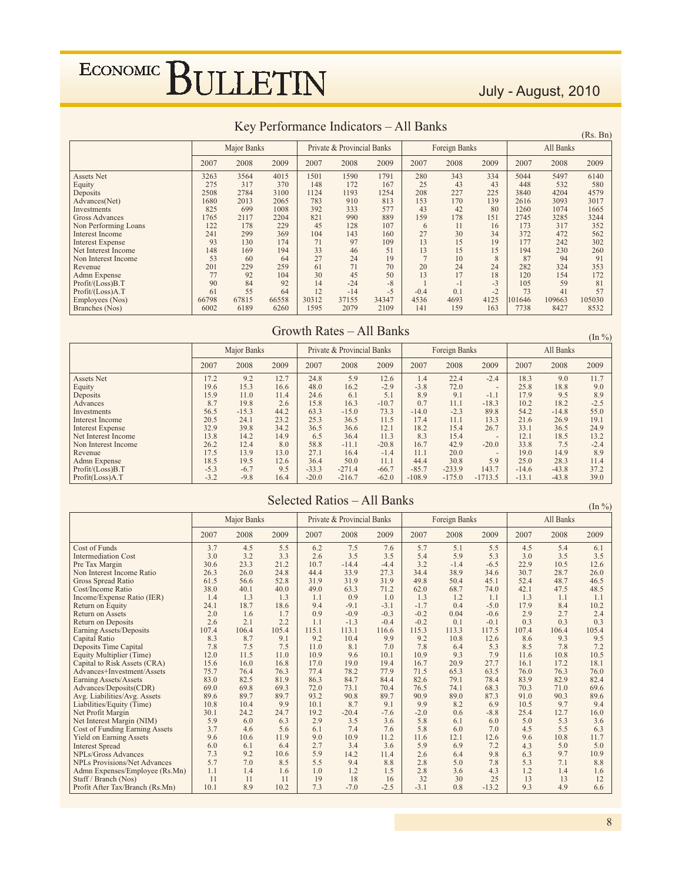### July - August, 2010

| $\mathbb{R}$ external ratio $\mathbb{R}$ in the call $\mathbb{R}$ of $\mathbb{R}$ in $\mathbb{R}$ ball $\mathbb{R}$<br>(Rs. Bn) |       |             |       |       |                            |       |        |               |      |        |           |        |  |  |
|---------------------------------------------------------------------------------------------------------------------------------|-------|-------------|-------|-------|----------------------------|-------|--------|---------------|------|--------|-----------|--------|--|--|
|                                                                                                                                 |       | Major Banks |       |       | Private & Provincial Banks |       |        | Foreign Banks |      |        | All Banks |        |  |  |
|                                                                                                                                 | 2007  | 2008        | 2009  | 2007  | 2008                       | 2009  | 2007   | 2008          | 2009 | 2007   | 2008      | 2009   |  |  |
| <b>Assets Net</b>                                                                                                               | 3263  | 3564        | 4015  | 1501  | 1590                       | 1791  | 280    | 343           | 334  | 5044   | 5497      | 6140   |  |  |
| Equity                                                                                                                          | 275   | 317         | 370   | 148   | 172                        | 167   | 25     | 43            | 43   | 448    | 532       | 580    |  |  |
| Deposits                                                                                                                        | 2508  | 2784        | 3100  | 1124  | 1193                       | 1254  | 208    | 227           | 225  | 3840   | 4204      | 4579   |  |  |
| Advances(Net)                                                                                                                   | 1680  | 2013        | 2616  | 3093  | 3017                       |       |        |               |      |        |           |        |  |  |
| Investments                                                                                                                     | 825   | 699         | 1008  | 392   | 333                        | 577   | 43     | 42            | 80   | 1260   | 1074      | 1665   |  |  |
| <b>Gross Advances</b>                                                                                                           | 1765  | 2117        | 2204  | 821   | 990                        | 889   | 159    | 178           | 151  | 2745   | 3285      | 3244   |  |  |
| Non Performing Loans                                                                                                            | 122   | 178         | 229   | 45    | 128                        | 107   | 6      | 11            | 16   | 173    | 317       | 352    |  |  |
| <b>Interest Income</b>                                                                                                          | 241   | 299         | 369   | 104   | 143                        | 160   | 27     | 30            | 34   | 372    | 472       | 562    |  |  |
| <b>Interest Expense</b>                                                                                                         | 93    | 130         | 174   | 71    | 97                         | 109   | 13     | 15            | 19   | 177    | 242       | 302    |  |  |
| Net Interest Income                                                                                                             | 148   | 169         | 194   | 33    | 46                         | 51    | 13     | 15            | 15   | 194    | 230       | 260    |  |  |
| Non Interest Income                                                                                                             | 53    | 60          | 64    | 27    | 24                         | 19    |        | 10            | 8    | 87     | 94        | 91     |  |  |
| Revenue                                                                                                                         | 201   | 229         | 259   | 61    | 71                         | 70    | 20     | 24            | 24   | 282    | 324       | 353    |  |  |
| Admn Expense                                                                                                                    | 77    | 92          | 104   | 30    | 45                         | 50    | 13     | 17            | 18   | 120    | 154       | 172    |  |  |
| Profit/(Loss)B.T                                                                                                                | 90    | 84          | 92    | 14    | $-24$                      | $-8$  |        | $-1$          | $-3$ | 105    | 59        | 81     |  |  |
| Profit/(Loss)A.T                                                                                                                | 61    | 55          | 64    | 12    | $-14$                      | $-5$  | $-0.4$ | 0.1           | $-2$ | 73     | 41        | 57     |  |  |
| Employees (Nos)                                                                                                                 | 66798 | 67815       | 66558 | 30312 | 37155                      | 34347 | 4536   | 4693          | 4125 | 101646 | 109663    | 105030 |  |  |
| Branches (Nos)                                                                                                                  | 6002  | 6189        | 6260  | 1595  | 2079                       | 2109  | 141    | 159           | 163  | 7738   | 8427      | 8532   |  |  |

### Key Performance Indicators - All Banks

#### Growth Rates - All Banks

 $(\ln \frac{9}{6})$ 

|                         |        | Major Banks |      |         | Private & Provincial Banks |         |          | Foreign Banks |                          | All Banks |         |        |  |
|-------------------------|--------|-------------|------|---------|----------------------------|---------|----------|---------------|--------------------------|-----------|---------|--------|--|
|                         | 2007   | 2008        | 2009 | 2007    | 2008                       | 2009    | 2007     | 2008          | 2009                     | 2007      | 2008    | 2009   |  |
| <b>Assets Net</b>       | 17.2   | 9.2         | 12.7 | 24.8    | 5.9                        | 12.6    | 1.4      | 22.4          | $-2.4$                   | 18.3      | 9.0     | 11.7   |  |
| Equity                  | 19.6   | 15.3        | 16.6 | 48.0    | 16.2                       | $-2.9$  | $-3.8$   | 72.0          | $\overline{\phantom{a}}$ | 25.8      | 18.8    | 9.0    |  |
| Deposits                | 15.9   | 11.0        | 11.4 | 24.6    | 6.1                        | 5.1     | 8.9      | 9.1           | $-1.1$                   | 17.9      | 9.5     | 8.9    |  |
| Advances                | 8.7    | 19.8        | 2.6  | 15.8    | 16.3                       | $-10.7$ | 0.7      | 11.1          | $-18.3$                  | 10.2      | 18.2    | $-2.5$ |  |
| Investments             | 56.5   | $-15.3$     | 44.2 | 63.3    | $-15.0$                    | 73.3    | $-14.0$  | $-2.3$        | 89.8                     | 54.2      | $-14.8$ | 55.0   |  |
| Interest Income         | 20.5   | 24.1        | 23.2 | 25.3    | 36.5                       | 11.5    | 17.4     | 11.1          | 13.3                     | 21.6      | 26.9    | 19.1   |  |
| <b>Interest Expense</b> | 32.9   | 39.8        | 34.2 | 36.5    | 36.6                       | 12.1    | 18.2     | 15.4          | 26.7                     | 33.1      | 36.5    | 24.9   |  |
| Net Interest Income     | 13.8   | 14.2        | 14.9 | 6.5     | 36.4                       | 11.3    | 8.3      | 15.4          | $\overline{\phantom{a}}$ | 12.1      | 18.5    | 13.2   |  |
| Non Interest Income     | 26.2   | 12.4        | 8.0  | 58.8    | $-11.1$                    | $-20.8$ | 16.7     | 42.9          | $-20.0$                  | 33.8      | 7.5     | $-2.4$ |  |
| Revenue                 | 17.5   | 13.9        | 13.0 | 27.1    | 16.4                       | $-1.4$  | 11.1     | 20.0          | $\overline{\phantom{a}}$ | 19.0      | 14.9    | 8.9    |  |
| Admn Expense            | 18.5   | 19.5        | 12.6 | 36.4    | 50.0                       | 11.1    | 44.4     | 30.8          | 5.9                      | 25.0      | 28.3    | 11.4   |  |
| Profit/(Loss)B.T        | $-5.3$ | $-6.7$      | 9.5  | $-33.3$ | $-271.4$                   | $-66.7$ | $-85.7$  | $-233.9$      | 143.7                    | $-14.6$   | $-43.8$ | 37.2   |  |
| Profit(Loss)A.T         | $-3.2$ | $-9.8$      | 16.4 | $-20.0$ | $-216.7$                   | $-62.0$ | $-108.9$ | $-175.0$      | $-1713.5$                | $-13.1$   | $-43.8$ | 39.0   |  |

### Selected Ratios - All Banks

 $(\ln 0/\lambda)$ 

|                                       |       | Major Banks |       |       | Private & Provincial Banks |        |        | Foreign Banks |         | All Banks |       |       |  |
|---------------------------------------|-------|-------------|-------|-------|----------------------------|--------|--------|---------------|---------|-----------|-------|-------|--|
|                                       | 2007  | 2008        | 2009  | 2007  | 2008                       | 2009   | 2007   | 2008          | 2009    | 2007      | 2008  | 2009  |  |
| Cost of Funds                         | 3.7   | 4.5         | 5.5   | 6.2   | 7.5                        | 7.6    | 5.7    | 5.1           | 5.5     | 4.5       | 5.4   | 6.1   |  |
| <b>Intermediation Cost</b>            | 3.0   | 3.2         | 3.3   | 2.6   | 3.5                        | 3.5    | 5.4    | 5.9           | 5.3     | 3.0       | 3.5   | 3.5   |  |
| Pre Tax Margin                        | 30.6  | 23.3        | 21.2  | 10.7  | $-14.4$                    | $-4.4$ | 3.2    | $-1.4$        | $-6.5$  | 22.9      | 10.5  | 12.6  |  |
| Non Interest Income Ratio             | 26.3  | 26.0        | 24.8  | 44.4  | 33.9                       | 27.3   | 34.4   | 38.9          | 34.6    | 30.7      | 28.7  | 26.0  |  |
| <b>Gross Spread Ratio</b>             | 61.5  | 56.6        | 52.8  | 31.9  | 31.9                       | 31.9   | 49.8   | 50.4          | 45.1    | 52.4      | 48.7  | 46.5  |  |
| Cost/Income Ratio                     | 38.0  | 40.1        | 40.0  | 49.0  | 63.3                       | 71.2   | 62.0   | 68.7          | 74.0    | 42.1      | 47.5  | 48.5  |  |
| Income/Expense Ratio (IER)            | 1.4   | 1.3         | 1.3   | 1.1   | 0.9                        | 1.0    | 1.3    | 1.2           | 1.1     | 1.3       | 1.1   | 1.1   |  |
| Return on Equity                      | 24.1  | 18.7        | 18.6  | 9.4   | $-9.1$                     | $-3.1$ | $-1.7$ | 0.4           | $-5.0$  | 17.9      | 8.4   | 10.2  |  |
| <b>Return on Assets</b>               | 2.0   | 1.6         | 1.7   | 0.9   | $-0.9$                     | $-0.3$ | $-0.2$ | 0.04          | $-0.6$  | 2.9       | 2.7   | 2.4   |  |
| Return on Deposits                    | 2.6   | 2.1         | 2.2   | 1.1   | $-1.3$                     | $-0.4$ | $-0.2$ | 0.1           | $-0.1$  | 0.3       | 0.3   | 0.3   |  |
| Earning Assets/Deposits               | 107.4 | 106.4       | 105.4 | 115.1 | 113.1                      | 116.6  | 115.3  | 113.3         | 117.5   | 107.4     | 106.4 | 105.4 |  |
| <b>Capital Ratio</b>                  | 8.3   | 8.7         | 9.1   | 9.2   | 10.4                       | 9.9    | 9.2    | 10.8          | 12.6    | 8.6       | 9.3   | 9.5   |  |
| Deposits Time Capital                 | 7.8   | 7.5         | 7.5   | 11.0  | 8.1                        | 7.0    | 7.8    | 6.4           | 5.3     | 8.5       | 7.8   | 7.2   |  |
| Equity Multiplier (Time)              | 12.0  | 11.5        | 11.0  | 10.9  | 9.6                        | 10.1   | 10.9   | 9.3           | 7.9     | 11.6      | 10.8  | 10.5  |  |
| Capital to Risk Assets (CRA)          | 15.6  | 16.0        | 16.8  | 17.0  | 19.0                       | 19.4   | 16.7   | 20.9          | 27.7    | 16.1      | 17.2  | 18.1  |  |
| Advances+Investment/Assets            | 75.7  | 76.4        | 76.3  | 77.4  | 78.2                       | 77.9   | 71.5   | 65.3          | 63.5    | 76.0      | 76.3  | 76.0  |  |
| Earning Assets/Assets                 | 83.0  | 82.5        | 81.9  | 86.3  | 84.7                       | 84.4   | 82.6   | 79.1          | 78.4    | 83.9      | 82.9  | 82.4  |  |
| Advances/Deposits(CDR)                | 69.0  | 69.8        | 69.3  | 72.0  | 73.1                       | 70.4   | 76.5   | 74.1          | 68.3    | 70.3      | 71.0  | 69.6  |  |
| Avg. Liabilities/Avg. Assets          | 89.6  | 89.7        | 89.7  | 93.2  | 90.8                       | 89.7   | 90.9   | 89.0          | 87.3    | 91.0      | 90.3  | 89.6  |  |
| Liabilities/Equity (Time)             | 10.8  | 10.4        | 9.9   | 10.1  | 8.7                        | 9.1    | 9.9    | 8.2           | 6.9     | 10.5      | 9.7   | 9.4   |  |
| Net Profit Margin                     | 30.1  | 24.2        | 24.7  | 19.2  | $-20.4$                    | $-7.6$ | $-2.0$ | 0.6           | $-8.8$  | 25.4      | 12.7  | 16.0  |  |
| Net Interest Margin (NIM)             | 5.9   | 6.0         | 6.3   | 2.9   | 3.5                        | 3.6    | 5.8    | 6.1           | 6.0     | 5.0       | 5.3   | 3.6   |  |
| <b>Cost of Funding Earning Assets</b> | 3.7   | 4.6         | 5.6   | 6.1   | 7.4                        | 7.6    | 5.8    | 6.0           | 7.0     | 4.5       | 5.5   | 6.3   |  |
| <b>Yield on Earning Assets</b>        | 9.6   | 10.6        | 11.9  | 9.0   | 10.9                       | 11.2   | 11.6   | 12.1          | 12.6    | 9.6       | 10.8  | 11.7  |  |
| <b>Interest Spread</b>                | 6.0   | 6.1         | 6.4   | 2.7   | 3.4                        | 3.6    | 5.9    | 6.9           | 7.2     | 4.3       | 5.0   | 5.0   |  |
| <b>NPLs/Gross Advances</b>            | 7.3   | 9.2         | 10.6  | 5.9   | 14.2                       | 11.4   | 2.6    | 6.4           | 9.8     | 6.3       | 9.7   | 10.9  |  |
| <b>NPLs Provisions/Net Advances</b>   | 5.7   | 7.0         | 8.5   | 5.5   | 9.4                        | 8.8    | 2.8    | 5.0           | 7.8     | 5.3       | 7.1   | 8.8   |  |
| Admn Expenses/Employee (Rs.Mn)        | 1.1   | 1.4         | 1.6   | 1.0   | 1.2                        | 1.5    | 2.8    | 3.6           | 4.3     | 1.2       | 1.4   | 1.6   |  |
| Staff / Branch (Nos)                  | 11    | 11          | 11    | 19    | 18                         | 16     | 32     | 30            | 25      | 13        | 13    | 12    |  |
| Profit After Tax/Branch (Rs.Mn)       | 10.1  | 8.9         | 10.2  | 7.3   | $-7.0$                     | $-2.5$ | $-3.1$ | 0.8           | $-13.2$ | 9.3       | 4.9   | 6.6   |  |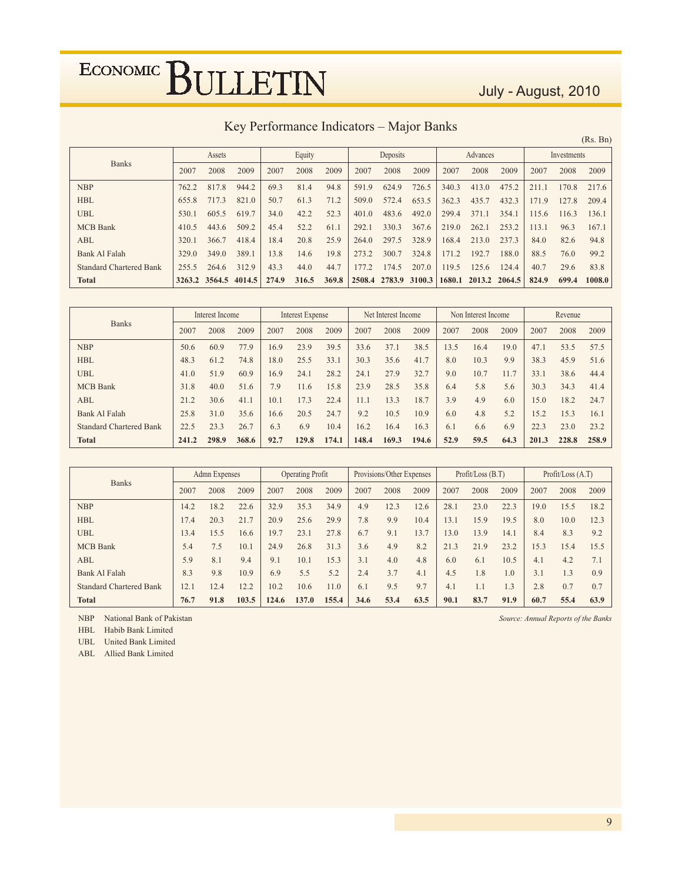### July - August, 2010

| Key Performance Indicators - Major Banks |  |  |
|------------------------------------------|--|--|
|                                          |  |  |

|                                |                      |               |        |       |        |       |        |          |        |        |               |       |       |             | (Rs. Bn) |
|--------------------------------|----------------------|---------------|--------|-------|--------|-------|--------|----------|--------|--------|---------------|-------|-------|-------------|----------|
|                                |                      | Assets        |        |       | Equity |       |        | Deposits |        |        | Advances      |       |       | Investments |          |
| <b>Banks</b>                   | 2009<br>2007<br>2008 |               |        | 2007  | 2008   | 2009  | 2007   | 2008     | 2009   | 2007   | 2008          | 2009  | 2007  | 2008        | 2009     |
| <b>NBP</b>                     | 762.2                | 817.8         | 944.2  | 69.3  | 81.4   | 94.8  | 591.9  | 624.9    | 726.5  | 340.3  | 413.0         | 475.2 | 211.1 | 170.8       | 217.6    |
| <b>HBL</b>                     | 655.8                | 717.3         | 821.0  | 50.7  | 61.3   | 71.2  | 509.0  | 572.4    | 653.5  | 362.3  | 435.7         | 432.3 | 171.9 | 127.8       | 209.4    |
| <b>UBL</b>                     | 530.1                | 605.5         | 619.7  | 34.0  | 42.2   | 52.3  | 401.0  | 483.6    | 492.0  | 299.4  | 371.1         | 354.1 | 115.6 | 116.3       | 136.1    |
| <b>MCB</b> Bank                | 410.5                | 443.6         | 509.2  | 45.4  | 52.2   | 61.1  | 292.1  | 330.3    | 367.6  | 219.0  | 262.1         | 253.2 | 113.1 | 96.3        | 167.1    |
| ABL                            | 320.1                | 366.7         | 418.4  | 18.4  | 20.8   | 25.9  | 264.0  | 297.5    | 328.9  | 168.4  | 213.0         | 237.3 | 84.0  | 82.6        | 94.8     |
| Bank Al Falah                  | 329.0                | 349.0         | 389.1  | 13.8  | 14.6   | 19.8  | 273.2  | 300.7    | 324.8  | 171.2  | 192.7         | 188.0 | 88.5  | 76.0        | 99.2     |
| <b>Standard Chartered Bank</b> | 255.5                | 264.6         | 312.9  | 43.3  | 44.0   | 44.7  | 177.2  | 174.5    | 207.0  | 119.5  | 125.6         | 124.4 | 40.7  | 29.6        | 83.8     |
| <b>Total</b>                   |                      | 3263.2 3564.5 | 4014.5 | 274.9 | 316.5  | 369.8 | 2508.4 | 2783.9   | 3100.3 | 1680.1 | 2013.2 2064.5 |       | 824.9 | 699.4       | 1008.0   |

| <b>Banks</b>                   | Interest Income         |      |      | Interest Expense |       |       |       | Net Interest Income |       |      | Non Interest Income |      |       | Revenue |       |
|--------------------------------|-------------------------|------|------|------------------|-------|-------|-------|---------------------|-------|------|---------------------|------|-------|---------|-------|
|                                | 2007                    | 2008 | 2009 | 2007             | 2008  | 2009  | 2007  | 2008                | 2009  | 2007 | 2008                | 2009 | 2007  | 2008    | 2009  |
| <b>NBP</b>                     | 50.6                    | 60.9 | 77.9 | 16.9             | 23.9  | 39.5  | 33.6  | 37.1                | 38.5  | 13.5 | 16.4                | 19.0 | 47.1  | 53.5    | 57.5  |
| <b>HBL</b>                     | 48.3                    | 61.2 | 74.8 | 18.0             | 25.5  | 33.1  | 30.3  | 35.6                | 41.7  | 8.0  | 10.3                | 9.9  | 38.3  | 45.9    | 51.6  |
| <b>UBL</b>                     | 41.0                    | 51.9 | 60.9 | 16.9             | 24.1  | 28.2  | 24.1  | 27.9                | 32.7  | 9.0  | 10.7                | 11.7 | 33.1  | 38.6    | 44.4  |
| <b>MCB</b> Bank                | 31.8                    | 40.0 | 51.6 | 7.9              | 11.6  | 15.8  | 23.9  | 28.5                | 35.8  | 6.4  | 5.8                 | 5.6  | 30.3  | 34.3    | 41.4  |
| ABL                            | 21.2                    | 30.6 | 41.1 | 10.1             | 17.3  | 22.4  | 11.1  | 13.3                | 18.7  | 3.9  | 4.9                 | 6.0  | 15.0  | 18.2    | 24.7  |
| Bank Al Falah                  | 25.8                    | 31.0 | 35.6 | 16.6             | 20.5  | 24.7  | 9.2   | 10.5                | 10.9  | 6.0  | 4.8                 | 5.2  | 15.2  | 15.3    | 16.1  |
| <b>Standard Chartered Bank</b> | 22.5                    | 23.3 | 26.7 | 6.3              | 6.9   | 10.4  | 16.2  | 16.4                | 16.3  | 6.1  | 6.6                 | 6.9  | 22.3  | 23.0    | 23.2  |
| <b>Total</b>                   | 368.6<br>298.9<br>241.2 |      |      | 92.7             | 129.8 | 174.1 | 148.4 | 169.3               | 194.6 | 52.9 | 59.5                | 64.3 | 201.3 | 228.8   | 258.9 |

| <b>Banks</b>                   | Admn Expenses         |      |      | <b>Operating Profit</b> |       |       |      | Provisions/Other Expenses |      |      | Profit / Loss (B.T) |      |      | Profit / Loss (A.T) |      |
|--------------------------------|-----------------------|------|------|-------------------------|-------|-------|------|---------------------------|------|------|---------------------|------|------|---------------------|------|
|                                | 2007                  | 2008 | 2009 | 2007                    | 2008  | 2009  | 2007 | 2008                      | 2009 | 2007 | 2008                | 2009 | 2007 | 2008                | 2009 |
| <b>NBP</b>                     | 14.2                  | 18.2 | 22.6 | 32.9                    | 35.3  | 34.9  | 4.9  | 12.3                      | 12.6 | 28.1 | 23.0                | 22.3 | 19.0 | 15.5                | 18.2 |
| <b>HBL</b>                     | 17.4<br>20.3<br>21.7  |      |      | 20.9                    | 25.6  | 29.9  | 7.8  | 9.9                       | 10.4 | 13.1 | 15.9                | 19.5 | 8.0  | 10.0                | 12.3 |
| <b>UBL</b>                     | 13.4                  | 15.5 | 16.6 | 19.7                    | 23.1  | 27.8  | 6.7  | 9.1                       | 13.7 | 13.0 | 13.9                | 14.1 | 8.4  | 8.3                 | 9.2  |
| <b>MCB</b> Bank                | 5.4                   | 7.5  | 10.1 | 24.9                    | 26.8  | 31.3  | 3.6  | 4.9                       | 8.2  | 21.3 | 21.9                | 23.2 | 15.3 | 15.4                | 15.5 |
| ABL                            | 5.9                   | 8.1  | 9.4  | 9.1                     | 10.1  | 15.3  | 3.1  | 4.0                       | 4.8  | 6.0  | 6.1                 | 10.5 | 4.1  | 4.2                 | 7.1  |
| Bank Al Falah                  | 8.3                   | 9.8  | 10.9 | 6.9                     | 5.5   | 5.2   | 2.4  | 3.7                       | 4.1  | 4.5  | 1.8                 | 1.0  | 3.1  | 1.3                 | 0.9  |
| <b>Standard Chartered Bank</b> | 12.1                  | 12.4 | 12.2 | 10.2                    | 10.6  | 11.0  | 6.1  | 9.5                       | 9.7  | 4.1  | 1.1                 | 1.3  | 2.8  | 0.7                 | 0.7  |
| <b>Total</b>                   | 103.5<br>91.8<br>76.7 |      |      | 124.6                   | 137.0 | 155.4 | 34.6 | 53.4                      | 63.5 | 90.1 | 83.7                | 91.9 | 60.7 | 55.4                | 63.9 |

NBP National Bank of Pakistan

HBL Habib Bank Limited

UBL United Bank Limited

ABL Allied Bank Limited

Source: Annual Reports of the Banks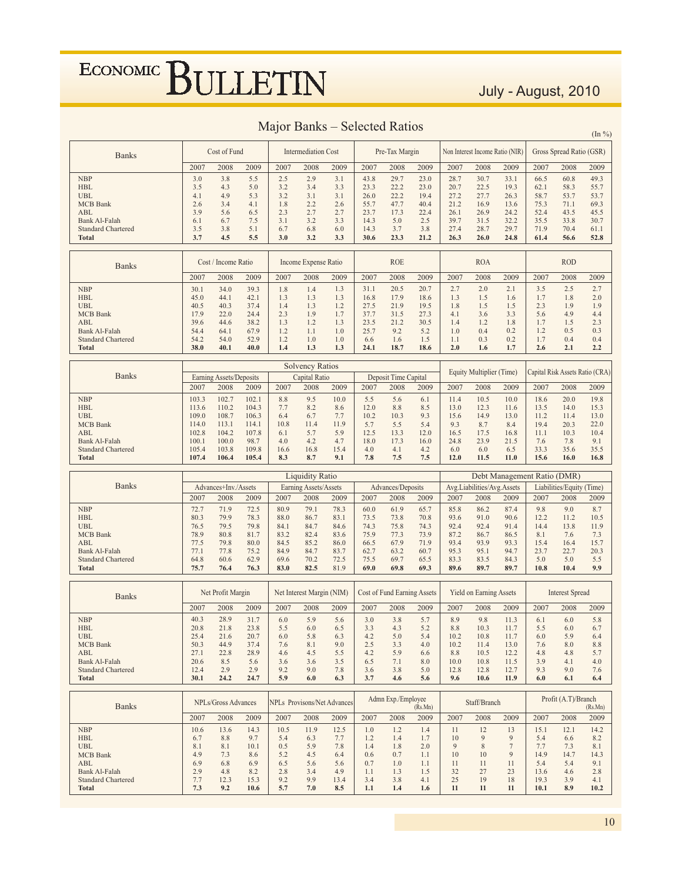### July - August, 2010

 $(\mathrm{In}~\%)$ 

| <b>Banks</b>                               | Cost of Fund   |                         |                | Intermediation Cost |                           |                                    | Pre-Tax Margin |                                    |              |              | Non Interest Income Ratio (NIR) |                             | Gross Spread Ratio (GSR) |                           |                                 |  |
|--------------------------------------------|----------------|-------------------------|----------------|---------------------|---------------------------|------------------------------------|----------------|------------------------------------|--------------|--------------|---------------------------------|-----------------------------|--------------------------|---------------------------|---------------------------------|--|
|                                            | 2007           | 2008                    | 2009           | 2007                | 2008                      | 2009                               | 2007           | 2008                               | 2009         | 2007         | 2008                            | 2009                        | 2007                     | 2008                      | 2009                            |  |
| <b>NBP</b>                                 | 3.0            | 3.8                     | 5.5            | 2.5                 | 2.9                       | 3.1                                | 43.8           | 29.7                               | 23.0         | 28.7         | 30.7                            | 33.1                        | 66.5                     | 60.8                      | 49.3                            |  |
| <b>HBL</b>                                 | 3.5            | 4.3                     | 5.0            | 3.2                 | 3.4                       | 3.3                                | 23.3           | 22.2                               | 23.0         | 20.7         | 22.5                            | 19.3                        | 62.1                     | 58.3                      | 55.7                            |  |
| <b>UBL</b>                                 | 4.1            | 4.9                     | 5.3            | 3.2                 | 3.1                       | 3.1                                | 26.0           | 22.2                               | 19.4         | 27.2         | 27.7                            | 26.3                        | 58.7                     | 53.7                      | 53.7                            |  |
| <b>MCB</b> Bank<br>ABL                     | 2.6<br>3.9     | 3.4<br>5.6              | 4.1<br>6.5     | 1.8<br>2.3          | 2.2<br>2.7                | 2.6<br>2.7                         | 55.7<br>23.7   | 47.7<br>17.3                       | 40.4<br>22.4 | 21.2<br>26.1 | 16.9<br>26.9                    | 13.6<br>24.2                | 75.3<br>52.4             | 71.1<br>43.5              | 69.3<br>45.5                    |  |
| <b>Bank Al-Falah</b>                       | 6.1            | 6.7                     | 7.5            | 3.1                 | 3.2                       | 3.3                                | 14.3           | 5.0                                | 2.5          | 39.7         | 31.5                            | 32.2                        | 35.5                     | 33.8                      | 30.7                            |  |
| <b>Standard Chartered</b>                  | 3.5            | 3.8                     | 5.1            | 6.7                 | 6.8                       | 6.0                                | 14.3           | 3.7                                | 3.8          | 27.4         | 28.7                            | 29.7                        | 71.9                     | 70.4                      | 61.1                            |  |
| Total                                      | 3.7            | 4.5                     | 5.5            | 3.0                 | 3.2                       | 3.3                                | 30.6           | 23.3                               | 21.2         | 26.3         | 26.0                            | 24.8                        | 61.4                     | 56.6                      | 52.8                            |  |
|                                            |                | Cost / Income Ratio     |                |                     | Income Expense Ratio      |                                    |                | <b>ROE</b>                         |              |              | <b>ROA</b>                      |                             |                          | <b>ROD</b>                |                                 |  |
| <b>Banks</b>                               | 2007           | 2008                    | 2009           | 2007                | 2008                      | 2009                               | 2007           | 2008                               | 2009         | 2007         | 2008                            | 2009                        | 2007                     | 2008                      | 2009                            |  |
| <b>NBP</b>                                 | 30.1           | 34.0                    | 39.3           | 1.8                 | 1.4                       | 1.3                                | 31.1           | 20.5                               | 20.7         | 2.7          | 2.0                             | 2.1                         | 3.5                      | 2.5                       | 2.7                             |  |
| <b>HBL</b>                                 | 45.0           | 44.1                    | 42.1           | 1.3                 | 1.3                       | 1.3                                | 16.8           | 17.9                               | 18.6         | 1.3          | 1.5                             | 1.6                         | 1.7                      | 1.8                       | 2.0                             |  |
| <b>UBL</b>                                 | 40.5           | 40.3                    | 37.4           | 1.4                 | 1.3                       | 1.2                                | 27.5           | 21.9                               | 19.5         | 1.8          | 1.5                             | 1.5                         | 2.3                      | 1.9                       | 1.9                             |  |
| <b>MCB</b> Bank                            | 17.9           | 22.0                    | 24.4           | 2.3                 | 1.9                       | 1.7                                | 37.7           | 31.5                               | 27.3         | 4.1          | 3.6                             | 3.3                         | 5.6                      | 4.9                       | 4.4                             |  |
| ABL<br>Bank Al-Falah                       | 39.6<br>54.4   | 44.6<br>64.1            | 38.2<br>67.9   | 1.3<br>1.2          | 1.2<br>1.1                | 1.3<br>1.0                         | 23.5<br>25.7   | 21.2<br>9.2                        | 30.5<br>5.2  | 1.4<br>1.0   | 1.2<br>0.4                      | 1.8<br>0.2                  | 1.7<br>1.2               | 1.5<br>0.5                | 2.3<br>0.3                      |  |
| <b>Standard Chartered</b>                  | 54.2           | 54.0                    | 52.9           | 1.2                 | 1.0                       | 1.0                                | 6.6            | 1.6                                | 1.5          | 1.1          | 0.3                             | 0.2                         | 1.7                      | 0.4                       | 0.4                             |  |
| <b>Total</b>                               | 38.0           | 40.1                    | 40.0           | 1.4                 | 1.3                       | 1.3                                | 24.1           | 18.7                               | 18.6         | 2.0          | 1.6                             | 1.7                         | 2.6                      | 2.1                       | 2.2                             |  |
|                                            |                |                         |                |                     |                           |                                    |                |                                    |              |              |                                 |                             |                          |                           |                                 |  |
|                                            |                |                         |                |                     | <b>Solvency Ratios</b>    |                                    |                |                                    |              |              | Equity Multiplier (Time)        |                             |                          |                           | Capital Risk Assets Ratio (CRA) |  |
| <b>Banks</b>                               |                | Earning Assets/Deposits |                |                     | Capital Ratio             |                                    |                | Deposit Time Capital               |              |              |                                 |                             |                          |                           |                                 |  |
|                                            | 2007           | 2008                    | 2009           | 2007                | 2008                      | 2009                               | 2007           | 2008                               | 2009         | 2007         | 2008                            | 2009                        | 2007                     | 2008                      | 2009                            |  |
| <b>NBP</b><br><b>HBL</b>                   | 103.3<br>113.6 | 102.7<br>110.2          | 102.1<br>104.3 | 8.8<br>7.7          | 9.5<br>8.2                | 10.0<br>8.6                        | 5.5<br>12.0    | 5.6<br>8.8                         | 6.1<br>8.5   | 11.4<br>13.0 | 10.5<br>12.3                    | 10.0<br>11.6                | 18.6<br>13.5             | 20.0<br>14.0              | 19.8<br>15.3                    |  |
| <b>UBL</b>                                 | 109.0          | 108.7                   | 106.3          | 6.4                 | 6.7                       | 7.7                                | 10.2           | 10.3                               | 9.3          | 15.6         | 14.9                            | 13.0                        | 11.2                     | 11.4                      | 13.0                            |  |
| <b>MCB</b> Bank                            | 114.0          | 113.1                   | 114.1          | 10.8                | 11.4                      | 11.9                               | 5.7            | 5.5                                | 5.4          | 9.3          | 8.7                             | 8.4                         | 19.4                     | 20.3                      | 22.0                            |  |
| ABL                                        | 102.8          | 104.2                   | 107.8          | 6.1                 | 5.7                       | 5.9                                | 12.5           | 13.3                               | 12.0         | 16.5         | 17.5                            | 16.8                        | 11.1                     | 10.3                      | 10.4                            |  |
| Bank Al-Falah<br><b>Standard Chartered</b> | 100.1<br>105.4 | 100.0<br>103.8          | 98.7<br>109.8  | 4.0<br>16.6         | 4.2<br>16.8               | 4.7<br>15.4                        | 18.0<br>4.0    | 17.3<br>4.1                        | 16.0<br>4.2  | 24.8<br>6.0  | 23.9<br>6.0                     | 21.5<br>6.5                 | 7.6<br>33.3              | 7.8<br>35.6               | 9.1<br>35.5                     |  |
| <b>Total</b>                               | 107.4          | 106.4                   | 105.4          | 8.3                 | 8.7                       | 9.1                                | 7.8            | 7.5                                | 7.5          | 12.0         | 11.5                            | 11.0                        | 15.6                     | 16.0                      | 16.8                            |  |
|                                            |                |                         |                |                     |                           |                                    |                |                                    |              |              |                                 |                             |                          |                           |                                 |  |
|                                            |                |                         |                |                     |                           |                                    |                |                                    |              |              |                                 |                             |                          |                           |                                 |  |
|                                            |                |                         |                |                     | <b>Liquidity Ratio</b>    |                                    |                |                                    |              |              |                                 | Debt Management Ratio (DMR) |                          |                           |                                 |  |
| <b>Banks</b>                               |                | Advances+Inv./Assets    |                |                     | Earning Assets/Assets     |                                    |                | Advances/Deposits                  |              |              | Avg.Liabilities/Avg.Assets      |                             |                          | Liabilities/Equity (Time) |                                 |  |
|                                            | 2007           | 2008                    | 2009           | 2007                | 2008                      | 2009                               | 2007           | 2008                               | 2009         | 2007         | 2008                            | 2009                        | 2007                     | 2008                      | 2009                            |  |
| <b>NBP</b>                                 | 72.7           | 71.9                    | 72.5           | 80.9                | 79.1                      | 78.3                               | 60.0           | 61.9                               | 65.7         | 85.8         | 86.2                            | 87.4                        | 9.8                      | 9.0                       | 8.7                             |  |
| <b>HBL</b><br><b>UBL</b>                   | 80.3<br>76.5   | 79.9<br>79.5            | 78.3<br>79.8   | 88.0<br>84.1        | 86.7<br>84.7              | 83.1<br>84.6                       | 73.5<br>74.3   | 73.8<br>75.8                       | 70.8<br>74.3 | 93.6<br>92.4 | 91.0<br>92.4                    | 90.6<br>91.4                | 12.2<br>14.4             | 11.2<br>13.8              | 10.5<br>11.9                    |  |
| <b>MCB</b> Bank                            | 78.9           | 80.8                    | 81.7           | 83.2                | 82.4                      | 83.6                               | 75.9           | 77.3                               | 73.9         | 87.2         | 86.7                            | 86.5                        | 8.1                      | 7.6                       | 7.3                             |  |
| ABL                                        | 77.5           | 79.8                    | 80.0           | 84.5                | 85.2                      | 86.0                               | 66.5           | 67.9                               | 71.9         | 93.4         | 93.9                            | 93.3                        | 15.4                     | 16.4                      | 15.7                            |  |
| Bank Al-Falah                              | 77.1           | 77.8                    | 75.2           | 84.9                | 84.7                      | 83.7                               | 62.7           | 63.2                               | 60.7         | 95.3         | 95.1                            | 94.7                        | 23.7                     | 22.7                      | 20.3                            |  |
| <b>Standard Chartered</b><br><b>Total</b>  | 64.8<br>75.7   | 60.6<br>76.4            | 62.9<br>76.3   | 69.6<br>83.0        | 70.2<br>82.5              | 72.5<br>81.9                       | 75.5<br>69.0   | 69.7<br>69.8                       | 65.5<br>69.3 | 83.3<br>89.6 | 83.5<br>89.7                    | 84.3<br>89.7                | 5.0<br>10.8              | 5.0<br>10.4               | 5.5<br>9.9                      |  |
|                                            |                |                         |                |                     |                           |                                    |                |                                    |              |              |                                 |                             |                          |                           |                                 |  |
| <b>Banks</b>                               |                | Net Profit Margin       |                |                     | Net Interest Margin (NIM) |                                    |                | <b>Cost of Fund Earning Assets</b> |              |              | <b>Yield on Earning Assets</b>  |                             |                          | <b>Interest Spread</b>    |                                 |  |
|                                            | 2007           | 2008                    | 2009           | 2007                | 2008                      | 2009                               | 2007           | 2008                               | 2009         | 2007         | 2008                            | 2009                        | 2007                     | 2008                      | 2009                            |  |
| <b>NBP</b>                                 | 40.3           | 28.9                    | 31.7           | 6.0                 | 5.9                       | 5.6                                | 3.0            | 3.8                                | 5.7          | 8.9          | 9.8                             | 11.3                        | 6.1                      | 6.0                       | 5.8                             |  |
| <b>HBL</b>                                 | 20.8           | 21.8                    | 23.8           | 5.5                 | 6.0                       | 6.5                                | 3.3            | 4.3                                | 5.2          | 8.8          | 10.3                            | 11.7                        | 5.5                      | 6.0                       | 6.7                             |  |
| UBL                                        | 25.4           | 21.6                    | 20.7           | 6.0                 | 5.8                       | 6.3                                | 4.2            | 5.0                                | 5.4          | 10.2         | 10.8                            | 11.7                        | 6.0                      | 5.9                       | 6.4                             |  |
| <b>MCB</b> Bank                            | 50.3           | 44.9                    | 37.4           | 7.6                 | 8.1                       | 9.0                                | 2.5            | 3.3                                | 4.0          | 10.2         | 11.4                            | 13.0                        | 7.6                      | 8.0                       | 8.8                             |  |
| ABL<br><b>Bank Al-Falah</b>                | 27.1<br>20.6   | 22.8<br>8.5             | 28.9<br>5.6    | 4.6<br>3.6          | 4.5<br>3.6                | 5.5<br>3.5                         | 4.2<br>6.5     | 5.9<br>7.1                         | 6.6<br>8.0   | 8.8<br>10.0  | 10.5<br>10.8                    | 12.2<br>11.5                | 4.8<br>3.9               | 4.8<br>4.1                | 5.7<br>4.0                      |  |
| <b>Standard Chartered</b>                  | 12.4           | 2.9                     | 2.9            | 9.2                 | 9.0                       | 7.8                                | 3.6            | 3.8                                | 5.0          | 12.8         | 12.8                            | 12.7                        | 9.3                      | 9.0                       | 7.6                             |  |
| <b>Total</b>                               | 30.1           | 24.2                    | 24.7           | 5.9                 | 6.0                       | 6.3                                | 3.7            | 4.6                                | 5.6          | 9.6          | 10.6                            | 11.9                        | 6.0                      | 6.1                       | 6.4                             |  |
|                                            |                |                         |                |                     |                           |                                    |                |                                    |              |              |                                 |                             |                          |                           |                                 |  |
| <b>Banks</b>                               |                | NPLs/Gross Advances     |                |                     |                           | <b>NPLs</b> Provisons/Net Advances |                | Admn Exp./Employee                 | (Rs.Mn)      |              | Staff/Branch                    |                             |                          | Profit (A.T)/Branch       | (Rs.Mn)                         |  |
|                                            | 2007           | 2008                    | 2009           | 2007                | 2008                      | 2009                               | 2007           | 2008                               | 2009         | 2007         | 2008                            | 2009                        | 2007                     | 2008                      | 2009                            |  |
| <b>NBP</b>                                 | 10.6           | 13.6                    | 14.3           | 10.5                | 11.9                      | 12.5                               | 1.0            | 1.2                                | 1.4          | 11           | 12                              | 13                          | 15.1                     | 12.1                      | 14.2                            |  |
| <b>HBL</b>                                 | 6.7            | 8.8                     | 9.7            | 5.4                 | 6.3                       | 7.7                                | 1.2            | 1.4                                | 1.7          | 10           | 9                               | 9                           | 5.4                      | 6.6                       | 8.2                             |  |
| <b>UBL</b>                                 | 8.1            | 8.1                     | 10.1           | 0.5                 | 5.9                       | 7.8                                | 1.4            | 1.8                                | 2.0          | 9            | 8                               | $\boldsymbol{7}$            | 7.7                      | 7.3                       | 8.1                             |  |
| <b>MCB</b> Bank<br>ABL                     | 4.9<br>6.9     | 7.3<br>6.8              | 8.6<br>6.9     | 5.2<br>6.5          | 4.5<br>5.6                | 6.4<br>5.6                         | 0.6<br>0.7     | 0.7<br>1.0                         | 1.1<br>1.1   | 10<br>11     | 10<br>11                        | 9<br>11                     | 14.9<br>5.4              | 14.7<br>5.4               | 14.3<br>9.1                     |  |
| Bank Al-Falah<br><b>Standard Chartered</b> | 2.9<br>7.7     | 4.8<br>12.3             | 8.2<br>15.3    | 2.8<br>9.2          | 3.4<br>9.9                | 4.9<br>13.4                        | 1.1<br>3.4     | 1.3<br>3.8                         | 1.5<br>4.1   | 32<br>25     | 27<br>19                        | 23<br>18                    | 13.6<br>19.3             | 4.6<br>3.9                | 2.8<br>4.1                      |  |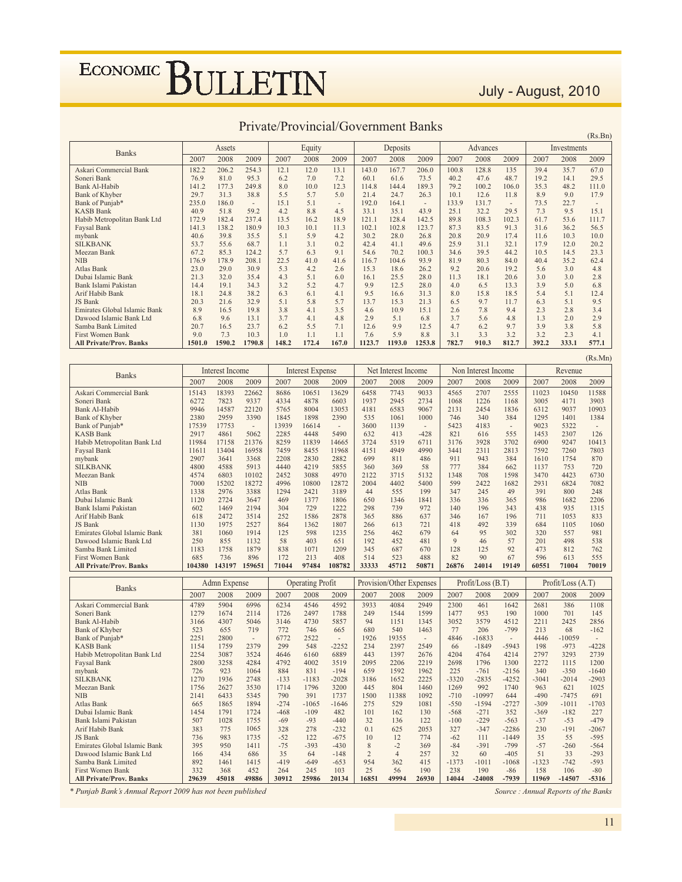### July - August, 2010

 $(Rs.Bn)$ 

| <b>Banks</b>                   |        | Assets |                |       | Equity |                          |        | Deposits |                          |       | Advances |                |       | Investments |       |
|--------------------------------|--------|--------|----------------|-------|--------|--------------------------|--------|----------|--------------------------|-------|----------|----------------|-------|-------------|-------|
|                                | 2007   | 2008   | 2009           | 2007  | 2008   | 2009                     | 2007   | 2008     | 2009                     | 2007  | 2008     | 2009           | 2007  | 2008        | 2009  |
| Askari Commercial Bank         | 182.2  | 206.2  | 254.3          | 12.1  | 12.0   | 13.1                     | 143.0  | 167.7    | 206.0                    | 100.8 | 128.8    | 135            | 39.4  | 35.7        | 67.0  |
| Soneri Bank                    | 76.9   | 81.0   | 95.3           | 6.2   | 7.0    | 7.2                      | 60.1   | 61.6     | 73.5                     | 40.2  | 47.6     | 48.7           | 19.2  | 14.1        | 29.5  |
| <b>Bank Al-Habib</b>           | 141.2  | 177.3  | 249.8          | 8.0   | 10.0   | 12.3                     | 114.8  | 144.4    | 189.3                    | 79.2  | 100.2    | 106.0          | 35.3  | 48.2        | 111.0 |
| Bank of Khyber                 | 29.7   | 31.3   | 38.8           | 5.5   | 5.7    | 5.0                      | 21.4   | 24.7     | 26.3                     | 10.1  | 12.6     | 11.8           | 8.9   | 9.0         | 17.9  |
| Bank of Punjab*                | 235.0  | 186.0  | $\overline{a}$ | 15.1  | 5.1    | $\overline{\phantom{a}}$ | 192.0  | 164.1    | $\overline{\phantom{a}}$ | 133.9 | 131.7    | $\overline{a}$ | 73.5  | 22.7        | ٠     |
| <b>KASB Bank</b>               | 40.9   | 51.8   | 59.2           | 4.2   | 8.8    | 4.5                      | 33.1   | 35.1     | 43.9                     | 25.1  | 32.2     | 29.5           | 7.3   | 9.5         | 15.1  |
| Habib Metropolitan Bank Ltd    | 172.9  | 182.4  | 237.4          | 13.5  | 16.2   | 18.9                     | 121.1  | 128.4    | 142.5                    | 89.8  | 108.3    | 102.3          | 61.7  | 53.6        | 111.7 |
| Faysal Bank                    | 141.3  | 138.2  | 180.9          | 10.3  | 10.1   | 11.3                     | 102.1  | 102.8    | 123.7                    | 87.3  | 83.5     | 91.3           | 31.6  | 36.2        | 56.5  |
| mybank                         | 40.6   | 39.8   | 35.5           | 5.1   | 5.9    | 4.2                      | 30.2   | 28.0     | 26.8                     | 20.8  | 20.9     | 17.4           | 11.6  | 10.3        | 10.0  |
| <b>SILKBANK</b>                | 53.7   | 55.6   | 68.7           | 1.1   | 3.1    | 0.2                      | 42.4   | 41.1     | 49.6                     | 25.9  | 31.1     | 32.1           | 17.9  | 12.0        | 20.2  |
| Meezan Bank                    | 67.2   | 85.3   | 124.2          | 5.7   | 6.3    | 9.1                      | 54.6   | 70.2     | 100.3                    | 34.6  | 39.5     | 44.2           | 10.5  | 14.5        | 23.3  |
| <b>NIB</b>                     | 176.9  | 178.9  | 208.1          | 22.5  | 41.0   | 41.6                     | 116.7  | 104.6    | 93.9                     | 81.9  | 80.3     | 84.0           | 40.4  | 35.2        | 62.4  |
| Atlas Bank                     | 23.0   | 29.0   | 30.9           | 5.3   | 4.2    | 2.6                      | 15.3   | 18.6     | 26.2                     | 9.2   | 20.6     | 19.2           | 5.6   | 3.0         | 4.8   |
| Dubai Islamic Bank             | 21.3   | 32.0   | 35.4           | 4.3   | 5.1    | 6.0                      | 16.1   | 25.5     | 28.0                     | 11.3  | 18.1     | 20.6           | 3.0   | 3.0         | 2.8   |
| Bank Islami Pakistan           | 14.4   | 19.1   | 34.3           | 3.2   | 5.2    | 4.7                      | 9.9    | 12.5     | 28.0                     | 4.0   | 6.5      | 13.3           | 3.9   | 5.0         | 6.8   |
| Arif Habib Bank                | 18.1   | 24.8   | 38.2           | 6.3   | 6.1    | 4.1                      | 9.5    | 16.6     | 31.3                     | 8.0   | 15.8     | 18.5           | 5.4   | 5.1         | 12.4  |
| JS Bank                        | 20.3   | 21.6   | 32.9           | 5.1   | 5.8    | 5.7                      | 13.7   | 15.3     | 21.3                     | 6.5   | 9.7      | 11.7           | 6.3   | 5.1         | 9.5   |
| Emirates Global Islamic Bank   | 8.9    | 16.5   | 19.8           | 3.8   | 4.1    | 3.5                      | 4.6    | 10.9     | 15.1                     | 2.6   | 7.8      | 9.4            | 2.3   | 2.8         | 3.4   |
| Dawood Islamic Bank Ltd        | 6.8    | 9.6    | 13.1           | 3.7   | 4.1    | 4.8                      | 2.9    | 5.1      | 6.8                      | 3.7   | 5.6      | 4.8            | 1.3   | 2.0         | 2.9   |
| Samba Bank Limited             | 20.7   | 16.5   | 23.7           | 6.2   | 5.5    | 7.1                      | 12.6   | 9.9      | 12.5                     | 4.7   | 6.2      | 9.7            | 3.9   | 3.8         | 5.8   |
| <b>First Women Bank</b>        | 9.0    | 7.3    | 10.3           | 1.0   | 1.1    | 1.1                      | 7.6    | 5.9      | 8.8                      | 3.1   | 3.3      | 3.2            | 3.2   | 2.3         | 4.1   |
| <b>All Private/Prov. Banks</b> | 1501.0 | 1590.2 | 1790.8         | 148.2 | 172.4  | 167.0                    | 1123.7 | 1193.0   | 1253.8                   | 782.7 | 910.3    | 812.7          | 392.2 | 333.1       | 577.1 |

#### Private/Provincial/Government Banks

|                                |        |                        |        |                         |                  |        |                          |                     |                          |       |                     |                          |       |                     | (Rs.Mr) |  |
|--------------------------------|--------|------------------------|--------|-------------------------|------------------|--------|--------------------------|---------------------|--------------------------|-------|---------------------|--------------------------|-------|---------------------|---------|--|
| <b>Banks</b>                   |        | <b>Interest Income</b> |        |                         | Interest Expense |        |                          | Net Interest Income |                          |       | Non Interest Income |                          |       | Revenue             |         |  |
|                                | 2007   | 2008                   | 2009   | 2007                    | 2008             | 2009   | 2007                     | 2008                | 2009                     | 2007  | 2008                | 2009                     | 2007  | 2008                | 2009    |  |
| Askari Commercial Bank         | 15143  | 18393                  | 22662  | 8686                    | 10651            | 13629  | 6458                     | 7743                | 9033                     | 4565  | 2707                | 2555                     | 11023 | 10450               | 11588   |  |
| Soneri Bank                    | 6272   | 7823                   | 9337   | 4334                    | 4878             | 6603   | 1937                     | 2945                | 2734                     | 1068  | 1226                | 1168                     | 3005  | 4171                | 3903    |  |
| Bank Al-Habib                  | 9946   | 14587                  | 22120  | 5765                    | 8004             | 13053  | 4181                     | 6583                | 9067                     | 2131  | 2454                | 1836                     | 6312  | 9037                | 10903   |  |
| Bank of Khyber                 | 2380   | 2959                   | 3390   | 1845                    | 1898             | 2390   | 535                      | 1061                | 1000                     | 746   | 340                 | 384                      | 1295  | 1401                | 1384    |  |
| Bank of Punjab*                | 17539  | 17753                  | ٠      | 13939                   | 16614            |        | 3600                     | 1139                | $\overline{\phantom{a}}$ | 5423  | 4183                | $\overline{\phantom{m}}$ | 9023  | 5322                |         |  |
| <b>KASB Bank</b>               | 2917   | 4861                   | 5062   | 2285                    | 4448             | 5490   | 632                      | 413                 | $-428$                   | 821   | 616                 | 555                      | 1453  | 2307                | 126     |  |
| Habib Metropolitan Bank Ltd    | 11984  | 17158                  | 21376  | 8259                    | 11839            | 14665  | 3724                     | 5319                | 6711                     | 3176  | 3928                | 3702                     | 6900  | 9247                | 10413   |  |
| Faysal Bank                    | 11611  | 13404                  | 16958  | 7459                    | 8455             | 11968  | 4151                     | 4949                | 4990                     | 3441  | 2311                | 2813                     | 7592  | 7260                | 7803    |  |
| mybank                         | 2907   | 3641                   | 3368   | 2208                    | 2830             | 2882   | 699                      | 811                 | 486                      | 911   | 943                 | 384                      | 1610  | 1754                | 870     |  |
| <b>SILKBANK</b>                | 4800   | 4588                   | 5913   | 4440                    | 4219             | 5855   | 360                      | 369                 | 58                       | 777   | 384                 | 662                      | 1137  | 753                 | 720     |  |
| Meezan Bank                    | 4574   | 6803                   | 10102  | 2452                    | 3088             | 4970   | 2122                     | 3715                | 5132                     | 1348  | 708                 | 1598                     | 3470  | 4423                | 6730    |  |
| <b>NIB</b>                     | 7000   | 15202                  | 18272  | 4996                    | 10800            | 12872  | 2004                     | 4402                | 5400                     | 599   | 2422                | 1682                     | 2931  | 6824                | 7082    |  |
| Atlas Bank                     | 1338   | 2976                   | 3388   | 1294                    | 2421             | 3189   | 44                       | 555                 | 199                      | 347   | 245                 | 49                       | 391   | 800                 | 248     |  |
| Dubai Islamic Bank             | 1120   | 2724                   | 3647   | 469                     | 1377             | 1806   | 650                      | 1346                | 1841                     | 336   | 336                 | 365                      | 986   | 1682                | 2206    |  |
| Bank Islami Pakistan           | 602    | 1469                   | 2194   | 304                     | 729              | 1222   | 298                      | 739                 | 972                      | 140   | 196                 | 343                      | 438   | 935                 | 1315    |  |
| Arif Habib Bank                | 618    | 2472                   | 3514   | 252                     | 1586             | 2878   | 365                      | 886                 | 637                      | 346   | 167                 | 196                      | 711   | 1053                | 833     |  |
| JS Bank                        | 1130   | 1975                   | 2527   | 864                     | 1362             | 1807   | 266                      | 613                 | 721                      | 418   | 492                 | 339                      | 684   | 1105                | 1060    |  |
| Emirates Global Islamic Bank   | 381    | 1060                   | 1914   | 125                     | 598              | 1235   | 256                      | 462                 | 679                      | 64    | 95                  | 302                      | 320   | 557                 | 981     |  |
| Dawood Islamic Bank Ltd        | 250    | 855                    | 1132   | 58                      | 403              | 651    | 192                      | 452                 | 481                      | 9     | 46                  | 57                       | 201   | 498                 | 538     |  |
| Samba Bank Limited             | 1183   | 1758                   | 1879   | 838                     | 1071             | 1209   | 345                      | 687                 | 670                      | 128   | 125                 | 92                       | 473   | 812                 | 762     |  |
| <b>First Women Bank</b>        | 685    | 736                    | 896    | 172                     | 213              | 408    | 514                      | 523                 | 488                      | 82    | 90                  | 67                       | 596   | 613                 | 555     |  |
| <b>All Private/Prov. Banks</b> | 104380 | 143197                 | 159651 | 71044                   | 97484            | 108782 | 33333                    | 45712               | 50871                    | 26876 | 24014               | 19149                    | 60551 | 71004               | 70019   |  |
|                                |        |                        |        |                         |                  |        |                          |                     |                          |       |                     |                          |       |                     |         |  |
| <b>Banks</b>                   |        | Admn Expense           |        | <b>Operating Profit</b> |                  |        | Provision/Other Expenses |                     |                          |       | Profit/Loss (B.T)   |                          |       | Profit / Loss (A.T) |         |  |
|                                | 2007   | 2008                   | 2009   | 2007                    | 2008             | 2009   | 2007                     | 2008                | 2009                     | 2007  | 2008                | 2009                     | 2007  | 2008                | 2009    |  |

| <b>Banks</b>                   |       | Admn Expense |                          |        | <b>Operating Profit</b> |                          |                | Provision/Other Expenses |                          |         | Profit/Loss (B.T) |         |         | Protit/Loss(A.T) |         |
|--------------------------------|-------|--------------|--------------------------|--------|-------------------------|--------------------------|----------------|--------------------------|--------------------------|---------|-------------------|---------|---------|------------------|---------|
|                                | 2007  | 2008         | 2009                     | 2007   | 2008                    | 2009                     | 2007           | 2008                     | 2009                     | 2007    | 2008              | 2009    | 2007    | 2008             | 2009    |
| Askari Commercial Bank         | 4789  | 5904         | 6996                     | 6234   | 4546                    | 4592                     | 3933           | 4084                     | 2949                     | 2300    | 461               | 1642    | 2681    | 386              | 1108    |
| Soneri Bank                    | 1279  | 1674         | 2114                     | 1726   | 2497                    | 1788                     | 249            | 1544                     | 1599                     | 1477    | 953               | 190     | 1000    | 701              | 145     |
| Bank Al-Habib                  | 3166  | 4307         | 5046                     | 3146   | 4730                    | 5857                     | 94             | 1151                     | 1345                     | 3052    | 3579              | 4512    | 2211    | 2425             | 2856    |
| <b>Bank of Khyber</b>          | 523   | 655          | 719                      | 772    | 746                     | 665                      | 680            | 540                      | 1463                     | 77      | 206               | $-799$  | 213     | 68               | $-162$  |
| Bank of Punjab*                | 2251  | 2800         | $\overline{\phantom{a}}$ | 6772   | 2522                    | $\overline{\phantom{a}}$ | 1926           | 19355                    | $\overline{\phantom{a}}$ | 4846    | $-16833$          | $\sim$  | 4446    | $-10059$         |         |
| <b>KASB Bank</b>               | 1154  | 1759         | 2379                     | 299    | 548                     | $-2252$                  | 234            | 2397                     | 2549                     | 66      | $-1849$           | $-5943$ | 198     | $-973$           | $-4228$ |
| Habib Metropolitan Bank Ltd    | 2254  | 3087         | 3524                     | 4646   | 6160                    | 6889                     | 443            | 1397                     | 2676                     | 4204    | 4764              | 4214    | 2797    | 3293             | 2739    |
| Faysal Bank                    | 2800  | 3258         | 4284                     | 4792   | 4002                    | 3519                     | 2095           | 2206                     | 2219                     | 2698    | 1796              | 1300    | 2272    | 1115             | 1200    |
| mybank                         | 726   | 923          | 1064                     | 884    | 831                     | $-194$                   | 659            | 1592                     | 1962                     | 225     | $-761$            | $-2156$ | 340     | $-350$           | $-1640$ |
| <b>SILKBANK</b>                | 1270  | 1936         | 2748                     | $-133$ | $-1183$                 | $-2028$                  | 3186           | 1652                     | 2225                     | $-3320$ | $-2835$           | $-4252$ | $-3041$ | $-2014$          | $-2903$ |
| Meezan Bank                    | 1756  | 2627         | 3530                     | 1714   | 1796                    | 3200                     | 445            | 804                      | 1460                     | 1269    | 992               | 1740    | 963     | 621              | 1025    |
| <b>NIB</b>                     | 2141  | 6433         | 5345                     | 790    | 391                     | 1737                     | 1500           | 11388                    | 1092                     | $-710$  | $-10997$          | 644     | $-490$  | $-7475$          | 691     |
| Atlas Bank                     | 665   | 1865         | 1894                     | $-274$ | $-1065$                 | $-1646$                  | 275            | 529                      | 1081                     | $-550$  | $-1594$           | $-2727$ | $-309$  | $-1011$          | $-1703$ |
| Dubai Islamic Bank             | 1454  | 1791         | 1724                     | $-468$ | $-109$                  | 482                      | 101            | 162                      | 130                      | $-568$  | $-271$            | 352     | $-369$  | $-182$           | 227     |
| Bank Islami Pakistan           | 507   | 1028         | 1755                     | $-69$  | $-93$                   | $-440$                   | 32             | 136                      | 122                      | $-100$  | $-229$            | $-563$  | $-37$   | $-53$            | $-479$  |
| Arif Habib Bank                | 383   | 775          | 1065                     | 328    | 278                     | $-232$                   | 0.1            | 625                      | 2053                     | 327     | $-347$            | $-2286$ | 230     | $-191$           | $-2067$ |
| JS Bank                        | 736   | 983          | 1735                     | $-52$  | 122                     | $-675$                   | 10             |                          | 774                      | $-62$   | 111               | $-1449$ | 35      | 55               | $-595$  |
| Emirates Global Islamic Bank   | 395   | 950          | 1411                     | $-75$  | $-393$                  | $-430$                   | 8              | $-2$                     | 369                      | $-84$   | $-391$            | $-799$  | $-57$   | $-260$           | $-564$  |
| Dawood Islamic Bank Ltd        | 166   | 434          | 686                      | 35     | 64                      | $-148$                   | $\overline{c}$ | $\overline{4}$           | 257                      | 32      | 60                | $-405$  | 51      | 33               | $-293$  |
| Samba Bank Limited             | 892   | 1461         | 1415                     | $-419$ | $-649$                  | $-653$                   | 954            | 362                      | 415                      | $-1373$ | $-1011$           | $-1068$ | $-1323$ | $-742$           | $-593$  |
| First Women Bank               | 332   | 368          | 452                      | 264    | 245                     | 103                      | 25             | 56                       | 190                      | 238     | 190               | $-86$   | 158     | 106              | $-80$   |
| <b>All Private/Prov. Banks</b> | 29639 | 45018        | 49886                    | 30912  | 25986                   | 20134                    | 16851          | 49994                    | 26930                    | 14044   | $-24008$          | $-7939$ | 11969   | $-14507$         | $-5316$ |

\* Punjab Bank's Annual Report 2009 has not been published

Source : Annual Reports of the Banks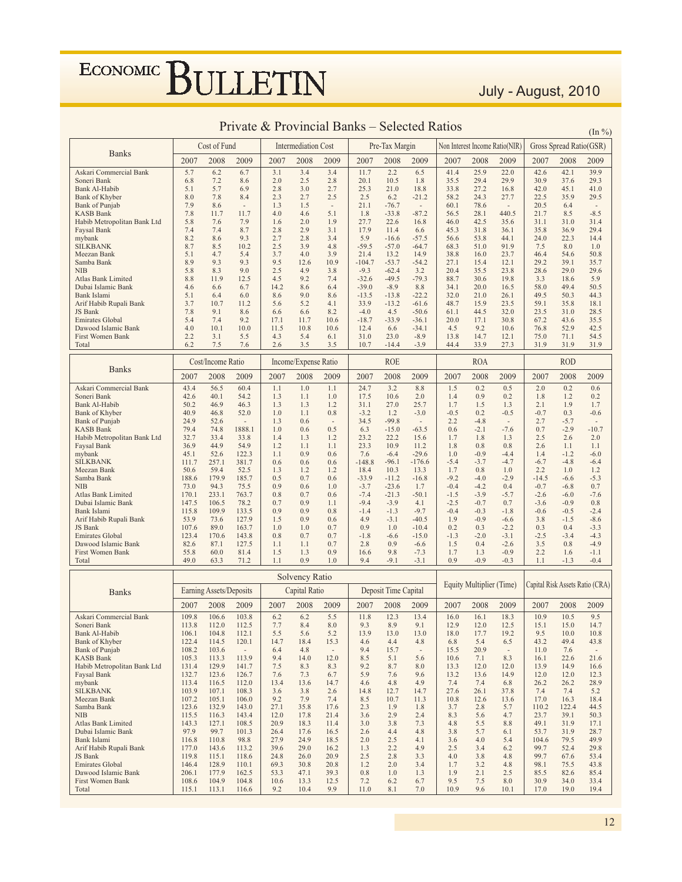#### July - August, 2010

| <b>Banks</b><br>2008<br>2008<br>2008<br>2009<br>2007<br>2007<br>2007<br>2009<br>2007<br>2009<br>2007<br>2008<br>2009<br>2008<br>2009<br>5.7<br>6.2<br>3.1<br>3.4<br>2.2<br>41.4<br>42.6<br>42.1<br>6.7<br>3.4<br>11.7<br>6.5<br>25.9<br>22.0<br>39.9<br>Askari Commercial Bank<br>7.2<br>2.0<br>2.5<br>2.8<br>20.1<br>10.5<br>1.8<br>35.5<br>29.4<br>29.9<br>30.9<br>37.6<br>29.3<br>Soneri Bank<br>6.8<br>8.6<br>25.3<br>Bank Al-Habib<br>5.1<br>5.7<br>6.9<br>2.8<br>3.0<br>2.7<br>21.0<br>18.8<br>33.8<br>27.2<br>16.8<br>42.0<br>45.1<br>41.0<br>8.0<br>2.3<br>2.5<br>58.2<br>22.5<br>35.9<br>29.5<br><b>Bank of Khyber</b><br>7.8<br>8.4<br>2.7<br>2.5<br>6.2<br>$-21.2$<br>24.3<br>27.7<br>7.9<br>Bank of Punjab<br>8.6<br>1.3<br>1.5<br>21.1<br>$-76.7$<br>60.1<br>78.6<br>20.5<br>6.4<br>$\sim$<br>$\overline{\phantom{a}}$<br>$\overline{\phantom{a}}$<br>$\sim$<br>$\overline{\phantom{a}}$<br>5.1<br>$-87.2$<br>$-8.5$<br><b>KASB Bank</b><br>7.8<br>11.7<br>11.7<br>4.0<br>4.6<br>1.8<br>$-33.8$<br>56.5<br>28.1<br>440.5<br>21.7<br>8.5<br>7.6<br>1.9<br>Habib Metropolitan Bank Ltd<br>5.8<br>7.9<br>1.6<br>2.0<br>27.7<br>22.6<br>16.8<br>46.0<br>42.5<br>35.6<br>31.1<br>31.0<br>31.4<br>7.4<br>2.8<br>17.9<br>29.4<br>7.4<br>8.7<br>2.9<br>3.1<br>11.4<br>45.3<br>31.8<br>36.1<br>35.8<br>36.9<br>Faysal Bank<br>6.6<br>8.2<br>9.3<br>2.7<br>5.9<br>22.3<br>mybank<br>8.6<br>2.8<br>3.4<br>$-16.6$<br>$-57.5$<br>56.6<br>53.8<br>44.1<br>24.0<br>14.4<br>8.7<br>8.5<br>10.2<br>2.5<br>3.9<br>$-59.5$<br>$-57.0$<br>68.3<br>51.0<br>91.9<br>7.5<br>8.0<br><b>SILKBANK</b><br>4.8<br>$-64.7$<br>1.0<br>4.7<br>3.7<br>4.0<br>3.9<br>21.4<br>54.6<br>50.8<br>Meezan Bank<br>5.1<br>5.4<br>13.2<br>14.9<br>38.8<br>16.0<br>23.7<br>46.4<br>8.9<br>9.3<br>9.3<br>9.5<br>10.9<br>$-104.7$<br>$-54.2$<br>27.1<br>15.4<br>12.1<br>29.2<br>39.1<br>35.7<br>Samba Bank<br>12.6<br>$-53.7$<br>2.5<br>$-9.3$<br>20.4<br>29.6<br>NIB<br>5.8<br>8.3<br>9.0<br>4.9<br>3.8<br>$-62.4$<br>3.2<br>35.5<br>23.8<br>28.6<br>29.0<br>4.5<br>9.2<br>$-32.6$<br>$-49.5$<br>$-79.3$<br>88.7<br><b>Atlas Bank Limited</b><br>8.8<br>11.9<br>12.5<br>7.4<br>30.6<br>19.8<br>3.3<br>18.6<br>5.9<br>14.2<br>$-39.0$<br>$-8.9$<br>20.0<br>58.0<br>49.4<br>50.5<br>Dubai Islamic Bank<br>4.6<br>6.6<br>6.7<br>8.6<br>6.4<br>8.8<br>34.1<br>16.5<br>Bank Islami<br>5.1<br>6.4<br>6.0<br>8.6<br>9.0<br>$-13.5$<br>$-13.8$<br>$-22.2$<br>32.0<br>21.0<br>26.1<br>49.5<br>50.3<br>44.3<br>8.6<br>33.9<br>48.7<br>Arif Habib Rupali Bank<br>3.7<br>10.7<br>11.2<br>5.6<br>5.2<br>4.1<br>$-13.2$<br>$-61.6$<br>15.9<br>23.5<br>59.1<br>35.8<br>18.1<br>9.1<br>28.5<br>JS Bank<br>7.8<br>8.6<br>8.2<br>$-4.0$<br>4.5<br>$-50.6$<br>61.1<br>44.5<br>32.0<br>23.5<br>31.0<br>6.6<br>6.6<br>7.4<br>9.2<br>17.1<br>$-18.7$<br>$-33.9$<br>20.0<br>67.2<br>35.5<br><b>Emirates Global</b><br>5.4<br>11.7<br>10.6<br>$-36.1$<br>17.1<br>30.8<br>43.6<br>10.1<br>10.0<br>11.5<br>12.4<br>4.5<br>9.2<br>76.8<br>52.9<br>42.5<br>Dawood Islamic Bank<br>4.0<br>10.8<br>10.6<br>6.6<br>$-34.1$<br>10.6<br>2.2<br>3.1<br>4.3<br>31.0<br>23.0<br>$-8.9$<br>14.7<br>12.1<br>75.0<br>54.5<br>First Women Bank<br>5.5<br>5.4<br>6.1<br>13.8<br>71.1<br>6.2<br>7.5<br>2.6<br>3.5<br>3.5<br>10.7<br>$-3.9$<br>44.4<br>33.9<br>27.3<br>31.9<br>31.9<br>Total<br>7.6<br>$-14.4$<br>31.9<br><b>ROE</b><br><b>ROA</b><br><b>ROD</b><br>Income/Expense Ratio<br>Cost/Income Ratio<br><b>Banks</b><br>2009<br>2007<br>2008<br>2007<br>2008<br>2007<br>2007<br>2008<br>2007<br>2008<br>2009<br>2009<br>2009<br>2008<br>2009<br>43.4<br>56.5<br>3.2<br>1.5<br>0.2<br>0.5<br>0.2<br>60.4<br>1.1<br>1.0<br>1.1<br>24.7<br>8.8<br>2.0<br>0.6<br>Askari Commercial Bank<br>0.2<br>42.6<br>54.2<br>1.3<br>17.5<br>10.6<br>2.0<br>0.9<br>1.2<br>Soneri Bank<br>40.1<br>1.1<br>1.0<br>1.4<br>0.2<br>1.8<br>50.2<br>46.9<br>27.0<br>25.7<br>1.7<br>1.5<br>2.1<br>1.9<br>1.7<br><b>Bank Al-Habib</b><br>46.3<br>1.3<br>1.3<br>1.2<br>31.1<br>1.3<br>40.9<br>52.0<br>1.0<br>1.1<br>$-3.2$<br>1.2<br>$-0.5$<br>0.2<br>$-0.7$<br>0.3<br>$-0.6$<br><b>Bank of Khyber</b><br>46.8<br>0.8<br>$-3.0$<br>$-0.5$<br>24.9<br>1.3<br>34.5<br>$-99.8$<br>2.2<br>2.7<br><b>Bank of Punjab</b><br>52.6<br>0.6<br>$-4.8$<br>$-5.7$<br>$\sim$<br>$\overline{\phantom{a}}$<br>$\overline{\phantom{a}}$<br>$\overline{\phantom{a}}$<br>79.4<br>0.7<br>$-2.9$<br>$-10.7$<br>KASB Bank<br>74.8<br>1888.1<br>1.0<br>0.6<br>0.5<br>6.3<br>$-15.0$<br>$-63.5$<br>0.6<br>$-2.1$<br>$-7.6$<br>32.7<br>23.2<br>22.2<br>15.6<br>2.5<br>2.0<br>Habib Metropolitan Bank Ltd<br>33.4<br>33.8<br>1.4<br>1.3<br>1.2<br>1.7<br>1.8<br>1.3<br>2.6<br>23.3<br>10.9<br><b>Faysal Bank</b><br>36.9<br>44.9<br>54.9<br>1.2<br>1.1<br>1.1<br>11.2<br>1.8<br>0.8<br>0.8<br>2.6<br>1.1<br>1.1<br>45.1<br>1.1<br>0.9<br>0.6<br>7.6<br>$-29.6$<br>mybank<br>52.6<br>122.3<br>$-6.4$<br>1.0<br>$-0.9$<br>$-4.4$<br>1.4<br>$-1.2$<br>$-6.0$<br>$-5.4$<br><b>SILKBANK</b><br>111.7<br>257.1<br>381.7<br>0.6<br>0.6<br>0.6<br>$-148.8$<br>$-96.1$<br>$-176.6$<br>$-3.7$<br>$-4.7$<br>$-6.7$<br>$-4.8$<br>$-6.4$<br>18.4<br>1.7<br>2.2<br>Meezan Bank<br>50.6<br>59.4<br>52.5<br>1.3<br>1.2<br>1.2<br>10.3<br>13.3<br>0.8<br>1.0<br>1.0<br>1.2<br>$-33.9$<br>$-9.2$<br>$-5.3$<br>188.6<br>179.9<br>0.5<br>0.7<br>$-11.2$<br>$-16.8$<br>$-4.0$<br>Samba Bank<br>185.7<br>0.6<br>$-2.9$<br>$-14.5$<br>$-6.6$<br>73.0<br>75.5<br>0.9<br>$-3.7$<br>$-23.6$<br>$-0.4$<br>$-0.7$<br>0.7<br>NIB<br>94.3<br>0.6<br>1.0<br>1.7<br>$-4.2$<br>0.4<br>$-6.8$<br>233.1<br>0.8<br>0.7<br>0.6<br>$-7.4$<br>$-21.3$<br>$-50.1$<br>$-1.5$<br>$-3.9$<br>$-2.6$<br>$-7.6$<br><b>Atlas Bank Limited</b><br>170.1<br>763.7<br>$-5.7$<br>$-6.0$<br>$-9.4$<br>Dubai Islamic Bank<br>147.5<br>106.5<br>78.2<br>0.7<br>0.9<br>1.1<br>$-3.9$<br>4.1<br>$-2.5$<br>$-0.7$<br>0.7<br>$-3.6$<br>$-0.9$<br>0.8<br>115.8<br>109.9<br>133.5<br>0.9<br>$-1.4$<br>$-9.7$<br>$-0.4$<br>$-2.4$<br>Bank Islami<br>0.9<br>0.8<br>$-1.3$<br>$-0.3$<br>$-1.8$<br>$-0.6$<br>$-0.5$<br>4.9<br>53.9<br>73.6<br>$-3.1$<br>$-40.5$<br>1.9<br>$-0.9$<br>3.8<br>$-8.6$<br>Arif Habib Rupali Bank<br>127.9<br>1.5<br>0.9<br>0.6<br>$-6.6$<br>$-1.5$<br>0.9<br>0.2<br>$-3.3$<br>JS Bank<br>107.6<br>89.0<br>163.7<br>1.0<br>1.0<br>0.7<br>1.0<br>$-10.4$<br>0.3<br>$-2.2$<br>0.3<br>0.4<br>$-1.8$<br>$-1.3$<br>$-2.5$<br>$-4.3$<br><b>Emirates Global</b><br>123.4<br>170.6<br>143.8<br>0.8<br>0.7<br>0.7<br>$-6.6$<br>$-15.0$<br>$-2.0$<br>$-3.1$<br>$-3.4$<br>82.6<br>87.1<br>0.7<br>2.8<br>1.5<br>3.5<br>$-4.9$<br>Dawood Islamic Bank<br>127.5<br>1.1<br>1.1<br>0.9<br>$-6.6$<br>0.4<br>$-2.6$<br>0.8<br>55.8<br>0.9<br>9.8<br>1.7<br>$-0.9$<br>2.2<br>First Women Bank<br>60.0<br>81.4<br>1.5<br>1.3<br>16.6<br>$-7.3$<br>1.3<br>1.6<br>$-1.1$<br>9.4<br>$-9.1$<br>$-0.4$<br>49.0<br>0.9<br>0.9<br>$-0.9$<br>$-1.3$<br>Total<br>63.3<br>71.2<br>1.1<br>1.0<br>$-3.1$<br>$-0.3$<br>1.1<br>Solvency Ratio<br>Equity Multiplier (Time)<br>Capital Risk Assets Ratio (CRA)<br>Deposit Time Capital<br>Earning Assets/Deposits<br>Capital Ratio<br><b>Banks</b><br>2008<br>2007<br>2008<br>2009<br>2007<br>2008<br>2009<br>2007<br>2008<br>2009<br>2007<br>2009<br>2007<br>2008<br>2009<br>12.3<br>18.3<br>109.8<br>106.6<br>103.8<br>6.2<br>6.2<br>5.5<br>11.8<br>13.4<br>16.0<br>16.1<br>10.9<br>10.5<br>9.5<br>Askari Commercial Bank<br>7.7<br>8.4<br>9.3<br>9.1<br>12.5<br>15.1<br>14.7<br>Soneri Bank<br>113.8<br>112.0<br>112.5<br>8.0<br>8.9<br>12.9<br>12.0<br>15.0<br>104.8<br>112.1<br>5.5<br>5.6<br>5.2<br>13.9<br>13.0<br>13.0<br>18.0<br>17.7<br>19.2<br>9.5<br>10.0<br>10.8<br>Bank Al-Habib<br>106.1<br><b>Bank of Khyber</b><br>122.4<br>114.5<br>120.1<br>14.7<br>18.4<br>15.3<br>4.6<br>4.4<br>4.8<br>6.8<br>5.4<br>6.5<br>43.2<br>49.4<br>43.8<br>Bank of Punjab<br>108.2<br>103.6<br>9.4<br>15.7<br>15.5<br>20.9<br>7.6<br>6.4<br>4.8<br>11.0<br>$\overline{\phantom{a}}$<br>$\overline{\phantom{a}}$<br><b>KASB Bank</b><br>105.3<br>113.3<br>113.9<br>9.4<br>14.0<br>12.0<br>8.5<br>5.1<br>5.6<br>10.6<br>7.1<br>8.3<br>16.1<br>22.6<br>21.6<br>Habib Metropolitan Bank Ltd<br>129.9<br>141.7<br>14.9<br>131.4<br>7.5<br>8.3<br>8.3<br>9.2<br>8.7<br>8.0<br>13.3<br>12.0<br>12.0<br>13.9<br>16.6<br>5.9<br>Faysal Bank<br>132.7<br>123.6<br>126.7<br>7.6<br>7.3<br>6.7<br>7.6<br>9.6<br>13.2<br>14.9<br>12.0<br>12.3<br>13.6<br>12.0<br>mybank<br>112.0<br>14.7<br>4.6<br>4.9<br>7.4<br>7.4<br>6.8<br>26.2<br>26.2<br>28.9<br>113.4<br>116.5<br>13.4<br>13.6<br>4.8<br><b>SILKBANK</b><br>103.9<br>107.1<br>108.3<br>3.6<br>3.8<br>2.6<br>27.6<br>26.1<br>7.4<br>7.4<br>5.2<br>14.8<br>12.7<br>14.7<br>37.8<br>Meezan Bank<br>107.2<br>105.1<br>106.0<br>9.2<br>7.9<br>8.5<br>10.7<br>11.3<br>10.8<br>12.6<br>13.6<br>17.0<br>16.3<br>18.4<br>7.4<br>Samba Bank<br>123.6<br>132.9<br>143.0<br>27.1<br>35.8<br>17.6<br>2.3<br>1.9<br>3.7<br>2.8<br>5.7<br>110.2<br>122.4<br>44.5<br>1.8 |            |       | Cost of Fund |       |      | <b>Intermediation Cost</b> |      |     | Pre-Tax Margin |     |     |     | Non Interest Income Ratio(NIR) |      | Gross Spread Ratio(GSR) |      |
|-----------------------------------------------------------------------------------------------------------------------------------------------------------------------------------------------------------------------------------------------------------------------------------------------------------------------------------------------------------------------------------------------------------------------------------------------------------------------------------------------------------------------------------------------------------------------------------------------------------------------------------------------------------------------------------------------------------------------------------------------------------------------------------------------------------------------------------------------------------------------------------------------------------------------------------------------------------------------------------------------------------------------------------------------------------------------------------------------------------------------------------------------------------------------------------------------------------------------------------------------------------------------------------------------------------------------------------------------------------------------------------------------------------------------------------------------------------------------------------------------------------------------------------------------------------------------------------------------------------------------------------------------------------------------------------------------------------------------------------------------------------------------------------------------------------------------------------------------------------------------------------------------------------------------------------------------------------------------------------------------------------------------------------------------------------------------------------------------------------------------------------------------------------------------------------------------------------------------------------------------------------------------------------------------------------------------------------------------------------------------------------------------------------------------------------------------------------------------------------------------------------------------------------------------------------------------------------------------------------------------------------------------------------------------------------------------------------------------------------------------------------------------------------------------------------------------------------------------------------------------------------------------------------------------------------------------------------------------------------------------------------------------------------------------------------------------------------------------------------------------------------------------------------------------------------------------------------------------------------------------------------------------------------------------------------------------------------------------------------------------------------------------------------------------------------------------------------------------------------------------------------------------------------------------------------------------------------------------------------------------------------------------------------------------------------------------------------------------------------------------------------------------------------------------------------------------------------------------------------------------------------------------------------------------------------------------------------------------------------------------------------------------------------------------------------------------------------------------------------------------------------------------------------------------------------------------------------------------------------------------------------------------------------------------------------------------------------------------------------------------------------------------------------------------------------------------------------------------------------------------------------------------------------------------------------------------------------------------------------------------------------------------------------------------------------------------------------------------------------------------------------------------------------------------------------------------------------------------------------------------------------------------------------------------------------------------------------------------------------------------------------------------------------------------------------------------------------------------------------------------------------------------------------------------------------------------------------------------------------------------------------------------------------------------------------------------------------------------------------------------------------------------------------------------------------------------------------------------------------------------------------------------------------------------------------------------------------------------------------------------------------------------------------------------------------------------------------------------------------------------------------------------------------------------------------------------------------------------------------------------------------------------------------------------------------------------------------------------------------------------------------------------------------------------------------------------------------------------------------------------------------------------------------------------------------------------------------------------------------------------------------------------------------------------------------------------------------------------------------------------------------------------------------------------------------------------------------------------------------------------------------------------------------------------------------------------------------------------------------------------------------------------------------------------------------------------------------------------------------------------------------------------------------------------------------------------------------------------------------------------------------------------------------------------------------------------------------------------------------------------------------------------------------------------------------------------------------------------------------------------------------------------------------------------------------------------------------------------------------------------------------------------------------------------------------------------------------------------------------------------------------------------------------------------------------------------------------------------------------------------------------------------------------------------------------------------------------------------------------------------------------------------------------------------------------------------------------------------------------------------------------------------------------------------------------------------------------------------------------------------------------------------------------------------------------------------------------------------------------------------------------------------------------------------------------------------------------------------------------------------------------------------------------------------------------------------------------------------------------------------------------------------------------------------------------------------------------------------------------------------------------------------------------------------------------------------------------------------------------------------------------------------------------------------------------------------------------------------------------------------------------------------------------------------------------------------------------------------------------------------------------------------------------------------------------------------------------------------------------------------------------------------------------------------------------------------------|------------|-------|--------------|-------|------|----------------------------|------|-----|----------------|-----|-----|-----|--------------------------------|------|-------------------------|------|
|                                                                                                                                                                                                                                                                                                                                                                                                                                                                                                                                                                                                                                                                                                                                                                                                                                                                                                                                                                                                                                                                                                                                                                                                                                                                                                                                                                                                                                                                                                                                                                                                                                                                                                                                                                                                                                                                                                                                                                                                                                                                                                                                                                                                                                                                                                                                                                                                                                                                                                                                                                                                                                                                                                                                                                                                                                                                                                                                                                                                                                                                                                                                                                                                                                                                                                                                                                                                                                                                                                                                                                                                                                                                                                                                                                                                                                                                                                                                                                                                                                                                                                                                                                                                                                                                                                                                                                                                                                                                                                                                                                                                                                                                                                                                                                                                                                                                                                                                                                                                                                                                                                                                                                                                                                                                                                                                                                                                                                                                                                                                                                                                                                                                                                                                                                                                                                                                                                                                                                                                                                                                                                                                                                                                                                                                                                                                                                                                                                                                                                                                                                                                                                                                                                                                                                                                                                                                                                                                                                                                                                                                                                                                                                                                                                                                                                                                                                                                                                                                                                                                                                                                                                                                                                                                                                                                                                                                                                                                                                                                                                                                                                                                                                                                                                                                                                                                                                                                                                                                                                                                                                                                                                                                                                                                                                                                                                                                                                                                                     |            |       |              |       |      |                            |      |     |                |     |     |     |                                |      |                         |      |
|                                                                                                                                                                                                                                                                                                                                                                                                                                                                                                                                                                                                                                                                                                                                                                                                                                                                                                                                                                                                                                                                                                                                                                                                                                                                                                                                                                                                                                                                                                                                                                                                                                                                                                                                                                                                                                                                                                                                                                                                                                                                                                                                                                                                                                                                                                                                                                                                                                                                                                                                                                                                                                                                                                                                                                                                                                                                                                                                                                                                                                                                                                                                                                                                                                                                                                                                                                                                                                                                                                                                                                                                                                                                                                                                                                                                                                                                                                                                                                                                                                                                                                                                                                                                                                                                                                                                                                                                                                                                                                                                                                                                                                                                                                                                                                                                                                                                                                                                                                                                                                                                                                                                                                                                                                                                                                                                                                                                                                                                                                                                                                                                                                                                                                                                                                                                                                                                                                                                                                                                                                                                                                                                                                                                                                                                                                                                                                                                                                                                                                                                                                                                                                                                                                                                                                                                                                                                                                                                                                                                                                                                                                                                                                                                                                                                                                                                                                                                                                                                                                                                                                                                                                                                                                                                                                                                                                                                                                                                                                                                                                                                                                                                                                                                                                                                                                                                                                                                                                                                                                                                                                                                                                                                                                                                                                                                                                                                                                                                                     |            |       |              |       |      |                            |      |     |                |     |     |     |                                |      |                         |      |
|                                                                                                                                                                                                                                                                                                                                                                                                                                                                                                                                                                                                                                                                                                                                                                                                                                                                                                                                                                                                                                                                                                                                                                                                                                                                                                                                                                                                                                                                                                                                                                                                                                                                                                                                                                                                                                                                                                                                                                                                                                                                                                                                                                                                                                                                                                                                                                                                                                                                                                                                                                                                                                                                                                                                                                                                                                                                                                                                                                                                                                                                                                                                                                                                                                                                                                                                                                                                                                                                                                                                                                                                                                                                                                                                                                                                                                                                                                                                                                                                                                                                                                                                                                                                                                                                                                                                                                                                                                                                                                                                                                                                                                                                                                                                                                                                                                                                                                                                                                                                                                                                                                                                                                                                                                                                                                                                                                                                                                                                                                                                                                                                                                                                                                                                                                                                                                                                                                                                                                                                                                                                                                                                                                                                                                                                                                                                                                                                                                                                                                                                                                                                                                                                                                                                                                                                                                                                                                                                                                                                                                                                                                                                                                                                                                                                                                                                                                                                                                                                                                                                                                                                                                                                                                                                                                                                                                                                                                                                                                                                                                                                                                                                                                                                                                                                                                                                                                                                                                                                                                                                                                                                                                                                                                                                                                                                                                                                                                                                                     |            |       |              |       |      |                            |      |     |                |     |     |     |                                |      |                         |      |
|                                                                                                                                                                                                                                                                                                                                                                                                                                                                                                                                                                                                                                                                                                                                                                                                                                                                                                                                                                                                                                                                                                                                                                                                                                                                                                                                                                                                                                                                                                                                                                                                                                                                                                                                                                                                                                                                                                                                                                                                                                                                                                                                                                                                                                                                                                                                                                                                                                                                                                                                                                                                                                                                                                                                                                                                                                                                                                                                                                                                                                                                                                                                                                                                                                                                                                                                                                                                                                                                                                                                                                                                                                                                                                                                                                                                                                                                                                                                                                                                                                                                                                                                                                                                                                                                                                                                                                                                                                                                                                                                                                                                                                                                                                                                                                                                                                                                                                                                                                                                                                                                                                                                                                                                                                                                                                                                                                                                                                                                                                                                                                                                                                                                                                                                                                                                                                                                                                                                                                                                                                                                                                                                                                                                                                                                                                                                                                                                                                                                                                                                                                                                                                                                                                                                                                                                                                                                                                                                                                                                                                                                                                                                                                                                                                                                                                                                                                                                                                                                                                                                                                                                                                                                                                                                                                                                                                                                                                                                                                                                                                                                                                                                                                                                                                                                                                                                                                                                                                                                                                                                                                                                                                                                                                                                                                                                                                                                                                                                                     |            |       |              |       |      |                            |      |     |                |     |     |     |                                |      |                         |      |
|                                                                                                                                                                                                                                                                                                                                                                                                                                                                                                                                                                                                                                                                                                                                                                                                                                                                                                                                                                                                                                                                                                                                                                                                                                                                                                                                                                                                                                                                                                                                                                                                                                                                                                                                                                                                                                                                                                                                                                                                                                                                                                                                                                                                                                                                                                                                                                                                                                                                                                                                                                                                                                                                                                                                                                                                                                                                                                                                                                                                                                                                                                                                                                                                                                                                                                                                                                                                                                                                                                                                                                                                                                                                                                                                                                                                                                                                                                                                                                                                                                                                                                                                                                                                                                                                                                                                                                                                                                                                                                                                                                                                                                                                                                                                                                                                                                                                                                                                                                                                                                                                                                                                                                                                                                                                                                                                                                                                                                                                                                                                                                                                                                                                                                                                                                                                                                                                                                                                                                                                                                                                                                                                                                                                                                                                                                                                                                                                                                                                                                                                                                                                                                                                                                                                                                                                                                                                                                                                                                                                                                                                                                                                                                                                                                                                                                                                                                                                                                                                                                                                                                                                                                                                                                                                                                                                                                                                                                                                                                                                                                                                                                                                                                                                                                                                                                                                                                                                                                                                                                                                                                                                                                                                                                                                                                                                                                                                                                                                                     |            |       |              |       |      |                            |      |     |                |     |     |     |                                |      |                         |      |
|                                                                                                                                                                                                                                                                                                                                                                                                                                                                                                                                                                                                                                                                                                                                                                                                                                                                                                                                                                                                                                                                                                                                                                                                                                                                                                                                                                                                                                                                                                                                                                                                                                                                                                                                                                                                                                                                                                                                                                                                                                                                                                                                                                                                                                                                                                                                                                                                                                                                                                                                                                                                                                                                                                                                                                                                                                                                                                                                                                                                                                                                                                                                                                                                                                                                                                                                                                                                                                                                                                                                                                                                                                                                                                                                                                                                                                                                                                                                                                                                                                                                                                                                                                                                                                                                                                                                                                                                                                                                                                                                                                                                                                                                                                                                                                                                                                                                                                                                                                                                                                                                                                                                                                                                                                                                                                                                                                                                                                                                                                                                                                                                                                                                                                                                                                                                                                                                                                                                                                                                                                                                                                                                                                                                                                                                                                                                                                                                                                                                                                                                                                                                                                                                                                                                                                                                                                                                                                                                                                                                                                                                                                                                                                                                                                                                                                                                                                                                                                                                                                                                                                                                                                                                                                                                                                                                                                                                                                                                                                                                                                                                                                                                                                                                                                                                                                                                                                                                                                                                                                                                                                                                                                                                                                                                                                                                                                                                                                                                                     |            |       |              |       |      |                            |      |     |                |     |     |     |                                |      |                         |      |
|                                                                                                                                                                                                                                                                                                                                                                                                                                                                                                                                                                                                                                                                                                                                                                                                                                                                                                                                                                                                                                                                                                                                                                                                                                                                                                                                                                                                                                                                                                                                                                                                                                                                                                                                                                                                                                                                                                                                                                                                                                                                                                                                                                                                                                                                                                                                                                                                                                                                                                                                                                                                                                                                                                                                                                                                                                                                                                                                                                                                                                                                                                                                                                                                                                                                                                                                                                                                                                                                                                                                                                                                                                                                                                                                                                                                                                                                                                                                                                                                                                                                                                                                                                                                                                                                                                                                                                                                                                                                                                                                                                                                                                                                                                                                                                                                                                                                                                                                                                                                                                                                                                                                                                                                                                                                                                                                                                                                                                                                                                                                                                                                                                                                                                                                                                                                                                                                                                                                                                                                                                                                                                                                                                                                                                                                                                                                                                                                                                                                                                                                                                                                                                                                                                                                                                                                                                                                                                                                                                                                                                                                                                                                                                                                                                                                                                                                                                                                                                                                                                                                                                                                                                                                                                                                                                                                                                                                                                                                                                                                                                                                                                                                                                                                                                                                                                                                                                                                                                                                                                                                                                                                                                                                                                                                                                                                                                                                                                                                                     |            |       |              |       |      |                            |      |     |                |     |     |     |                                |      |                         |      |
|                                                                                                                                                                                                                                                                                                                                                                                                                                                                                                                                                                                                                                                                                                                                                                                                                                                                                                                                                                                                                                                                                                                                                                                                                                                                                                                                                                                                                                                                                                                                                                                                                                                                                                                                                                                                                                                                                                                                                                                                                                                                                                                                                                                                                                                                                                                                                                                                                                                                                                                                                                                                                                                                                                                                                                                                                                                                                                                                                                                                                                                                                                                                                                                                                                                                                                                                                                                                                                                                                                                                                                                                                                                                                                                                                                                                                                                                                                                                                                                                                                                                                                                                                                                                                                                                                                                                                                                                                                                                                                                                                                                                                                                                                                                                                                                                                                                                                                                                                                                                                                                                                                                                                                                                                                                                                                                                                                                                                                                                                                                                                                                                                                                                                                                                                                                                                                                                                                                                                                                                                                                                                                                                                                                                                                                                                                                                                                                                                                                                                                                                                                                                                                                                                                                                                                                                                                                                                                                                                                                                                                                                                                                                                                                                                                                                                                                                                                                                                                                                                                                                                                                                                                                                                                                                                                                                                                                                                                                                                                                                                                                                                                                                                                                                                                                                                                                                                                                                                                                                                                                                                                                                                                                                                                                                                                                                                                                                                                                                                     |            |       |              |       |      |                            |      |     |                |     |     |     |                                |      |                         |      |
|                                                                                                                                                                                                                                                                                                                                                                                                                                                                                                                                                                                                                                                                                                                                                                                                                                                                                                                                                                                                                                                                                                                                                                                                                                                                                                                                                                                                                                                                                                                                                                                                                                                                                                                                                                                                                                                                                                                                                                                                                                                                                                                                                                                                                                                                                                                                                                                                                                                                                                                                                                                                                                                                                                                                                                                                                                                                                                                                                                                                                                                                                                                                                                                                                                                                                                                                                                                                                                                                                                                                                                                                                                                                                                                                                                                                                                                                                                                                                                                                                                                                                                                                                                                                                                                                                                                                                                                                                                                                                                                                                                                                                                                                                                                                                                                                                                                                                                                                                                                                                                                                                                                                                                                                                                                                                                                                                                                                                                                                                                                                                                                                                                                                                                                                                                                                                                                                                                                                                                                                                                                                                                                                                                                                                                                                                                                                                                                                                                                                                                                                                                                                                                                                                                                                                                                                                                                                                                                                                                                                                                                                                                                                                                                                                                                                                                                                                                                                                                                                                                                                                                                                                                                                                                                                                                                                                                                                                                                                                                                                                                                                                                                                                                                                                                                                                                                                                                                                                                                                                                                                                                                                                                                                                                                                                                                                                                                                                                                                                     |            |       |              |       |      |                            |      |     |                |     |     |     |                                |      |                         |      |
|                                                                                                                                                                                                                                                                                                                                                                                                                                                                                                                                                                                                                                                                                                                                                                                                                                                                                                                                                                                                                                                                                                                                                                                                                                                                                                                                                                                                                                                                                                                                                                                                                                                                                                                                                                                                                                                                                                                                                                                                                                                                                                                                                                                                                                                                                                                                                                                                                                                                                                                                                                                                                                                                                                                                                                                                                                                                                                                                                                                                                                                                                                                                                                                                                                                                                                                                                                                                                                                                                                                                                                                                                                                                                                                                                                                                                                                                                                                                                                                                                                                                                                                                                                                                                                                                                                                                                                                                                                                                                                                                                                                                                                                                                                                                                                                                                                                                                                                                                                                                                                                                                                                                                                                                                                                                                                                                                                                                                                                                                                                                                                                                                                                                                                                                                                                                                                                                                                                                                                                                                                                                                                                                                                                                                                                                                                                                                                                                                                                                                                                                                                                                                                                                                                                                                                                                                                                                                                                                                                                                                                                                                                                                                                                                                                                                                                                                                                                                                                                                                                                                                                                                                                                                                                                                                                                                                                                                                                                                                                                                                                                                                                                                                                                                                                                                                                                                                                                                                                                                                                                                                                                                                                                                                                                                                                                                                                                                                                                                                     |            |       |              |       |      |                            |      |     |                |     |     |     |                                |      |                         |      |
|                                                                                                                                                                                                                                                                                                                                                                                                                                                                                                                                                                                                                                                                                                                                                                                                                                                                                                                                                                                                                                                                                                                                                                                                                                                                                                                                                                                                                                                                                                                                                                                                                                                                                                                                                                                                                                                                                                                                                                                                                                                                                                                                                                                                                                                                                                                                                                                                                                                                                                                                                                                                                                                                                                                                                                                                                                                                                                                                                                                                                                                                                                                                                                                                                                                                                                                                                                                                                                                                                                                                                                                                                                                                                                                                                                                                                                                                                                                                                                                                                                                                                                                                                                                                                                                                                                                                                                                                                                                                                                                                                                                                                                                                                                                                                                                                                                                                                                                                                                                                                                                                                                                                                                                                                                                                                                                                                                                                                                                                                                                                                                                                                                                                                                                                                                                                                                                                                                                                                                                                                                                                                                                                                                                                                                                                                                                                                                                                                                                                                                                                                                                                                                                                                                                                                                                                                                                                                                                                                                                                                                                                                                                                                                                                                                                                                                                                                                                                                                                                                                                                                                                                                                                                                                                                                                                                                                                                                                                                                                                                                                                                                                                                                                                                                                                                                                                                                                                                                                                                                                                                                                                                                                                                                                                                                                                                                                                                                                                                                     |            |       |              |       |      |                            |      |     |                |     |     |     |                                |      |                         |      |
|                                                                                                                                                                                                                                                                                                                                                                                                                                                                                                                                                                                                                                                                                                                                                                                                                                                                                                                                                                                                                                                                                                                                                                                                                                                                                                                                                                                                                                                                                                                                                                                                                                                                                                                                                                                                                                                                                                                                                                                                                                                                                                                                                                                                                                                                                                                                                                                                                                                                                                                                                                                                                                                                                                                                                                                                                                                                                                                                                                                                                                                                                                                                                                                                                                                                                                                                                                                                                                                                                                                                                                                                                                                                                                                                                                                                                                                                                                                                                                                                                                                                                                                                                                                                                                                                                                                                                                                                                                                                                                                                                                                                                                                                                                                                                                                                                                                                                                                                                                                                                                                                                                                                                                                                                                                                                                                                                                                                                                                                                                                                                                                                                                                                                                                                                                                                                                                                                                                                                                                                                                                                                                                                                                                                                                                                                                                                                                                                                                                                                                                                                                                                                                                                                                                                                                                                                                                                                                                                                                                                                                                                                                                                                                                                                                                                                                                                                                                                                                                                                                                                                                                                                                                                                                                                                                                                                                                                                                                                                                                                                                                                                                                                                                                                                                                                                                                                                                                                                                                                                                                                                                                                                                                                                                                                                                                                                                                                                                                                                     |            |       |              |       |      |                            |      |     |                |     |     |     |                                |      |                         |      |
|                                                                                                                                                                                                                                                                                                                                                                                                                                                                                                                                                                                                                                                                                                                                                                                                                                                                                                                                                                                                                                                                                                                                                                                                                                                                                                                                                                                                                                                                                                                                                                                                                                                                                                                                                                                                                                                                                                                                                                                                                                                                                                                                                                                                                                                                                                                                                                                                                                                                                                                                                                                                                                                                                                                                                                                                                                                                                                                                                                                                                                                                                                                                                                                                                                                                                                                                                                                                                                                                                                                                                                                                                                                                                                                                                                                                                                                                                                                                                                                                                                                                                                                                                                                                                                                                                                                                                                                                                                                                                                                                                                                                                                                                                                                                                                                                                                                                                                                                                                                                                                                                                                                                                                                                                                                                                                                                                                                                                                                                                                                                                                                                                                                                                                                                                                                                                                                                                                                                                                                                                                                                                                                                                                                                                                                                                                                                                                                                                                                                                                                                                                                                                                                                                                                                                                                                                                                                                                                                                                                                                                                                                                                                                                                                                                                                                                                                                                                                                                                                                                                                                                                                                                                                                                                                                                                                                                                                                                                                                                                                                                                                                                                                                                                                                                                                                                                                                                                                                                                                                                                                                                                                                                                                                                                                                                                                                                                                                                                                                     |            |       |              |       |      |                            |      |     |                |     |     |     |                                |      |                         |      |
|                                                                                                                                                                                                                                                                                                                                                                                                                                                                                                                                                                                                                                                                                                                                                                                                                                                                                                                                                                                                                                                                                                                                                                                                                                                                                                                                                                                                                                                                                                                                                                                                                                                                                                                                                                                                                                                                                                                                                                                                                                                                                                                                                                                                                                                                                                                                                                                                                                                                                                                                                                                                                                                                                                                                                                                                                                                                                                                                                                                                                                                                                                                                                                                                                                                                                                                                                                                                                                                                                                                                                                                                                                                                                                                                                                                                                                                                                                                                                                                                                                                                                                                                                                                                                                                                                                                                                                                                                                                                                                                                                                                                                                                                                                                                                                                                                                                                                                                                                                                                                                                                                                                                                                                                                                                                                                                                                                                                                                                                                                                                                                                                                                                                                                                                                                                                                                                                                                                                                                                                                                                                                                                                                                                                                                                                                                                                                                                                                                                                                                                                                                                                                                                                                                                                                                                                                                                                                                                                                                                                                                                                                                                                                                                                                                                                                                                                                                                                                                                                                                                                                                                                                                                                                                                                                                                                                                                                                                                                                                                                                                                                                                                                                                                                                                                                                                                                                                                                                                                                                                                                                                                                                                                                                                                                                                                                                                                                                                                                                     |            |       |              |       |      |                            |      |     |                |     |     |     |                                |      |                         |      |
|                                                                                                                                                                                                                                                                                                                                                                                                                                                                                                                                                                                                                                                                                                                                                                                                                                                                                                                                                                                                                                                                                                                                                                                                                                                                                                                                                                                                                                                                                                                                                                                                                                                                                                                                                                                                                                                                                                                                                                                                                                                                                                                                                                                                                                                                                                                                                                                                                                                                                                                                                                                                                                                                                                                                                                                                                                                                                                                                                                                                                                                                                                                                                                                                                                                                                                                                                                                                                                                                                                                                                                                                                                                                                                                                                                                                                                                                                                                                                                                                                                                                                                                                                                                                                                                                                                                                                                                                                                                                                                                                                                                                                                                                                                                                                                                                                                                                                                                                                                                                                                                                                                                                                                                                                                                                                                                                                                                                                                                                                                                                                                                                                                                                                                                                                                                                                                                                                                                                                                                                                                                                                                                                                                                                                                                                                                                                                                                                                                                                                                                                                                                                                                                                                                                                                                                                                                                                                                                                                                                                                                                                                                                                                                                                                                                                                                                                                                                                                                                                                                                                                                                                                                                                                                                                                                                                                                                                                                                                                                                                                                                                                                                                                                                                                                                                                                                                                                                                                                                                                                                                                                                                                                                                                                                                                                                                                                                                                                                                                     |            |       |              |       |      |                            |      |     |                |     |     |     |                                |      |                         |      |
|                                                                                                                                                                                                                                                                                                                                                                                                                                                                                                                                                                                                                                                                                                                                                                                                                                                                                                                                                                                                                                                                                                                                                                                                                                                                                                                                                                                                                                                                                                                                                                                                                                                                                                                                                                                                                                                                                                                                                                                                                                                                                                                                                                                                                                                                                                                                                                                                                                                                                                                                                                                                                                                                                                                                                                                                                                                                                                                                                                                                                                                                                                                                                                                                                                                                                                                                                                                                                                                                                                                                                                                                                                                                                                                                                                                                                                                                                                                                                                                                                                                                                                                                                                                                                                                                                                                                                                                                                                                                                                                                                                                                                                                                                                                                                                                                                                                                                                                                                                                                                                                                                                                                                                                                                                                                                                                                                                                                                                                                                                                                                                                                                                                                                                                                                                                                                                                                                                                                                                                                                                                                                                                                                                                                                                                                                                                                                                                                                                                                                                                                                                                                                                                                                                                                                                                                                                                                                                                                                                                                                                                                                                                                                                                                                                                                                                                                                                                                                                                                                                                                                                                                                                                                                                                                                                                                                                                                                                                                                                                                                                                                                                                                                                                                                                                                                                                                                                                                                                                                                                                                                                                                                                                                                                                                                                                                                                                                                                                                                     |            |       |              |       |      |                            |      |     |                |     |     |     |                                |      |                         |      |
|                                                                                                                                                                                                                                                                                                                                                                                                                                                                                                                                                                                                                                                                                                                                                                                                                                                                                                                                                                                                                                                                                                                                                                                                                                                                                                                                                                                                                                                                                                                                                                                                                                                                                                                                                                                                                                                                                                                                                                                                                                                                                                                                                                                                                                                                                                                                                                                                                                                                                                                                                                                                                                                                                                                                                                                                                                                                                                                                                                                                                                                                                                                                                                                                                                                                                                                                                                                                                                                                                                                                                                                                                                                                                                                                                                                                                                                                                                                                                                                                                                                                                                                                                                                                                                                                                                                                                                                                                                                                                                                                                                                                                                                                                                                                                                                                                                                                                                                                                                                                                                                                                                                                                                                                                                                                                                                                                                                                                                                                                                                                                                                                                                                                                                                                                                                                                                                                                                                                                                                                                                                                                                                                                                                                                                                                                                                                                                                                                                                                                                                                                                                                                                                                                                                                                                                                                                                                                                                                                                                                                                                                                                                                                                                                                                                                                                                                                                                                                                                                                                                                                                                                                                                                                                                                                                                                                                                                                                                                                                                                                                                                                                                                                                                                                                                                                                                                                                                                                                                                                                                                                                                                                                                                                                                                                                                                                                                                                                                                                     |            |       |              |       |      |                            |      |     |                |     |     |     |                                |      |                         |      |
|                                                                                                                                                                                                                                                                                                                                                                                                                                                                                                                                                                                                                                                                                                                                                                                                                                                                                                                                                                                                                                                                                                                                                                                                                                                                                                                                                                                                                                                                                                                                                                                                                                                                                                                                                                                                                                                                                                                                                                                                                                                                                                                                                                                                                                                                                                                                                                                                                                                                                                                                                                                                                                                                                                                                                                                                                                                                                                                                                                                                                                                                                                                                                                                                                                                                                                                                                                                                                                                                                                                                                                                                                                                                                                                                                                                                                                                                                                                                                                                                                                                                                                                                                                                                                                                                                                                                                                                                                                                                                                                                                                                                                                                                                                                                                                                                                                                                                                                                                                                                                                                                                                                                                                                                                                                                                                                                                                                                                                                                                                                                                                                                                                                                                                                                                                                                                                                                                                                                                                                                                                                                                                                                                                                                                                                                                                                                                                                                                                                                                                                                                                                                                                                                                                                                                                                                                                                                                                                                                                                                                                                                                                                                                                                                                                                                                                                                                                                                                                                                                                                                                                                                                                                                                                                                                                                                                                                                                                                                                                                                                                                                                                                                                                                                                                                                                                                                                                                                                                                                                                                                                                                                                                                                                                                                                                                                                                                                                                                                                     |            |       |              |       |      |                            |      |     |                |     |     |     |                                |      |                         |      |
|                                                                                                                                                                                                                                                                                                                                                                                                                                                                                                                                                                                                                                                                                                                                                                                                                                                                                                                                                                                                                                                                                                                                                                                                                                                                                                                                                                                                                                                                                                                                                                                                                                                                                                                                                                                                                                                                                                                                                                                                                                                                                                                                                                                                                                                                                                                                                                                                                                                                                                                                                                                                                                                                                                                                                                                                                                                                                                                                                                                                                                                                                                                                                                                                                                                                                                                                                                                                                                                                                                                                                                                                                                                                                                                                                                                                                                                                                                                                                                                                                                                                                                                                                                                                                                                                                                                                                                                                                                                                                                                                                                                                                                                                                                                                                                                                                                                                                                                                                                                                                                                                                                                                                                                                                                                                                                                                                                                                                                                                                                                                                                                                                                                                                                                                                                                                                                                                                                                                                                                                                                                                                                                                                                                                                                                                                                                                                                                                                                                                                                                                                                                                                                                                                                                                                                                                                                                                                                                                                                                                                                                                                                                                                                                                                                                                                                                                                                                                                                                                                                                                                                                                                                                                                                                                                                                                                                                                                                                                                                                                                                                                                                                                                                                                                                                                                                                                                                                                                                                                                                                                                                                                                                                                                                                                                                                                                                                                                                                                                     |            |       |              |       |      |                            |      |     |                |     |     |     |                                |      |                         |      |
|                                                                                                                                                                                                                                                                                                                                                                                                                                                                                                                                                                                                                                                                                                                                                                                                                                                                                                                                                                                                                                                                                                                                                                                                                                                                                                                                                                                                                                                                                                                                                                                                                                                                                                                                                                                                                                                                                                                                                                                                                                                                                                                                                                                                                                                                                                                                                                                                                                                                                                                                                                                                                                                                                                                                                                                                                                                                                                                                                                                                                                                                                                                                                                                                                                                                                                                                                                                                                                                                                                                                                                                                                                                                                                                                                                                                                                                                                                                                                                                                                                                                                                                                                                                                                                                                                                                                                                                                                                                                                                                                                                                                                                                                                                                                                                                                                                                                                                                                                                                                                                                                                                                                                                                                                                                                                                                                                                                                                                                                                                                                                                                                                                                                                                                                                                                                                                                                                                                                                                                                                                                                                                                                                                                                                                                                                                                                                                                                                                                                                                                                                                                                                                                                                                                                                                                                                                                                                                                                                                                                                                                                                                                                                                                                                                                                                                                                                                                                                                                                                                                                                                                                                                                                                                                                                                                                                                                                                                                                                                                                                                                                                                                                                                                                                                                                                                                                                                                                                                                                                                                                                                                                                                                                                                                                                                                                                                                                                                                                                     |            |       |              |       |      |                            |      |     |                |     |     |     |                                |      |                         |      |
|                                                                                                                                                                                                                                                                                                                                                                                                                                                                                                                                                                                                                                                                                                                                                                                                                                                                                                                                                                                                                                                                                                                                                                                                                                                                                                                                                                                                                                                                                                                                                                                                                                                                                                                                                                                                                                                                                                                                                                                                                                                                                                                                                                                                                                                                                                                                                                                                                                                                                                                                                                                                                                                                                                                                                                                                                                                                                                                                                                                                                                                                                                                                                                                                                                                                                                                                                                                                                                                                                                                                                                                                                                                                                                                                                                                                                                                                                                                                                                                                                                                                                                                                                                                                                                                                                                                                                                                                                                                                                                                                                                                                                                                                                                                                                                                                                                                                                                                                                                                                                                                                                                                                                                                                                                                                                                                                                                                                                                                                                                                                                                                                                                                                                                                                                                                                                                                                                                                                                                                                                                                                                                                                                                                                                                                                                                                                                                                                                                                                                                                                                                                                                                                                                                                                                                                                                                                                                                                                                                                                                                                                                                                                                                                                                                                                                                                                                                                                                                                                                                                                                                                                                                                                                                                                                                                                                                                                                                                                                                                                                                                                                                                                                                                                                                                                                                                                                                                                                                                                                                                                                                                                                                                                                                                                                                                                                                                                                                                                                     |            |       |              |       |      |                            |      |     |                |     |     |     |                                |      |                         |      |
|                                                                                                                                                                                                                                                                                                                                                                                                                                                                                                                                                                                                                                                                                                                                                                                                                                                                                                                                                                                                                                                                                                                                                                                                                                                                                                                                                                                                                                                                                                                                                                                                                                                                                                                                                                                                                                                                                                                                                                                                                                                                                                                                                                                                                                                                                                                                                                                                                                                                                                                                                                                                                                                                                                                                                                                                                                                                                                                                                                                                                                                                                                                                                                                                                                                                                                                                                                                                                                                                                                                                                                                                                                                                                                                                                                                                                                                                                                                                                                                                                                                                                                                                                                                                                                                                                                                                                                                                                                                                                                                                                                                                                                                                                                                                                                                                                                                                                                                                                                                                                                                                                                                                                                                                                                                                                                                                                                                                                                                                                                                                                                                                                                                                                                                                                                                                                                                                                                                                                                                                                                                                                                                                                                                                                                                                                                                                                                                                                                                                                                                                                                                                                                                                                                                                                                                                                                                                                                                                                                                                                                                                                                                                                                                                                                                                                                                                                                                                                                                                                                                                                                                                                                                                                                                                                                                                                                                                                                                                                                                                                                                                                                                                                                                                                                                                                                                                                                                                                                                                                                                                                                                                                                                                                                                                                                                                                                                                                                                                                     |            |       |              |       |      |                            |      |     |                |     |     |     |                                |      |                         |      |
|                                                                                                                                                                                                                                                                                                                                                                                                                                                                                                                                                                                                                                                                                                                                                                                                                                                                                                                                                                                                                                                                                                                                                                                                                                                                                                                                                                                                                                                                                                                                                                                                                                                                                                                                                                                                                                                                                                                                                                                                                                                                                                                                                                                                                                                                                                                                                                                                                                                                                                                                                                                                                                                                                                                                                                                                                                                                                                                                                                                                                                                                                                                                                                                                                                                                                                                                                                                                                                                                                                                                                                                                                                                                                                                                                                                                                                                                                                                                                                                                                                                                                                                                                                                                                                                                                                                                                                                                                                                                                                                                                                                                                                                                                                                                                                                                                                                                                                                                                                                                                                                                                                                                                                                                                                                                                                                                                                                                                                                                                                                                                                                                                                                                                                                                                                                                                                                                                                                                                                                                                                                                                                                                                                                                                                                                                                                                                                                                                                                                                                                                                                                                                                                                                                                                                                                                                                                                                                                                                                                                                                                                                                                                                                                                                                                                                                                                                                                                                                                                                                                                                                                                                                                                                                                                                                                                                                                                                                                                                                                                                                                                                                                                                                                                                                                                                                                                                                                                                                                                                                                                                                                                                                                                                                                                                                                                                                                                                                                                                     |            |       |              |       |      |                            |      |     |                |     |     |     |                                |      |                         |      |
|                                                                                                                                                                                                                                                                                                                                                                                                                                                                                                                                                                                                                                                                                                                                                                                                                                                                                                                                                                                                                                                                                                                                                                                                                                                                                                                                                                                                                                                                                                                                                                                                                                                                                                                                                                                                                                                                                                                                                                                                                                                                                                                                                                                                                                                                                                                                                                                                                                                                                                                                                                                                                                                                                                                                                                                                                                                                                                                                                                                                                                                                                                                                                                                                                                                                                                                                                                                                                                                                                                                                                                                                                                                                                                                                                                                                                                                                                                                                                                                                                                                                                                                                                                                                                                                                                                                                                                                                                                                                                                                                                                                                                                                                                                                                                                                                                                                                                                                                                                                                                                                                                                                                                                                                                                                                                                                                                                                                                                                                                                                                                                                                                                                                                                                                                                                                                                                                                                                                                                                                                                                                                                                                                                                                                                                                                                                                                                                                                                                                                                                                                                                                                                                                                                                                                                                                                                                                                                                                                                                                                                                                                                                                                                                                                                                                                                                                                                                                                                                                                                                                                                                                                                                                                                                                                                                                                                                                                                                                                                                                                                                                                                                                                                                                                                                                                                                                                                                                                                                                                                                                                                                                                                                                                                                                                                                                                                                                                                                                                     |            |       |              |       |      |                            |      |     |                |     |     |     |                                |      |                         |      |
|                                                                                                                                                                                                                                                                                                                                                                                                                                                                                                                                                                                                                                                                                                                                                                                                                                                                                                                                                                                                                                                                                                                                                                                                                                                                                                                                                                                                                                                                                                                                                                                                                                                                                                                                                                                                                                                                                                                                                                                                                                                                                                                                                                                                                                                                                                                                                                                                                                                                                                                                                                                                                                                                                                                                                                                                                                                                                                                                                                                                                                                                                                                                                                                                                                                                                                                                                                                                                                                                                                                                                                                                                                                                                                                                                                                                                                                                                                                                                                                                                                                                                                                                                                                                                                                                                                                                                                                                                                                                                                                                                                                                                                                                                                                                                                                                                                                                                                                                                                                                                                                                                                                                                                                                                                                                                                                                                                                                                                                                                                                                                                                                                                                                                                                                                                                                                                                                                                                                                                                                                                                                                                                                                                                                                                                                                                                                                                                                                                                                                                                                                                                                                                                                                                                                                                                                                                                                                                                                                                                                                                                                                                                                                                                                                                                                                                                                                                                                                                                                                                                                                                                                                                                                                                                                                                                                                                                                                                                                                                                                                                                                                                                                                                                                                                                                                                                                                                                                                                                                                                                                                                                                                                                                                                                                                                                                                                                                                                                                                     |            |       |              |       |      |                            |      |     |                |     |     |     |                                |      |                         |      |
|                                                                                                                                                                                                                                                                                                                                                                                                                                                                                                                                                                                                                                                                                                                                                                                                                                                                                                                                                                                                                                                                                                                                                                                                                                                                                                                                                                                                                                                                                                                                                                                                                                                                                                                                                                                                                                                                                                                                                                                                                                                                                                                                                                                                                                                                                                                                                                                                                                                                                                                                                                                                                                                                                                                                                                                                                                                                                                                                                                                                                                                                                                                                                                                                                                                                                                                                                                                                                                                                                                                                                                                                                                                                                                                                                                                                                                                                                                                                                                                                                                                                                                                                                                                                                                                                                                                                                                                                                                                                                                                                                                                                                                                                                                                                                                                                                                                                                                                                                                                                                                                                                                                                                                                                                                                                                                                                                                                                                                                                                                                                                                                                                                                                                                                                                                                                                                                                                                                                                                                                                                                                                                                                                                                                                                                                                                                                                                                                                                                                                                                                                                                                                                                                                                                                                                                                                                                                                                                                                                                                                                                                                                                                                                                                                                                                                                                                                                                                                                                                                                                                                                                                                                                                                                                                                                                                                                                                                                                                                                                                                                                                                                                                                                                                                                                                                                                                                                                                                                                                                                                                                                                                                                                                                                                                                                                                                                                                                                                                                     |            |       |              |       |      |                            |      |     |                |     |     |     |                                |      |                         |      |
|                                                                                                                                                                                                                                                                                                                                                                                                                                                                                                                                                                                                                                                                                                                                                                                                                                                                                                                                                                                                                                                                                                                                                                                                                                                                                                                                                                                                                                                                                                                                                                                                                                                                                                                                                                                                                                                                                                                                                                                                                                                                                                                                                                                                                                                                                                                                                                                                                                                                                                                                                                                                                                                                                                                                                                                                                                                                                                                                                                                                                                                                                                                                                                                                                                                                                                                                                                                                                                                                                                                                                                                                                                                                                                                                                                                                                                                                                                                                                                                                                                                                                                                                                                                                                                                                                                                                                                                                                                                                                                                                                                                                                                                                                                                                                                                                                                                                                                                                                                                                                                                                                                                                                                                                                                                                                                                                                                                                                                                                                                                                                                                                                                                                                                                                                                                                                                                                                                                                                                                                                                                                                                                                                                                                                                                                                                                                                                                                                                                                                                                                                                                                                                                                                                                                                                                                                                                                                                                                                                                                                                                                                                                                                                                                                                                                                                                                                                                                                                                                                                                                                                                                                                                                                                                                                                                                                                                                                                                                                                                                                                                                                                                                                                                                                                                                                                                                                                                                                                                                                                                                                                                                                                                                                                                                                                                                                                                                                                                                                     |            |       |              |       |      |                            |      |     |                |     |     |     |                                |      |                         |      |
|                                                                                                                                                                                                                                                                                                                                                                                                                                                                                                                                                                                                                                                                                                                                                                                                                                                                                                                                                                                                                                                                                                                                                                                                                                                                                                                                                                                                                                                                                                                                                                                                                                                                                                                                                                                                                                                                                                                                                                                                                                                                                                                                                                                                                                                                                                                                                                                                                                                                                                                                                                                                                                                                                                                                                                                                                                                                                                                                                                                                                                                                                                                                                                                                                                                                                                                                                                                                                                                                                                                                                                                                                                                                                                                                                                                                                                                                                                                                                                                                                                                                                                                                                                                                                                                                                                                                                                                                                                                                                                                                                                                                                                                                                                                                                                                                                                                                                                                                                                                                                                                                                                                                                                                                                                                                                                                                                                                                                                                                                                                                                                                                                                                                                                                                                                                                                                                                                                                                                                                                                                                                                                                                                                                                                                                                                                                                                                                                                                                                                                                                                                                                                                                                                                                                                                                                                                                                                                                                                                                                                                                                                                                                                                                                                                                                                                                                                                                                                                                                                                                                                                                                                                                                                                                                                                                                                                                                                                                                                                                                                                                                                                                                                                                                                                                                                                                                                                                                                                                                                                                                                                                                                                                                                                                                                                                                                                                                                                                                                     |            |       |              |       |      |                            |      |     |                |     |     |     |                                |      |                         |      |
|                                                                                                                                                                                                                                                                                                                                                                                                                                                                                                                                                                                                                                                                                                                                                                                                                                                                                                                                                                                                                                                                                                                                                                                                                                                                                                                                                                                                                                                                                                                                                                                                                                                                                                                                                                                                                                                                                                                                                                                                                                                                                                                                                                                                                                                                                                                                                                                                                                                                                                                                                                                                                                                                                                                                                                                                                                                                                                                                                                                                                                                                                                                                                                                                                                                                                                                                                                                                                                                                                                                                                                                                                                                                                                                                                                                                                                                                                                                                                                                                                                                                                                                                                                                                                                                                                                                                                                                                                                                                                                                                                                                                                                                                                                                                                                                                                                                                                                                                                                                                                                                                                                                                                                                                                                                                                                                                                                                                                                                                                                                                                                                                                                                                                                                                                                                                                                                                                                                                                                                                                                                                                                                                                                                                                                                                                                                                                                                                                                                                                                                                                                                                                                                                                                                                                                                                                                                                                                                                                                                                                                                                                                                                                                                                                                                                                                                                                                                                                                                                                                                                                                                                                                                                                                                                                                                                                                                                                                                                                                                                                                                                                                                                                                                                                                                                                                                                                                                                                                                                                                                                                                                                                                                                                                                                                                                                                                                                                                                                                     |            |       |              |       |      |                            |      |     |                |     |     |     |                                |      |                         |      |
|                                                                                                                                                                                                                                                                                                                                                                                                                                                                                                                                                                                                                                                                                                                                                                                                                                                                                                                                                                                                                                                                                                                                                                                                                                                                                                                                                                                                                                                                                                                                                                                                                                                                                                                                                                                                                                                                                                                                                                                                                                                                                                                                                                                                                                                                                                                                                                                                                                                                                                                                                                                                                                                                                                                                                                                                                                                                                                                                                                                                                                                                                                                                                                                                                                                                                                                                                                                                                                                                                                                                                                                                                                                                                                                                                                                                                                                                                                                                                                                                                                                                                                                                                                                                                                                                                                                                                                                                                                                                                                                                                                                                                                                                                                                                                                                                                                                                                                                                                                                                                                                                                                                                                                                                                                                                                                                                                                                                                                                                                                                                                                                                                                                                                                                                                                                                                                                                                                                                                                                                                                                                                                                                                                                                                                                                                                                                                                                                                                                                                                                                                                                                                                                                                                                                                                                                                                                                                                                                                                                                                                                                                                                                                                                                                                                                                                                                                                                                                                                                                                                                                                                                                                                                                                                                                                                                                                                                                                                                                                                                                                                                                                                                                                                                                                                                                                                                                                                                                                                                                                                                                                                                                                                                                                                                                                                                                                                                                                                                                     |            |       |              |       |      |                            |      |     |                |     |     |     |                                |      |                         |      |
|                                                                                                                                                                                                                                                                                                                                                                                                                                                                                                                                                                                                                                                                                                                                                                                                                                                                                                                                                                                                                                                                                                                                                                                                                                                                                                                                                                                                                                                                                                                                                                                                                                                                                                                                                                                                                                                                                                                                                                                                                                                                                                                                                                                                                                                                                                                                                                                                                                                                                                                                                                                                                                                                                                                                                                                                                                                                                                                                                                                                                                                                                                                                                                                                                                                                                                                                                                                                                                                                                                                                                                                                                                                                                                                                                                                                                                                                                                                                                                                                                                                                                                                                                                                                                                                                                                                                                                                                                                                                                                                                                                                                                                                                                                                                                                                                                                                                                                                                                                                                                                                                                                                                                                                                                                                                                                                                                                                                                                                                                                                                                                                                                                                                                                                                                                                                                                                                                                                                                                                                                                                                                                                                                                                                                                                                                                                                                                                                                                                                                                                                                                                                                                                                                                                                                                                                                                                                                                                                                                                                                                                                                                                                                                                                                                                                                                                                                                                                                                                                                                                                                                                                                                                                                                                                                                                                                                                                                                                                                                                                                                                                                                                                                                                                                                                                                                                                                                                                                                                                                                                                                                                                                                                                                                                                                                                                                                                                                                                                                     |            |       |              |       |      |                            |      |     |                |     |     |     |                                |      |                         |      |
|                                                                                                                                                                                                                                                                                                                                                                                                                                                                                                                                                                                                                                                                                                                                                                                                                                                                                                                                                                                                                                                                                                                                                                                                                                                                                                                                                                                                                                                                                                                                                                                                                                                                                                                                                                                                                                                                                                                                                                                                                                                                                                                                                                                                                                                                                                                                                                                                                                                                                                                                                                                                                                                                                                                                                                                                                                                                                                                                                                                                                                                                                                                                                                                                                                                                                                                                                                                                                                                                                                                                                                                                                                                                                                                                                                                                                                                                                                                                                                                                                                                                                                                                                                                                                                                                                                                                                                                                                                                                                                                                                                                                                                                                                                                                                                                                                                                                                                                                                                                                                                                                                                                                                                                                                                                                                                                                                                                                                                                                                                                                                                                                                                                                                                                                                                                                                                                                                                                                                                                                                                                                                                                                                                                                                                                                                                                                                                                                                                                                                                                                                                                                                                                                                                                                                                                                                                                                                                                                                                                                                                                                                                                                                                                                                                                                                                                                                                                                                                                                                                                                                                                                                                                                                                                                                                                                                                                                                                                                                                                                                                                                                                                                                                                                                                                                                                                                                                                                                                                                                                                                                                                                                                                                                                                                                                                                                                                                                                                                                     |            |       |              |       |      |                            |      |     |                |     |     |     |                                |      |                         |      |
|                                                                                                                                                                                                                                                                                                                                                                                                                                                                                                                                                                                                                                                                                                                                                                                                                                                                                                                                                                                                                                                                                                                                                                                                                                                                                                                                                                                                                                                                                                                                                                                                                                                                                                                                                                                                                                                                                                                                                                                                                                                                                                                                                                                                                                                                                                                                                                                                                                                                                                                                                                                                                                                                                                                                                                                                                                                                                                                                                                                                                                                                                                                                                                                                                                                                                                                                                                                                                                                                                                                                                                                                                                                                                                                                                                                                                                                                                                                                                                                                                                                                                                                                                                                                                                                                                                                                                                                                                                                                                                                                                                                                                                                                                                                                                                                                                                                                                                                                                                                                                                                                                                                                                                                                                                                                                                                                                                                                                                                                                                                                                                                                                                                                                                                                                                                                                                                                                                                                                                                                                                                                                                                                                                                                                                                                                                                                                                                                                                                                                                                                                                                                                                                                                                                                                                                                                                                                                                                                                                                                                                                                                                                                                                                                                                                                                                                                                                                                                                                                                                                                                                                                                                                                                                                                                                                                                                                                                                                                                                                                                                                                                                                                                                                                                                                                                                                                                                                                                                                                                                                                                                                                                                                                                                                                                                                                                                                                                                                                                     |            |       |              |       |      |                            |      |     |                |     |     |     |                                |      |                         |      |
|                                                                                                                                                                                                                                                                                                                                                                                                                                                                                                                                                                                                                                                                                                                                                                                                                                                                                                                                                                                                                                                                                                                                                                                                                                                                                                                                                                                                                                                                                                                                                                                                                                                                                                                                                                                                                                                                                                                                                                                                                                                                                                                                                                                                                                                                                                                                                                                                                                                                                                                                                                                                                                                                                                                                                                                                                                                                                                                                                                                                                                                                                                                                                                                                                                                                                                                                                                                                                                                                                                                                                                                                                                                                                                                                                                                                                                                                                                                                                                                                                                                                                                                                                                                                                                                                                                                                                                                                                                                                                                                                                                                                                                                                                                                                                                                                                                                                                                                                                                                                                                                                                                                                                                                                                                                                                                                                                                                                                                                                                                                                                                                                                                                                                                                                                                                                                                                                                                                                                                                                                                                                                                                                                                                                                                                                                                                                                                                                                                                                                                                                                                                                                                                                                                                                                                                                                                                                                                                                                                                                                                                                                                                                                                                                                                                                                                                                                                                                                                                                                                                                                                                                                                                                                                                                                                                                                                                                                                                                                                                                                                                                                                                                                                                                                                                                                                                                                                                                                                                                                                                                                                                                                                                                                                                                                                                                                                                                                                                                                     |            |       |              |       |      |                            |      |     |                |     |     |     |                                |      |                         |      |
|                                                                                                                                                                                                                                                                                                                                                                                                                                                                                                                                                                                                                                                                                                                                                                                                                                                                                                                                                                                                                                                                                                                                                                                                                                                                                                                                                                                                                                                                                                                                                                                                                                                                                                                                                                                                                                                                                                                                                                                                                                                                                                                                                                                                                                                                                                                                                                                                                                                                                                                                                                                                                                                                                                                                                                                                                                                                                                                                                                                                                                                                                                                                                                                                                                                                                                                                                                                                                                                                                                                                                                                                                                                                                                                                                                                                                                                                                                                                                                                                                                                                                                                                                                                                                                                                                                                                                                                                                                                                                                                                                                                                                                                                                                                                                                                                                                                                                                                                                                                                                                                                                                                                                                                                                                                                                                                                                                                                                                                                                                                                                                                                                                                                                                                                                                                                                                                                                                                                                                                                                                                                                                                                                                                                                                                                                                                                                                                                                                                                                                                                                                                                                                                                                                                                                                                                                                                                                                                                                                                                                                                                                                                                                                                                                                                                                                                                                                                                                                                                                                                                                                                                                                                                                                                                                                                                                                                                                                                                                                                                                                                                                                                                                                                                                                                                                                                                                                                                                                                                                                                                                                                                                                                                                                                                                                                                                                                                                                                                                     |            |       |              |       |      |                            |      |     |                |     |     |     |                                |      |                         |      |
|                                                                                                                                                                                                                                                                                                                                                                                                                                                                                                                                                                                                                                                                                                                                                                                                                                                                                                                                                                                                                                                                                                                                                                                                                                                                                                                                                                                                                                                                                                                                                                                                                                                                                                                                                                                                                                                                                                                                                                                                                                                                                                                                                                                                                                                                                                                                                                                                                                                                                                                                                                                                                                                                                                                                                                                                                                                                                                                                                                                                                                                                                                                                                                                                                                                                                                                                                                                                                                                                                                                                                                                                                                                                                                                                                                                                                                                                                                                                                                                                                                                                                                                                                                                                                                                                                                                                                                                                                                                                                                                                                                                                                                                                                                                                                                                                                                                                                                                                                                                                                                                                                                                                                                                                                                                                                                                                                                                                                                                                                                                                                                                                                                                                                                                                                                                                                                                                                                                                                                                                                                                                                                                                                                                                                                                                                                                                                                                                                                                                                                                                                                                                                                                                                                                                                                                                                                                                                                                                                                                                                                                                                                                                                                                                                                                                                                                                                                                                                                                                                                                                                                                                                                                                                                                                                                                                                                                                                                                                                                                                                                                                                                                                                                                                                                                                                                                                                                                                                                                                                                                                                                                                                                                                                                                                                                                                                                                                                                                                                     |            |       |              |       |      |                            |      |     |                |     |     |     |                                |      |                         |      |
|                                                                                                                                                                                                                                                                                                                                                                                                                                                                                                                                                                                                                                                                                                                                                                                                                                                                                                                                                                                                                                                                                                                                                                                                                                                                                                                                                                                                                                                                                                                                                                                                                                                                                                                                                                                                                                                                                                                                                                                                                                                                                                                                                                                                                                                                                                                                                                                                                                                                                                                                                                                                                                                                                                                                                                                                                                                                                                                                                                                                                                                                                                                                                                                                                                                                                                                                                                                                                                                                                                                                                                                                                                                                                                                                                                                                                                                                                                                                                                                                                                                                                                                                                                                                                                                                                                                                                                                                                                                                                                                                                                                                                                                                                                                                                                                                                                                                                                                                                                                                                                                                                                                                                                                                                                                                                                                                                                                                                                                                                                                                                                                                                                                                                                                                                                                                                                                                                                                                                                                                                                                                                                                                                                                                                                                                                                                                                                                                                                                                                                                                                                                                                                                                                                                                                                                                                                                                                                                                                                                                                                                                                                                                                                                                                                                                                                                                                                                                                                                                                                                                                                                                                                                                                                                                                                                                                                                                                                                                                                                                                                                                                                                                                                                                                                                                                                                                                                                                                                                                                                                                                                                                                                                                                                                                                                                                                                                                                                                                                     |            |       |              |       |      |                            |      |     |                |     |     |     |                                |      |                         |      |
|                                                                                                                                                                                                                                                                                                                                                                                                                                                                                                                                                                                                                                                                                                                                                                                                                                                                                                                                                                                                                                                                                                                                                                                                                                                                                                                                                                                                                                                                                                                                                                                                                                                                                                                                                                                                                                                                                                                                                                                                                                                                                                                                                                                                                                                                                                                                                                                                                                                                                                                                                                                                                                                                                                                                                                                                                                                                                                                                                                                                                                                                                                                                                                                                                                                                                                                                                                                                                                                                                                                                                                                                                                                                                                                                                                                                                                                                                                                                                                                                                                                                                                                                                                                                                                                                                                                                                                                                                                                                                                                                                                                                                                                                                                                                                                                                                                                                                                                                                                                                                                                                                                                                                                                                                                                                                                                                                                                                                                                                                                                                                                                                                                                                                                                                                                                                                                                                                                                                                                                                                                                                                                                                                                                                                                                                                                                                                                                                                                                                                                                                                                                                                                                                                                                                                                                                                                                                                                                                                                                                                                                                                                                                                                                                                                                                                                                                                                                                                                                                                                                                                                                                                                                                                                                                                                                                                                                                                                                                                                                                                                                                                                                                                                                                                                                                                                                                                                                                                                                                                                                                                                                                                                                                                                                                                                                                                                                                                                                                                     |            |       |              |       |      |                            |      |     |                |     |     |     |                                |      |                         |      |
|                                                                                                                                                                                                                                                                                                                                                                                                                                                                                                                                                                                                                                                                                                                                                                                                                                                                                                                                                                                                                                                                                                                                                                                                                                                                                                                                                                                                                                                                                                                                                                                                                                                                                                                                                                                                                                                                                                                                                                                                                                                                                                                                                                                                                                                                                                                                                                                                                                                                                                                                                                                                                                                                                                                                                                                                                                                                                                                                                                                                                                                                                                                                                                                                                                                                                                                                                                                                                                                                                                                                                                                                                                                                                                                                                                                                                                                                                                                                                                                                                                                                                                                                                                                                                                                                                                                                                                                                                                                                                                                                                                                                                                                                                                                                                                                                                                                                                                                                                                                                                                                                                                                                                                                                                                                                                                                                                                                                                                                                                                                                                                                                                                                                                                                                                                                                                                                                                                                                                                                                                                                                                                                                                                                                                                                                                                                                                                                                                                                                                                                                                                                                                                                                                                                                                                                                                                                                                                                                                                                                                                                                                                                                                                                                                                                                                                                                                                                                                                                                                                                                                                                                                                                                                                                                                                                                                                                                                                                                                                                                                                                                                                                                                                                                                                                                                                                                                                                                                                                                                                                                                                                                                                                                                                                                                                                                                                                                                                                                                     |            |       |              |       |      |                            |      |     |                |     |     |     |                                |      |                         |      |
|                                                                                                                                                                                                                                                                                                                                                                                                                                                                                                                                                                                                                                                                                                                                                                                                                                                                                                                                                                                                                                                                                                                                                                                                                                                                                                                                                                                                                                                                                                                                                                                                                                                                                                                                                                                                                                                                                                                                                                                                                                                                                                                                                                                                                                                                                                                                                                                                                                                                                                                                                                                                                                                                                                                                                                                                                                                                                                                                                                                                                                                                                                                                                                                                                                                                                                                                                                                                                                                                                                                                                                                                                                                                                                                                                                                                                                                                                                                                                                                                                                                                                                                                                                                                                                                                                                                                                                                                                                                                                                                                                                                                                                                                                                                                                                                                                                                                                                                                                                                                                                                                                                                                                                                                                                                                                                                                                                                                                                                                                                                                                                                                                                                                                                                                                                                                                                                                                                                                                                                                                                                                                                                                                                                                                                                                                                                                                                                                                                                                                                                                                                                                                                                                                                                                                                                                                                                                                                                                                                                                                                                                                                                                                                                                                                                                                                                                                                                                                                                                                                                                                                                                                                                                                                                                                                                                                                                                                                                                                                                                                                                                                                                                                                                                                                                                                                                                                                                                                                                                                                                                                                                                                                                                                                                                                                                                                                                                                                                                                     |            |       |              |       |      |                            |      |     |                |     |     |     |                                |      |                         |      |
|                                                                                                                                                                                                                                                                                                                                                                                                                                                                                                                                                                                                                                                                                                                                                                                                                                                                                                                                                                                                                                                                                                                                                                                                                                                                                                                                                                                                                                                                                                                                                                                                                                                                                                                                                                                                                                                                                                                                                                                                                                                                                                                                                                                                                                                                                                                                                                                                                                                                                                                                                                                                                                                                                                                                                                                                                                                                                                                                                                                                                                                                                                                                                                                                                                                                                                                                                                                                                                                                                                                                                                                                                                                                                                                                                                                                                                                                                                                                                                                                                                                                                                                                                                                                                                                                                                                                                                                                                                                                                                                                                                                                                                                                                                                                                                                                                                                                                                                                                                                                                                                                                                                                                                                                                                                                                                                                                                                                                                                                                                                                                                                                                                                                                                                                                                                                                                                                                                                                                                                                                                                                                                                                                                                                                                                                                                                                                                                                                                                                                                                                                                                                                                                                                                                                                                                                                                                                                                                                                                                                                                                                                                                                                                                                                                                                                                                                                                                                                                                                                                                                                                                                                                                                                                                                                                                                                                                                                                                                                                                                                                                                                                                                                                                                                                                                                                                                                                                                                                                                                                                                                                                                                                                                                                                                                                                                                                                                                                                                                     |            |       |              |       |      |                            |      |     |                |     |     |     |                                |      |                         |      |
|                                                                                                                                                                                                                                                                                                                                                                                                                                                                                                                                                                                                                                                                                                                                                                                                                                                                                                                                                                                                                                                                                                                                                                                                                                                                                                                                                                                                                                                                                                                                                                                                                                                                                                                                                                                                                                                                                                                                                                                                                                                                                                                                                                                                                                                                                                                                                                                                                                                                                                                                                                                                                                                                                                                                                                                                                                                                                                                                                                                                                                                                                                                                                                                                                                                                                                                                                                                                                                                                                                                                                                                                                                                                                                                                                                                                                                                                                                                                                                                                                                                                                                                                                                                                                                                                                                                                                                                                                                                                                                                                                                                                                                                                                                                                                                                                                                                                                                                                                                                                                                                                                                                                                                                                                                                                                                                                                                                                                                                                                                                                                                                                                                                                                                                                                                                                                                                                                                                                                                                                                                                                                                                                                                                                                                                                                                                                                                                                                                                                                                                                                                                                                                                                                                                                                                                                                                                                                                                                                                                                                                                                                                                                                                                                                                                                                                                                                                                                                                                                                                                                                                                                                                                                                                                                                                                                                                                                                                                                                                                                                                                                                                                                                                                                                                                                                                                                                                                                                                                                                                                                                                                                                                                                                                                                                                                                                                                                                                                                                     |            |       |              |       |      |                            |      |     |                |     |     |     |                                |      |                         |      |
|                                                                                                                                                                                                                                                                                                                                                                                                                                                                                                                                                                                                                                                                                                                                                                                                                                                                                                                                                                                                                                                                                                                                                                                                                                                                                                                                                                                                                                                                                                                                                                                                                                                                                                                                                                                                                                                                                                                                                                                                                                                                                                                                                                                                                                                                                                                                                                                                                                                                                                                                                                                                                                                                                                                                                                                                                                                                                                                                                                                                                                                                                                                                                                                                                                                                                                                                                                                                                                                                                                                                                                                                                                                                                                                                                                                                                                                                                                                                                                                                                                                                                                                                                                                                                                                                                                                                                                                                                                                                                                                                                                                                                                                                                                                                                                                                                                                                                                                                                                                                                                                                                                                                                                                                                                                                                                                                                                                                                                                                                                                                                                                                                                                                                                                                                                                                                                                                                                                                                                                                                                                                                                                                                                                                                                                                                                                                                                                                                                                                                                                                                                                                                                                                                                                                                                                                                                                                                                                                                                                                                                                                                                                                                                                                                                                                                                                                                                                                                                                                                                                                                                                                                                                                                                                                                                                                                                                                                                                                                                                                                                                                                                                                                                                                                                                                                                                                                                                                                                                                                                                                                                                                                                                                                                                                                                                                                                                                                                                                                     |            |       |              |       |      |                            |      |     |                |     |     |     |                                |      |                         |      |
|                                                                                                                                                                                                                                                                                                                                                                                                                                                                                                                                                                                                                                                                                                                                                                                                                                                                                                                                                                                                                                                                                                                                                                                                                                                                                                                                                                                                                                                                                                                                                                                                                                                                                                                                                                                                                                                                                                                                                                                                                                                                                                                                                                                                                                                                                                                                                                                                                                                                                                                                                                                                                                                                                                                                                                                                                                                                                                                                                                                                                                                                                                                                                                                                                                                                                                                                                                                                                                                                                                                                                                                                                                                                                                                                                                                                                                                                                                                                                                                                                                                                                                                                                                                                                                                                                                                                                                                                                                                                                                                                                                                                                                                                                                                                                                                                                                                                                                                                                                                                                                                                                                                                                                                                                                                                                                                                                                                                                                                                                                                                                                                                                                                                                                                                                                                                                                                                                                                                                                                                                                                                                                                                                                                                                                                                                                                                                                                                                                                                                                                                                                                                                                                                                                                                                                                                                                                                                                                                                                                                                                                                                                                                                                                                                                                                                                                                                                                                                                                                                                                                                                                                                                                                                                                                                                                                                                                                                                                                                                                                                                                                                                                                                                                                                                                                                                                                                                                                                                                                                                                                                                                                                                                                                                                                                                                                                                                                                                                                                     |            |       |              |       |      |                            |      |     |                |     |     |     |                                |      |                         |      |
|                                                                                                                                                                                                                                                                                                                                                                                                                                                                                                                                                                                                                                                                                                                                                                                                                                                                                                                                                                                                                                                                                                                                                                                                                                                                                                                                                                                                                                                                                                                                                                                                                                                                                                                                                                                                                                                                                                                                                                                                                                                                                                                                                                                                                                                                                                                                                                                                                                                                                                                                                                                                                                                                                                                                                                                                                                                                                                                                                                                                                                                                                                                                                                                                                                                                                                                                                                                                                                                                                                                                                                                                                                                                                                                                                                                                                                                                                                                                                                                                                                                                                                                                                                                                                                                                                                                                                                                                                                                                                                                                                                                                                                                                                                                                                                                                                                                                                                                                                                                                                                                                                                                                                                                                                                                                                                                                                                                                                                                                                                                                                                                                                                                                                                                                                                                                                                                                                                                                                                                                                                                                                                                                                                                                                                                                                                                                                                                                                                                                                                                                                                                                                                                                                                                                                                                                                                                                                                                                                                                                                                                                                                                                                                                                                                                                                                                                                                                                                                                                                                                                                                                                                                                                                                                                                                                                                                                                                                                                                                                                                                                                                                                                                                                                                                                                                                                                                                                                                                                                                                                                                                                                                                                                                                                                                                                                                                                                                                                                                     |            |       |              |       |      |                            |      |     |                |     |     |     |                                |      |                         |      |
|                                                                                                                                                                                                                                                                                                                                                                                                                                                                                                                                                                                                                                                                                                                                                                                                                                                                                                                                                                                                                                                                                                                                                                                                                                                                                                                                                                                                                                                                                                                                                                                                                                                                                                                                                                                                                                                                                                                                                                                                                                                                                                                                                                                                                                                                                                                                                                                                                                                                                                                                                                                                                                                                                                                                                                                                                                                                                                                                                                                                                                                                                                                                                                                                                                                                                                                                                                                                                                                                                                                                                                                                                                                                                                                                                                                                                                                                                                                                                                                                                                                                                                                                                                                                                                                                                                                                                                                                                                                                                                                                                                                                                                                                                                                                                                                                                                                                                                                                                                                                                                                                                                                                                                                                                                                                                                                                                                                                                                                                                                                                                                                                                                                                                                                                                                                                                                                                                                                                                                                                                                                                                                                                                                                                                                                                                                                                                                                                                                                                                                                                                                                                                                                                                                                                                                                                                                                                                                                                                                                                                                                                                                                                                                                                                                                                                                                                                                                                                                                                                                                                                                                                                                                                                                                                                                                                                                                                                                                                                                                                                                                                                                                                                                                                                                                                                                                                                                                                                                                                                                                                                                                                                                                                                                                                                                                                                                                                                                                                                     |            |       |              |       |      |                            |      |     |                |     |     |     |                                |      |                         |      |
|                                                                                                                                                                                                                                                                                                                                                                                                                                                                                                                                                                                                                                                                                                                                                                                                                                                                                                                                                                                                                                                                                                                                                                                                                                                                                                                                                                                                                                                                                                                                                                                                                                                                                                                                                                                                                                                                                                                                                                                                                                                                                                                                                                                                                                                                                                                                                                                                                                                                                                                                                                                                                                                                                                                                                                                                                                                                                                                                                                                                                                                                                                                                                                                                                                                                                                                                                                                                                                                                                                                                                                                                                                                                                                                                                                                                                                                                                                                                                                                                                                                                                                                                                                                                                                                                                                                                                                                                                                                                                                                                                                                                                                                                                                                                                                                                                                                                                                                                                                                                                                                                                                                                                                                                                                                                                                                                                                                                                                                                                                                                                                                                                                                                                                                                                                                                                                                                                                                                                                                                                                                                                                                                                                                                                                                                                                                                                                                                                                                                                                                                                                                                                                                                                                                                                                                                                                                                                                                                                                                                                                                                                                                                                                                                                                                                                                                                                                                                                                                                                                                                                                                                                                                                                                                                                                                                                                                                                                                                                                                                                                                                                                                                                                                                                                                                                                                                                                                                                                                                                                                                                                                                                                                                                                                                                                                                                                                                                                                                                     |            |       |              |       |      |                            |      |     |                |     |     |     |                                |      |                         |      |
|                                                                                                                                                                                                                                                                                                                                                                                                                                                                                                                                                                                                                                                                                                                                                                                                                                                                                                                                                                                                                                                                                                                                                                                                                                                                                                                                                                                                                                                                                                                                                                                                                                                                                                                                                                                                                                                                                                                                                                                                                                                                                                                                                                                                                                                                                                                                                                                                                                                                                                                                                                                                                                                                                                                                                                                                                                                                                                                                                                                                                                                                                                                                                                                                                                                                                                                                                                                                                                                                                                                                                                                                                                                                                                                                                                                                                                                                                                                                                                                                                                                                                                                                                                                                                                                                                                                                                                                                                                                                                                                                                                                                                                                                                                                                                                                                                                                                                                                                                                                                                                                                                                                                                                                                                                                                                                                                                                                                                                                                                                                                                                                                                                                                                                                                                                                                                                                                                                                                                                                                                                                                                                                                                                                                                                                                                                                                                                                                                                                                                                                                                                                                                                                                                                                                                                                                                                                                                                                                                                                                                                                                                                                                                                                                                                                                                                                                                                                                                                                                                                                                                                                                                                                                                                                                                                                                                                                                                                                                                                                                                                                                                                                                                                                                                                                                                                                                                                                                                                                                                                                                                                                                                                                                                                                                                                                                                                                                                                                                                     |            |       |              |       |      |                            |      |     |                |     |     |     |                                |      |                         |      |
|                                                                                                                                                                                                                                                                                                                                                                                                                                                                                                                                                                                                                                                                                                                                                                                                                                                                                                                                                                                                                                                                                                                                                                                                                                                                                                                                                                                                                                                                                                                                                                                                                                                                                                                                                                                                                                                                                                                                                                                                                                                                                                                                                                                                                                                                                                                                                                                                                                                                                                                                                                                                                                                                                                                                                                                                                                                                                                                                                                                                                                                                                                                                                                                                                                                                                                                                                                                                                                                                                                                                                                                                                                                                                                                                                                                                                                                                                                                                                                                                                                                                                                                                                                                                                                                                                                                                                                                                                                                                                                                                                                                                                                                                                                                                                                                                                                                                                                                                                                                                                                                                                                                                                                                                                                                                                                                                                                                                                                                                                                                                                                                                                                                                                                                                                                                                                                                                                                                                                                                                                                                                                                                                                                                                                                                                                                                                                                                                                                                                                                                                                                                                                                                                                                                                                                                                                                                                                                                                                                                                                                                                                                                                                                                                                                                                                                                                                                                                                                                                                                                                                                                                                                                                                                                                                                                                                                                                                                                                                                                                                                                                                                                                                                                                                                                                                                                                                                                                                                                                                                                                                                                                                                                                                                                                                                                                                                                                                                                                                     |            |       |              |       |      |                            |      |     |                |     |     |     |                                |      |                         |      |
|                                                                                                                                                                                                                                                                                                                                                                                                                                                                                                                                                                                                                                                                                                                                                                                                                                                                                                                                                                                                                                                                                                                                                                                                                                                                                                                                                                                                                                                                                                                                                                                                                                                                                                                                                                                                                                                                                                                                                                                                                                                                                                                                                                                                                                                                                                                                                                                                                                                                                                                                                                                                                                                                                                                                                                                                                                                                                                                                                                                                                                                                                                                                                                                                                                                                                                                                                                                                                                                                                                                                                                                                                                                                                                                                                                                                                                                                                                                                                                                                                                                                                                                                                                                                                                                                                                                                                                                                                                                                                                                                                                                                                                                                                                                                                                                                                                                                                                                                                                                                                                                                                                                                                                                                                                                                                                                                                                                                                                                                                                                                                                                                                                                                                                                                                                                                                                                                                                                                                                                                                                                                                                                                                                                                                                                                                                                                                                                                                                                                                                                                                                                                                                                                                                                                                                                                                                                                                                                                                                                                                                                                                                                                                                                                                                                                                                                                                                                                                                                                                                                                                                                                                                                                                                                                                                                                                                                                                                                                                                                                                                                                                                                                                                                                                                                                                                                                                                                                                                                                                                                                                                                                                                                                                                                                                                                                                                                                                                                                                     |            |       |              |       |      |                            |      |     |                |     |     |     |                                |      |                         |      |
|                                                                                                                                                                                                                                                                                                                                                                                                                                                                                                                                                                                                                                                                                                                                                                                                                                                                                                                                                                                                                                                                                                                                                                                                                                                                                                                                                                                                                                                                                                                                                                                                                                                                                                                                                                                                                                                                                                                                                                                                                                                                                                                                                                                                                                                                                                                                                                                                                                                                                                                                                                                                                                                                                                                                                                                                                                                                                                                                                                                                                                                                                                                                                                                                                                                                                                                                                                                                                                                                                                                                                                                                                                                                                                                                                                                                                                                                                                                                                                                                                                                                                                                                                                                                                                                                                                                                                                                                                                                                                                                                                                                                                                                                                                                                                                                                                                                                                                                                                                                                                                                                                                                                                                                                                                                                                                                                                                                                                                                                                                                                                                                                                                                                                                                                                                                                                                                                                                                                                                                                                                                                                                                                                                                                                                                                                                                                                                                                                                                                                                                                                                                                                                                                                                                                                                                                                                                                                                                                                                                                                                                                                                                                                                                                                                                                                                                                                                                                                                                                                                                                                                                                                                                                                                                                                                                                                                                                                                                                                                                                                                                                                                                                                                                                                                                                                                                                                                                                                                                                                                                                                                                                                                                                                                                                                                                                                                                                                                                                                     |            |       |              |       |      |                            |      |     |                |     |     |     |                                |      |                         |      |
|                                                                                                                                                                                                                                                                                                                                                                                                                                                                                                                                                                                                                                                                                                                                                                                                                                                                                                                                                                                                                                                                                                                                                                                                                                                                                                                                                                                                                                                                                                                                                                                                                                                                                                                                                                                                                                                                                                                                                                                                                                                                                                                                                                                                                                                                                                                                                                                                                                                                                                                                                                                                                                                                                                                                                                                                                                                                                                                                                                                                                                                                                                                                                                                                                                                                                                                                                                                                                                                                                                                                                                                                                                                                                                                                                                                                                                                                                                                                                                                                                                                                                                                                                                                                                                                                                                                                                                                                                                                                                                                                                                                                                                                                                                                                                                                                                                                                                                                                                                                                                                                                                                                                                                                                                                                                                                                                                                                                                                                                                                                                                                                                                                                                                                                                                                                                                                                                                                                                                                                                                                                                                                                                                                                                                                                                                                                                                                                                                                                                                                                                                                                                                                                                                                                                                                                                                                                                                                                                                                                                                                                                                                                                                                                                                                                                                                                                                                                                                                                                                                                                                                                                                                                                                                                                                                                                                                                                                                                                                                                                                                                                                                                                                                                                                                                                                                                                                                                                                                                                                                                                                                                                                                                                                                                                                                                                                                                                                                                                                     |            |       |              |       |      |                            |      |     |                |     |     |     |                                |      |                         |      |
|                                                                                                                                                                                                                                                                                                                                                                                                                                                                                                                                                                                                                                                                                                                                                                                                                                                                                                                                                                                                                                                                                                                                                                                                                                                                                                                                                                                                                                                                                                                                                                                                                                                                                                                                                                                                                                                                                                                                                                                                                                                                                                                                                                                                                                                                                                                                                                                                                                                                                                                                                                                                                                                                                                                                                                                                                                                                                                                                                                                                                                                                                                                                                                                                                                                                                                                                                                                                                                                                                                                                                                                                                                                                                                                                                                                                                                                                                                                                                                                                                                                                                                                                                                                                                                                                                                                                                                                                                                                                                                                                                                                                                                                                                                                                                                                                                                                                                                                                                                                                                                                                                                                                                                                                                                                                                                                                                                                                                                                                                                                                                                                                                                                                                                                                                                                                                                                                                                                                                                                                                                                                                                                                                                                                                                                                                                                                                                                                                                                                                                                                                                                                                                                                                                                                                                                                                                                                                                                                                                                                                                                                                                                                                                                                                                                                                                                                                                                                                                                                                                                                                                                                                                                                                                                                                                                                                                                                                                                                                                                                                                                                                                                                                                                                                                                                                                                                                                                                                                                                                                                                                                                                                                                                                                                                                                                                                                                                                                                                                     |            |       |              |       |      |                            |      |     |                |     |     |     |                                |      |                         |      |
|                                                                                                                                                                                                                                                                                                                                                                                                                                                                                                                                                                                                                                                                                                                                                                                                                                                                                                                                                                                                                                                                                                                                                                                                                                                                                                                                                                                                                                                                                                                                                                                                                                                                                                                                                                                                                                                                                                                                                                                                                                                                                                                                                                                                                                                                                                                                                                                                                                                                                                                                                                                                                                                                                                                                                                                                                                                                                                                                                                                                                                                                                                                                                                                                                                                                                                                                                                                                                                                                                                                                                                                                                                                                                                                                                                                                                                                                                                                                                                                                                                                                                                                                                                                                                                                                                                                                                                                                                                                                                                                                                                                                                                                                                                                                                                                                                                                                                                                                                                                                                                                                                                                                                                                                                                                                                                                                                                                                                                                                                                                                                                                                                                                                                                                                                                                                                                                                                                                                                                                                                                                                                                                                                                                                                                                                                                                                                                                                                                                                                                                                                                                                                                                                                                                                                                                                                                                                                                                                                                                                                                                                                                                                                                                                                                                                                                                                                                                                                                                                                                                                                                                                                                                                                                                                                                                                                                                                                                                                                                                                                                                                                                                                                                                                                                                                                                                                                                                                                                                                                                                                                                                                                                                                                                                                                                                                                                                                                                                                                     |            |       |              |       |      |                            |      |     |                |     |     |     |                                |      |                         |      |
|                                                                                                                                                                                                                                                                                                                                                                                                                                                                                                                                                                                                                                                                                                                                                                                                                                                                                                                                                                                                                                                                                                                                                                                                                                                                                                                                                                                                                                                                                                                                                                                                                                                                                                                                                                                                                                                                                                                                                                                                                                                                                                                                                                                                                                                                                                                                                                                                                                                                                                                                                                                                                                                                                                                                                                                                                                                                                                                                                                                                                                                                                                                                                                                                                                                                                                                                                                                                                                                                                                                                                                                                                                                                                                                                                                                                                                                                                                                                                                                                                                                                                                                                                                                                                                                                                                                                                                                                                                                                                                                                                                                                                                                                                                                                                                                                                                                                                                                                                                                                                                                                                                                                                                                                                                                                                                                                                                                                                                                                                                                                                                                                                                                                                                                                                                                                                                                                                                                                                                                                                                                                                                                                                                                                                                                                                                                                                                                                                                                                                                                                                                                                                                                                                                                                                                                                                                                                                                                                                                                                                                                                                                                                                                                                                                                                                                                                                                                                                                                                                                                                                                                                                                                                                                                                                                                                                                                                                                                                                                                                                                                                                                                                                                                                                                                                                                                                                                                                                                                                                                                                                                                                                                                                                                                                                                                                                                                                                                                                                     | <b>NIB</b> | 115.5 | 116.3        | 143.4 | 12.0 | 17.8                       | 21.4 | 3.6 | 2.9            | 2.4 | 8.3 | 5.6 | 4.7                            | 23.7 | 39.1                    | 50.3 |
| Atlas Bank Limited<br>143.3<br>127.1<br>108.5<br>20.9<br>18.3<br>11.4<br>3.0<br>7.3<br>4.8<br>5.5<br>8.8<br>49.1<br>31.9<br>17.1<br>3.8<br>Dubai Islamic Bank<br>97.9<br>99.7<br>101.3<br>26.4<br>17.6<br>16.5<br>2.6<br>4.4<br>4.8<br>3.8<br>5.7<br>53.7<br>31.9<br>28.7<br>6.1                                                                                                                                                                                                                                                                                                                                                                                                                                                                                                                                                                                                                                                                                                                                                                                                                                                                                                                                                                                                                                                                                                                                                                                                                                                                                                                                                                                                                                                                                                                                                                                                                                                                                                                                                                                                                                                                                                                                                                                                                                                                                                                                                                                                                                                                                                                                                                                                                                                                                                                                                                                                                                                                                                                                                                                                                                                                                                                                                                                                                                                                                                                                                                                                                                                                                                                                                                                                                                                                                                                                                                                                                                                                                                                                                                                                                                                                                                                                                                                                                                                                                                                                                                                                                                                                                                                                                                                                                                                                                                                                                                                                                                                                                                                                                                                                                                                                                                                                                                                                                                                                                                                                                                                                                                                                                                                                                                                                                                                                                                                                                                                                                                                                                                                                                                                                                                                                                                                                                                                                                                                                                                                                                                                                                                                                                                                                                                                                                                                                                                                                                                                                                                                                                                                                                                                                                                                                                                                                                                                                                                                                                                                                                                                                                                                                                                                                                                                                                                                                                                                                                                                                                                                                                                                                                                                                                                                                                                                                                                                                                                                                                                                                                                                                                                                                                                                                                                                                                                                                                                                                                                                                                                                                    |            |       |              |       |      |                            |      |     |                |     |     |     |                                |      |                         |      |
| Bank Islami<br>116.8<br>110.8<br>98.8<br>27.9<br>24.9<br>18.5<br>2.0<br>2.5<br>4.1<br>4.0<br>5.4<br>104.6<br>79.5<br>49.9<br>3.6                                                                                                                                                                                                                                                                                                                                                                                                                                                                                                                                                                                                                                                                                                                                                                                                                                                                                                                                                                                                                                                                                                                                                                                                                                                                                                                                                                                                                                                                                                                                                                                                                                                                                                                                                                                                                                                                                                                                                                                                                                                                                                                                                                                                                                                                                                                                                                                                                                                                                                                                                                                                                                                                                                                                                                                                                                                                                                                                                                                                                                                                                                                                                                                                                                                                                                                                                                                                                                                                                                                                                                                                                                                                                                                                                                                                                                                                                                                                                                                                                                                                                                                                                                                                                                                                                                                                                                                                                                                                                                                                                                                                                                                                                                                                                                                                                                                                                                                                                                                                                                                                                                                                                                                                                                                                                                                                                                                                                                                                                                                                                                                                                                                                                                                                                                                                                                                                                                                                                                                                                                                                                                                                                                                                                                                                                                                                                                                                                                                                                                                                                                                                                                                                                                                                                                                                                                                                                                                                                                                                                                                                                                                                                                                                                                                                                                                                                                                                                                                                                                                                                                                                                                                                                                                                                                                                                                                                                                                                                                                                                                                                                                                                                                                                                                                                                                                                                                                                                                                                                                                                                                                                                                                                                                                                                                                                                    |            |       |              |       |      |                            |      |     |                |     |     |     |                                |      |                         |      |
| Arif Habib Rupali Bank<br>143.6<br>113.2<br>29.0<br>16.2<br>1.3<br>2.2<br>4.9<br>2.5<br>6.2<br>52.4<br>29.8<br>177.0<br>39.6<br>3.4<br>99.7                                                                                                                                                                                                                                                                                                                                                                                                                                                                                                                                                                                                                                                                                                                                                                                                                                                                                                                                                                                                                                                                                                                                                                                                                                                                                                                                                                                                                                                                                                                                                                                                                                                                                                                                                                                                                                                                                                                                                                                                                                                                                                                                                                                                                                                                                                                                                                                                                                                                                                                                                                                                                                                                                                                                                                                                                                                                                                                                                                                                                                                                                                                                                                                                                                                                                                                                                                                                                                                                                                                                                                                                                                                                                                                                                                                                                                                                                                                                                                                                                                                                                                                                                                                                                                                                                                                                                                                                                                                                                                                                                                                                                                                                                                                                                                                                                                                                                                                                                                                                                                                                                                                                                                                                                                                                                                                                                                                                                                                                                                                                                                                                                                                                                                                                                                                                                                                                                                                                                                                                                                                                                                                                                                                                                                                                                                                                                                                                                                                                                                                                                                                                                                                                                                                                                                                                                                                                                                                                                                                                                                                                                                                                                                                                                                                                                                                                                                                                                                                                                                                                                                                                                                                                                                                                                                                                                                                                                                                                                                                                                                                                                                                                                                                                                                                                                                                                                                                                                                                                                                                                                                                                                                                                                                                                                                                                         |            |       |              |       |      |                            |      |     |                |     |     |     |                                |      |                         |      |
| JS Bank<br>20.9<br>2.5<br>2.8<br>3.3<br>4.0<br>4.8<br>99.7<br>119.8<br>115.1<br>118.6<br>24.8<br>26.0<br>3.8<br>67.6<br>53.4                                                                                                                                                                                                                                                                                                                                                                                                                                                                                                                                                                                                                                                                                                                                                                                                                                                                                                                                                                                                                                                                                                                                                                                                                                                                                                                                                                                                                                                                                                                                                                                                                                                                                                                                                                                                                                                                                                                                                                                                                                                                                                                                                                                                                                                                                                                                                                                                                                                                                                                                                                                                                                                                                                                                                                                                                                                                                                                                                                                                                                                                                                                                                                                                                                                                                                                                                                                                                                                                                                                                                                                                                                                                                                                                                                                                                                                                                                                                                                                                                                                                                                                                                                                                                                                                                                                                                                                                                                                                                                                                                                                                                                                                                                                                                                                                                                                                                                                                                                                                                                                                                                                                                                                                                                                                                                                                                                                                                                                                                                                                                                                                                                                                                                                                                                                                                                                                                                                                                                                                                                                                                                                                                                                                                                                                                                                                                                                                                                                                                                                                                                                                                                                                                                                                                                                                                                                                                                                                                                                                                                                                                                                                                                                                                                                                                                                                                                                                                                                                                                                                                                                                                                                                                                                                                                                                                                                                                                                                                                                                                                                                                                                                                                                                                                                                                                                                                                                                                                                                                                                                                                                                                                                                                                                                                                                                                        |            |       |              |       |      |                            |      |     |                |     |     |     |                                |      |                         |      |
| <b>Emirates Global</b><br>1.2<br>146.4<br>128.9<br>110.1<br>30.8<br>20.8<br>2.0<br>1.7<br>3.2<br>4.8<br>98.1<br>75.5<br>43.8<br>69.3<br>3.4<br>Dawood Islamic Bank<br>206.1<br>177.9<br>162.5<br>53.3<br>39.3<br>0.8<br>1.3<br>1.9<br>2.1<br>2.5<br>85.5<br>85.4<br>47.1<br>1.0<br>82.6                                                                                                                                                                                                                                                                                                                                                                                                                                                                                                                                                                                                                                                                                                                                                                                                                                                                                                                                                                                                                                                                                                                                                                                                                                                                                                                                                                                                                                                                                                                                                                                                                                                                                                                                                                                                                                                                                                                                                                                                                                                                                                                                                                                                                                                                                                                                                                                                                                                                                                                                                                                                                                                                                                                                                                                                                                                                                                                                                                                                                                                                                                                                                                                                                                                                                                                                                                                                                                                                                                                                                                                                                                                                                                                                                                                                                                                                                                                                                                                                                                                                                                                                                                                                                                                                                                                                                                                                                                                                                                                                                                                                                                                                                                                                                                                                                                                                                                                                                                                                                                                                                                                                                                                                                                                                                                                                                                                                                                                                                                                                                                                                                                                                                                                                                                                                                                                                                                                                                                                                                                                                                                                                                                                                                                                                                                                                                                                                                                                                                                                                                                                                                                                                                                                                                                                                                                                                                                                                                                                                                                                                                                                                                                                                                                                                                                                                                                                                                                                                                                                                                                                                                                                                                                                                                                                                                                                                                                                                                                                                                                                                                                                                                                                                                                                                                                                                                                                                                                                                                                                                                                                                                                                             |            |       |              |       |      |                            |      |     |                |     |     |     |                                |      |                         |      |
| 9.5<br>First Women Bank<br>104.9<br>104.8<br>10.6<br>13.3<br>12.5<br>7.2<br>6.2<br>6.7<br>7.5<br>8.0<br>30.9<br>34.0<br>33.4<br>108.6                                                                                                                                                                                                                                                                                                                                                                                                                                                                                                                                                                                                                                                                                                                                                                                                                                                                                                                                                                                                                                                                                                                                                                                                                                                                                                                                                                                                                                                                                                                                                                                                                                                                                                                                                                                                                                                                                                                                                                                                                                                                                                                                                                                                                                                                                                                                                                                                                                                                                                                                                                                                                                                                                                                                                                                                                                                                                                                                                                                                                                                                                                                                                                                                                                                                                                                                                                                                                                                                                                                                                                                                                                                                                                                                                                                                                                                                                                                                                                                                                                                                                                                                                                                                                                                                                                                                                                                                                                                                                                                                                                                                                                                                                                                                                                                                                                                                                                                                                                                                                                                                                                                                                                                                                                                                                                                                                                                                                                                                                                                                                                                                                                                                                                                                                                                                                                                                                                                                                                                                                                                                                                                                                                                                                                                                                                                                                                                                                                                                                                                                                                                                                                                                                                                                                                                                                                                                                                                                                                                                                                                                                                                                                                                                                                                                                                                                                                                                                                                                                                                                                                                                                                                                                                                                                                                                                                                                                                                                                                                                                                                                                                                                                                                                                                                                                                                                                                                                                                                                                                                                                                                                                                                                                                                                                                                                               |            |       |              |       |      |                            |      |     |                |     |     |     |                                |      |                         |      |
| Total<br>113.1<br>116.6<br>9.2<br>10.4<br>9.9<br>11.0<br>8.1<br>7.0<br>10.9<br>9.6<br>10.1<br>17.0<br>19.0<br>19.4<br>115.1                                                                                                                                                                                                                                                                                                                                                                                                                                                                                                                                                                                                                                                                                                                                                                                                                                                                                                                                                                                                                                                                                                                                                                                                                                                                                                                                                                                                                                                                                                                                                                                                                                                                                                                                                                                                                                                                                                                                                                                                                                                                                                                                                                                                                                                                                                                                                                                                                                                                                                                                                                                                                                                                                                                                                                                                                                                                                                                                                                                                                                                                                                                                                                                                                                                                                                                                                                                                                                                                                                                                                                                                                                                                                                                                                                                                                                                                                                                                                                                                                                                                                                                                                                                                                                                                                                                                                                                                                                                                                                                                                                                                                                                                                                                                                                                                                                                                                                                                                                                                                                                                                                                                                                                                                                                                                                                                                                                                                                                                                                                                                                                                                                                                                                                                                                                                                                                                                                                                                                                                                                                                                                                                                                                                                                                                                                                                                                                                                                                                                                                                                                                                                                                                                                                                                                                                                                                                                                                                                                                                                                                                                                                                                                                                                                                                                                                                                                                                                                                                                                                                                                                                                                                                                                                                                                                                                                                                                                                                                                                                                                                                                                                                                                                                                                                                                                                                                                                                                                                                                                                                                                                                                                                                                                                                                                                                                         |            |       |              |       |      |                            |      |     |                |     |     |     |                                |      |                         |      |

### Private & Provincial Banks – Selected Ratios  $_{(In \%)}$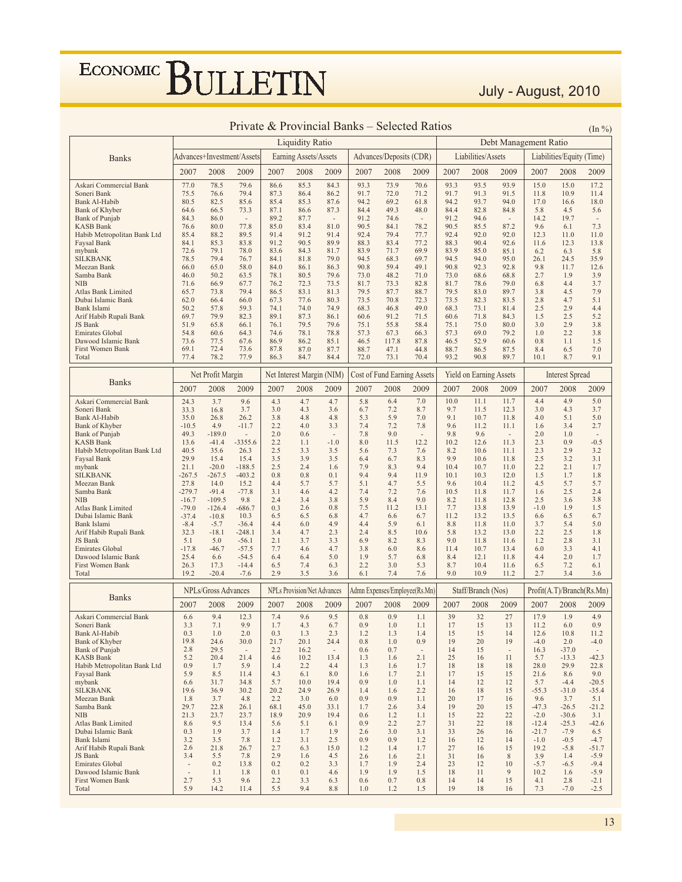July - August, 2010

|                                                 | <b>Liquidity Ratio</b><br>Debt Management Ratio |                            |                          |              |                                    |                          |              |                             |                               |              |                                |                          |                    |                           |                          |
|-------------------------------------------------|-------------------------------------------------|----------------------------|--------------------------|--------------|------------------------------------|--------------------------|--------------|-----------------------------|-------------------------------|--------------|--------------------------------|--------------------------|--------------------|---------------------------|--------------------------|
| <b>Banks</b>                                    |                                                 | Advances+Investment/Assets |                          |              | Earning Assets/Assets              |                          |              | Advances/Deposits (CDR)     |                               |              | Liabilities/Assets             |                          |                    | Liabilities/Equity (Time) |                          |
|                                                 | 2007                                            | 2008                       | 2009                     | 2007         | 2008                               | 2009                     | 2007         | 2008                        | 2009                          | 2007         | 2008                           | 2009                     | 2007               | 2008                      | 2009                     |
| Askari Commercial Bank                          | 77.0                                            | 78.5                       | 79.6                     | 86.6         | 85.3                               | 84.3                     | 93.3         | 73.9                        | 70.6                          | 93.3         | 93.5                           | 93.9                     | 15.0               | 15.0                      | 17.2                     |
| Soneri Bank                                     | 75.5                                            | 76.6                       | 79.4                     | 87.3         | 86.4                               | 86.2                     | 91.7         | 72.0                        | 71.2                          | 91.7         | 91.3                           | 91.5                     | 11.8               | 10.9                      | 11.4                     |
| Bank Al-Habib<br>Bank of Khyber                 | 80.5<br>64.6                                    | 82.5<br>66.5               | 85.6<br>73.3             | 85.4<br>87.1 | 85.3<br>86.6                       | 87.6<br>87.3             | 94.2<br>84.4 | 69.2<br>49.3                | 61.8<br>48.0                  | 94.2<br>84.4 | 93.7<br>82.8                   | 94.0<br>84.8             | 17.0<br>5.8        | 16.6<br>4.5               | 18.0<br>5.6              |
| Bank of Punjab                                  | 84.3                                            | 86.0                       | $\overline{\phantom{a}}$ | 89.2         | 87.7                               | $\sim$                   | 91.2         | 74.6                        | $\overline{\phantom{a}}$      | 91.2         | 94.6                           | $\overline{\phantom{a}}$ | 14.2               | 19.7                      | $\overline{\phantom{a}}$ |
| <b>KASB Bank</b>                                | 76.6                                            | 80.0                       | 77.8                     | 85.0         | 83.4                               | 81.0                     | 90.5         | 84.1                        | 78.2                          | 90.5         | 85.5                           | 87.2                     | 9.6                | 6.1                       | 7.3                      |
| Habib Metropolitan Bank Ltd<br>Faysal Bank      | 85.4<br>84.1                                    | 88.2<br>85.3               | 89.5<br>83.8             | 91.4<br>91.2 | 91.2<br>90.5                       | 91.4<br>89.9             | 92.4<br>88.3 | 79.4<br>83.4                | 77.7<br>77.2                  | 92.4<br>88.3 | 92.0<br>90.4                   | 92.0<br>92.6             | 12.3<br>11.6       | 11.0<br>12.3              | 11.0<br>13.8             |
| mybank                                          | 72.6                                            | 79.1                       | 78.0                     | 83.6         | 84.3                               | 81.7                     | 83.9         | 71.7                        | 69.9                          | 83.9         | 85.0                           | 85.1                     | 6.2                | 6.3                       | 5.8                      |
| <b>SILKBANK</b>                                 | 78.5                                            | 79.4                       | 76.7                     | 84.1         | 81.8                               | 79.0                     | 94.5         | 68.3                        | 69.7                          | 94.5         | 94.0                           | 95.0                     | 26.1               | 24.5                      | 35.9                     |
| Meezan Bank<br>Samba Bank                       | 66.0<br>46.0                                    | 65.0<br>50.2               | 58.0<br>63.5             | 84.0<br>78.1 | 86.1<br>80.5                       | 86.3<br>79.6             | 90.8<br>73.0 | 59.4<br>48.2                | 49.1<br>71.0                  | 90.8<br>73.0 | 92.3<br>68.6                   | 92.8<br>68.8             | 9.8<br>2.7         | 11.7<br>1.9               | 12.6<br>3.9              |
| <b>NIB</b>                                      | 71.6                                            | 66.9                       | 67.7                     | 76.2         | 72.3                               | 73.5                     | 81.7         | 73.3                        | 82.8                          | 81.7         | 78.6                           | 79.0                     | 6.8                | 4.4                       | 3.7                      |
| Atlas Bank Limited                              | 65.7                                            | 73.8                       | 79.4                     | 86.5         | 83.1                               | 81.3                     | 79.5         | 87.7                        | 88.7                          | 79.5         | 83.0                           | 89.7                     | 3.8                | 4.5                       | 7.9                      |
| Dubai Islamic Bank<br>Bank Islami               | 62.0<br>50.2                                    | 66.4<br>57.8               | 66.0<br>59.3             | 67.3<br>74.1 | 77.6<br>74.0                       | 80.3<br>74.9             | 73.5<br>68.3 | 70.8<br>46.8                | 72.3<br>49.0                  | 73.5<br>68.3 | 82.3<br>73.1                   | 83.5<br>81.4             | 2.8<br>2.5         | 4.7<br>2.9                | 5.1<br>4.4               |
| Arif Habib Rupali Bank                          | 69.7                                            | 79.9                       | 82.3                     | 89.1         | 87.3                               | 86.1                     | 60.6         | 91.2                        | 71.5                          | 60.6         | 71.8                           | 84.3                     | 1.5                | 2.5                       | 5.2                      |
| JS Bank                                         | 51.9                                            | 65.8                       | 66.1                     | 76.1         | 79.5                               | 79.6                     | 75.1         | 55.8                        | 58.4                          | 75.1         | 75.0                           | 80.0                     | 3.0                | 2.9                       | 3.8                      |
| <b>Emirates Global</b><br>Dawood Islamic Bank   | 54.8<br>73.6                                    | 60.6<br>77.5               | 64.3<br>67.6             | 74.6<br>86.9 | 78.1<br>86.2                       | 78.8<br>85.1             | 57.3<br>46.5 | 67.3<br>117.8               | 66.3<br>87.8                  | 57.3<br>46.5 | 69.0<br>52.9                   | 79.2<br>60.6             | 1.0<br>0.8         | 2.2<br>1.1                | 3.8<br>1.5               |
| First Women Bank                                | 69.1                                            | 72.4                       | 73.6                     | 87.8         | 87.0                               | 87.7                     | 88.7         | 47.1                        | 44.8                          | 88.7         | 86.5                           | 87.5                     | 8.4                | 6.5                       | 7.0                      |
| Total                                           | 77.4                                            | 78.2                       | 77.9                     | 86.3         | 84.7                               | 84.4                     | 72.0         | 73.1                        | 70.4                          | 93.2         | 90.8                           | 89.7                     | 10.1               | 8.7                       | 9.1                      |
|                                                 |                                                 | Net Profit Margin          |                          |              | Net Interest Margin (NIM)          |                          |              | Cost of Fund Earning Assets |                               |              | <b>Yield on Earning Assets</b> |                          |                    | <b>Interest Spread</b>    |                          |
| <b>Banks</b>                                    | 2007                                            | 2008                       | 2009                     | 2007         | 2008                               | 2009                     | 2007         | 2008                        | 2009                          | 2007         | 2008                           | 2009                     | 2007               | 2008                      | 2009                     |
| Askari Commercial Bank                          | 24.3                                            | 3.7                        | 9.6                      | 4.3          | 4.7                                | 4.7                      | 5.8          | 6.4                         | 7.0                           | 10.0         | 11.1                           | 11.7                     | 4.4                | 4.9                       | 5.0                      |
| Soneri Bank                                     | 33.3                                            | 16.8                       | 3.7                      | 3.0          | 4.3                                | 3.6                      | 6.7          | 7.2                         | 8.7                           | 9.7          | 11.5                           | 12.3                     | 3.0                | 4.3                       | 3.7                      |
| Bank Al-Habib<br>Bank of Khyber                 | 35.0<br>$-10.5$                                 | 26.8<br>4.9                | 26.2<br>$-11.7$          | 3.8<br>2.2   | 4.8<br>4.0                         | 4.8<br>3.3               | 5.3<br>7.4   | 5.9<br>7.2                  | 7.0<br>7.8                    | 9.1<br>9.6   | 10.7<br>11.2                   | 11.8<br>11.1             | 4.0<br>1.6         | 5.1<br>3.4                | 5.0<br>2.7               |
| <b>Bank of Punjab</b>                           | 49.3                                            | $-189.0$                   |                          | 2.0          | 0.6                                | $\overline{\phantom{a}}$ | 7.8          | 9.0                         |                               | 9.8          | 9.6                            | $\sim$                   | 2.0                | 1.0                       | $\overline{\phantom{a}}$ |
| <b>KASB Bank</b>                                | 13.6                                            | $-41.4$                    | $-3355.6$                | 2.2          | 1.1                                | $-1.0$                   | 8.0          | 11.5                        | 12.2                          | 10.2         | 12.6                           | 11.3                     | 2.3                | 0.9                       | $-0.5$                   |
| Habib Metropolitan Bank Ltd<br>Faysal Bank      | 40.5<br>29.9                                    | 35.6<br>15.4               | 26.3<br>15.4             | 2.5<br>3.5   | 3.3<br>3.9                         | 3.5<br>3.5               | 5.6<br>6.4   | 7.3<br>6.7                  | 7.6<br>8.3                    | 8.2<br>9.9   | 10.6<br>10.6                   | 11.1<br>11.8             | 2.3<br>2.5         | 2.9<br>3.2                | 3.2<br>3.1               |
| mybank                                          | 21.1                                            | $-20.0$                    | $-188.5$                 | 2.5          | 2.4                                | 1.6                      | 7.9          | 8.3                         | 9.4                           | 10.4         | 10.7                           | 11.0                     | 2.2                | 2.1                       | 1.7                      |
| <b>SILKBANK</b>                                 | $-267.5$                                        | $-267.5$                   | $-403.2$                 | 0.8          | 0.8                                | 0.1                      | 9.4          | 9.4                         | 11.9                          | 10.1         | 10.3                           | 12.0                     | 1.5                | 1.7                       | 1.8                      |
| Meezan Bank<br>Samba Bank                       | 27.8<br>$-279.7$                                | 14.0<br>$-91.4$            | 15.2<br>$-77.8$          | 4.4<br>3.1   | 5.7<br>4.6                         | 5.7<br>4.2               | 5.1<br>7.4   | 4.7<br>7.2                  | 5.5<br>7.6                    | 9.6<br>10.5  | 10.4<br>11.8                   | 11.2<br>11.7             | 4.5<br>1.6         | 5.7<br>2.5                | 5.7<br>2.4               |
| <b>NIB</b>                                      | $-16.7$                                         | $-109.5$                   | 9.8                      | 2.4          | 3.4                                | 3.8                      | 5.9          | 8.4                         | 9.0                           | 8.2          | 11.8                           | 12.8                     | 2.5                | 3.6                       | 3.8                      |
| Atlas Bank Limited                              | $-79.0$                                         | $-126.4$                   | $-686.7$                 | 0.3          | 2.6                                | 0.8                      | 7.5          | 11.2                        | 13.1                          | 7.7          | 13.8                           | 13.9                     | $-1.0$             | 1.9                       | 1.5                      |
| Dubai Islamic Bank<br>Bank Islami               | $-37.4$<br>$-8.4$                               | $-10.8$<br>$-5.7$          | 10.3<br>$-36.4$          | 6.5<br>4.4   | 6.5<br>6.0                         | 6.8<br>4.9               | 4.7<br>4.4   | 6.6<br>5.9                  | 6.7<br>6.1                    | 11.2<br>8.8  | 13.2<br>11.8                   | 13.5<br>11.0             | 6.6<br>3.7         | 6.5<br>5.4                | 6.7<br>5.0               |
| Arif Habib Rupali Bank                          | 32.3                                            | $-18.1$                    | $-248.1$                 | 3.4          | 4.7                                | 2.3                      | 2.4          | 8.5                         | 10.6                          | 5.8          | 13.2                           | 13.0                     | 2.2                | 2.5                       | 1.8                      |
| JS Bank                                         | 5.1                                             | 5.0                        | $-56.1$                  | 2.1          | 3.7                                | 3.3                      | 6.9          | 8.2                         | 8.3                           | 9.0          | 11.8                           | 11.6                     | 1.2                | 2.8                       | 3.1                      |
| Emirates Global                                 | $-17.8$                                         | $-46.7$                    | $-57.5$                  | 7.7          | 4.6                                | 4.7                      | 3.8          | 6.0                         | 8.6                           | 11.4         | 10.7                           | 13.4                     | 6.0                | 3.3                       | 4.1                      |
| Dawood Islamic Bank<br>First Women Bank         | 25.4<br>26.3                                    | 6.6<br>17.3                | $-54.5$<br>$-14.4$       | 6.4<br>6.5   | 6.4<br>7.4                         | 5.0<br>6.3               | 1.9<br>2.2   | 5.7<br>3.0                  | 6.8<br>5.3                    | 8.4<br>8.7   | 12.1<br>10.4                   | 11.8<br>11.6             | 4.4<br>6.5         | 2.0<br>7.2                | 1.7<br>6.1               |
| Total                                           | 19.2                                            | $-20.4$                    | $-7.6$                   | 2.9          | 3.5                                | 3.6                      | 6.1          | 7.4                         | 7.6                           | 9.0          | 10.9                           | 11.2                     | 2.7                | 3.4                       | 3.6                      |
|                                                 |                                                 | NPLs/Gross Advances        |                          |              | <b>NPLs Provision/Net Advances</b> |                          |              |                             | Admn Expenses/Employee(Rs.Mn) |              | Staff/Branch (Nos)             |                          |                    | Profit(A.T)/Branch(Rs.Mn) |                          |
| <b>Banks</b>                                    | 2007                                            | 2008                       | 2009                     | 2007         | 2008                               | 2009                     | 2007         | 2008                        | 2009                          | 2007         | 2008                           | 2009                     | 2007               | 2008                      | 2009                     |
| Askari Commercial Bank                          | 6.6                                             | 9.4                        | 12.3                     | 7.4          | 9.6                                | 9.5                      | 0.8          | 0.9                         | 1.1                           | 39           | 32                             | 27                       | 17.9               | 1.9                       | 4.9                      |
| Soneri Bank<br>Bank Al-Habib                    | 3.3<br>0.3                                      | 7.1<br>1.0                 | 9.9<br>2.0               | 1.7<br>0.3   | 4.3<br>1.3                         | 6.7<br>2.3               | 0.9<br>1.2   | 1.0<br>1.3                  | 1.1<br>1.4                    | 17<br>15     | 15<br>15                       | 13<br>14                 | 11.2<br>12.6       | 6.0<br>10.8               | 0.9<br>11.2              |
| Bank of Khyber                                  | 19.8                                            | 24.6                       | 30.0                     | 21.7         | 20.1                               | 24.4                     | 0.8          | 1.0                         | 0.9                           | 19           | 20                             | 19                       | $-4.0$             | 2.0                       | $-4.0$                   |
| <b>Bank</b> of Punjab                           | 2.8                                             | 29.5                       | $\overline{\phantom{a}}$ | 2.2          | 16.2                               | $\overline{\phantom{a}}$ | 0.6          | 0.7                         | $\sim$                        | 14           | 15                             | $\overline{\phantom{a}}$ | 16.3               | $-37.0$                   |                          |
| <b>KASB Bank</b><br>Habib Metropolitan Bank Ltd | 5.2<br>0.9                                      | 20.4<br>1.7                | 21.4<br>5.9              | 4.6<br>1.4   | 10.2<br>2.2                        | 13.4<br>4.4              | 1.3<br>1.3   | 1.6<br>1.6                  | 2.1<br>1.7                    | 25<br>18     | 16<br>18                       | 11<br>18                 | 5.7<br>28.0        | $-13.3$<br>29.9           | $-42.3$<br>22.8          |
| Faysal Bank                                     | 5.9                                             | 8.5                        | 11.4                     | 4.3          | 6.1                                | 8.0                      | 1.6          | 1.7                         | 2.1                           | 17           | 15                             | 15                       | 21.6               | 8.6                       | 9.0                      |
| mybank                                          | 6.6                                             | 31.7                       | 34.8                     | 5.7          | 10.0                               | 19.4                     | 0.9          | 1.0                         | 1.1                           | 14           | 12                             | 12                       | 5.7                | $-4.4$                    | $-20.5$                  |
| <b>SILKBANK</b><br>Meezan Bank                  | 19.6<br>1.8                                     | 36.9<br>3.7                | 30.2<br>4.8              | 20.2<br>2.2  | 24.9<br>3.0                        | 26.9<br>6.0              | 1.4<br>0.9   | 1.6<br>0.9                  | 2.2<br>1.1                    | 16<br>20     | 18<br>17                       | 15<br>16                 | $-55.3$<br>9.6     | $-31.0$<br>3.7            | $-35.4$<br>5.1           |
| Samba Bank                                      | 29.7                                            | 22.8                       | 26.1                     | 68.1         | 45.0                               | 33.1                     | 1.7          | 2.6                         | 3.4                           | 19           | 20                             | 15                       | $-47.3$            | $-26.5$                   | $-21.2$                  |
| <b>NIB</b>                                      | 21.3                                            | 23.7                       | 23.7                     | 18.9         | 20.9                               | 19.4                     | 0.6          | 1.2                         | 1.1                           | 15           | 22                             | 22                       | $-2.0$             | $-30.6$                   | 3.1                      |
| Atlas Bank Limited<br>Dubai Islamic Bank        | 8.6<br>0.3                                      | 9.5<br>1.9                 | 13.4<br>3.7              | 5.6<br>1.4   | 5.1<br>1.7                         | 6.1<br>1.9               | 0.9<br>2.6   | 2.2<br>3.0                  | 2.7<br>3.1                    | 31<br>33     | 22<br>26                       | 18<br>16                 | $-12.4$<br>$-21.7$ | $-25.3$<br>$-7.9$         | $-42.6$<br>6.5           |
| Bank Islami                                     | 3.2                                             | 3.5                        | 7.8                      | 1.2          | 3.1                                | 2.5                      | 0.9          | 0.9                         | 1.2                           | 16           | 12                             | 14                       | $-1.0$             | $-0.5$                    | $-4.7$                   |
| Arif Habib Rupali Bank                          | 2.6                                             | 21.8                       | 26.7                     | 2.7          | 6.3                                | 15.0                     | 1.2          | 1.4                         | 1.7                           | 27           | 16                             | 15                       | 19.2               | $-5.8$                    | $-51.7$                  |
| JS Bank<br>Emirates Global                      | 3.4<br>$\overline{\phantom{a}}$                 | 5.5<br>0.2                 | 7.8<br>13.8              | 2.9<br>0.2   | 1.6<br>0.2                         | 4.5<br>3.3               | 2.6<br>1.7   | 1.6<br>1.9                  | 2.1<br>2.4                    | 31<br>23     | 16<br>12                       | $\,$ 8 $\,$<br>10        | 3.9<br>$-5.7$      | 1.4<br>$-6.5$             | $-5.9$<br>$-9.4$         |
| Dawood Islamic Bank                             | $\overline{a}$                                  | 1.1                        | 1.8                      | 0.1          | 0.1                                | 4.6                      | 1.9          | 1.9                         | 1.5                           | 18           | 11                             | 9                        | 10.2               | 1.6                       | $-5.9$                   |
| First Women Bank                                | 2.7                                             | 5.3                        | 9.6                      | 2.2          | 3.3                                | 6.3                      | 0.6          | 0.7                         | 0.8                           | 14           | 14                             | 15                       | 4.1                | 2.8                       | $-2.1$                   |
| Total                                           | 5.9                                             | 14.2                       | 11.4                     | 5.5          | 9.4                                | 8.8                      | 1.0          | 1.2                         | 1.5                           | 19           | 18                             | 16                       | 7.3                | $-7.0$                    | $-2.5$                   |

#### Private & Provincial Banks – Selected Ratios  $\frac{(\text{In } 96)}{(\text{In } 96)}$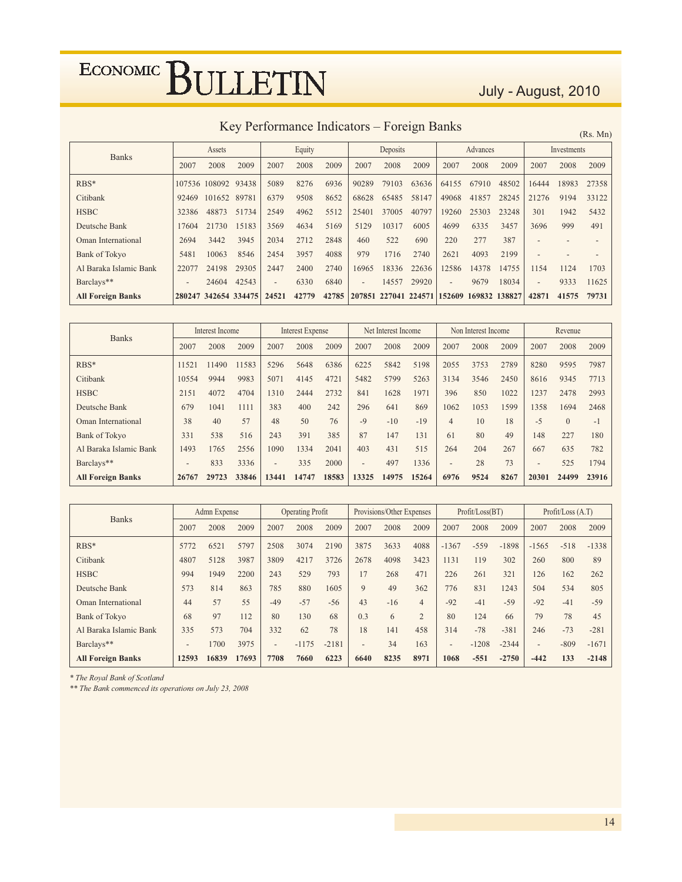### July - August, 2010

Key Performance Indicators - Foreign Banks

 $(Rs, Mn)$ 

| <b>Banks</b>             |                          | Assets               |       | Equity                   |       |       |                | Deposits |                                           | Advances                 |       |       |                          | Investments |       |
|--------------------------|--------------------------|----------------------|-------|--------------------------|-------|-------|----------------|----------|-------------------------------------------|--------------------------|-------|-------|--------------------------|-------------|-------|
|                          | 2007                     | 2008                 | 2009  | 2007                     | 2008  | 2009  | 2007           | 2008     | 2009                                      | 2007                     | 2008  | 2009  | 2007                     | 2008        | 2009  |
| $RBS*$                   | 107536                   | 108092               | 93438 | 5089                     | 8276  | 6936  | 90289          | 79103    | 63636                                     | 64155                    | 67910 | 48502 | 16444                    | 18983       | 27358 |
| Citibank                 | 92469                    | 101652               | 89781 | 6379                     | 9508  | 8652  | 68628          | 65485    | 58147                                     | 49068                    | 41857 | 28245 | 21276                    | 9194        | 33122 |
| <b>HSBC</b>              | 32386                    | 48873                | 51734 | 2549                     | 4962  | 5512  | 25401          | 37005    | 40797                                     | 19260                    | 25303 | 23248 | 301                      | 1942        | 5432  |
| Deutsche Bank            | 17604                    | 21730                | 15183 | 3569                     | 4634  | 5169  | 5129           | 10317    | 6005                                      | 4699                     | 6335  | 3457  | 3696                     | 999         | 491   |
| Oman International       | 2694                     | 3442                 | 3945  | 2034                     | 2712  | 2848  | 460            | 522      | 690                                       | 220                      | 277   | 387   |                          |             |       |
| Bank of Tokyo            | 5481                     | 10063                | 8546  | 2454                     | 3957  | 4088  | 979            | 1716     | 2740                                      | 2621                     | 4093  | 2199  |                          |             |       |
| Al Baraka Islamic Bank   | 22077                    | 24198                | 29305 | 2447                     | 2400  | 2740  | 16965          | 18336    | 22636                                     | 12586                    | 14378 | 14755 | 1154                     | 1124        | 1703  |
| Barclays**               | $\overline{\phantom{a}}$ | 24604                | 42543 | $\overline{\phantom{0}}$ | 6330  | 6840  | $\overline{a}$ | 14557    | 29920                                     | $\overline{\phantom{0}}$ | 9679  | 18034 | $\overline{\phantom{a}}$ | 9333        | 11625 |
| <b>All Foreign Banks</b> |                          | 280247 342654 334475 |       | 24521                    | 42779 | 42785 |                |          | 207851 227041 224571 152609 169832 138827 |                          |       |       | 42871                    | 41575       | 79731 |

| <b>Banks</b>             | Interest Income          |       | Interest Expense |                          |       | Net Interest Income |                          |       | Non Interest Income |                          |      | Revenue |                          |          |       |
|--------------------------|--------------------------|-------|------------------|--------------------------|-------|---------------------|--------------------------|-------|---------------------|--------------------------|------|---------|--------------------------|----------|-------|
|                          | 2007                     | 2008  | 2009             | 2007                     | 2008  | 2009                | 2007                     | 2008  | 2009                | 2007                     | 2008 | 2009    | 2007                     | 2008     | 2009  |
| $RBS*$                   | 11521                    | 11490 | 11583            | 5296                     | 5648  | 6386                | 6225                     | 5842  | 5198                | 2055                     | 3753 | 2789    | 8280                     | 9595     | 7987  |
| Citibank                 | 10554                    | 9944  | 9983             | 5071                     | 4145  | 4721                | 5482                     | 5799  | 5263                | 3134                     | 3546 | 2450    | 8616                     | 9345     | 7713  |
| <b>HSBC</b>              | 2151                     | 4072  | 4704             | 1310                     | 2444  | 2732                | 841                      | 1628  | 1971                | 396                      | 850  | 1022    | 1237                     | 2478     | 2993  |
| Deutsche Bank            | 679                      | 1041  | 1111             | 383                      | 400   | 242                 | 296                      | 641   | 869                 | 1062                     | 1053 | 1599    | 1358                     | 1694     | 2468  |
| Oman International       | 38                       | 40    | 57               | 48                       | 50    | 76                  | $-9$                     | $-10$ | $-19$               | $\overline{4}$           | 10   | 18      | $-5$                     | $\Omega$ | $-1$  |
| Bank of Tokyo            | 331                      | 538   | 516              | 243                      | 391   | 385                 | 87                       | 147   | 131                 | 61                       | 80   | 49      | 148                      | 227      | 180   |
| Al Baraka Islamic Bank   | 1493                     | 1765  | 2556             | 1090                     | 1334  | 2041                | 403                      | 431   | 515                 | 264                      | 204  | 267     | 667                      | 635      | 782   |
| Barclays**               | $\overline{\phantom{0}}$ | 833   | 3336             | $\overline{\phantom{0}}$ | 335   | 2000                | $\overline{\phantom{m}}$ | 497   | 1336                | $\overline{\phantom{m}}$ | 28   | 73      | $\overline{\phantom{0}}$ | 525      | 1794  |
| <b>All Foreign Banks</b> | 26767                    | 29723 | 33846            | 13441                    | 14747 | 18583               | 13325                    | 14975 | 15264               | 6976                     | 9524 | 8267    | 20301                    | 24499    | 23916 |

| <b>Banks</b>             | Admn Expense             |       | <b>Operating Profit</b> |                          |         | Provisions/Other Expenses |                          |       | Profit / Loss (BT) |                          |         | Profit / Loss (A.T) |                          |        |         |
|--------------------------|--------------------------|-------|-------------------------|--------------------------|---------|---------------------------|--------------------------|-------|--------------------|--------------------------|---------|---------------------|--------------------------|--------|---------|
|                          | 2007                     | 2008  | 2009                    | 2007                     | 2008    | 2009                      | 2007                     | 2008  | 2009               | 2007                     | 2008    | 2009                | 2007                     | 2008   | 2009    |
| $RBS*$                   | 5772                     | 6521  | 5797                    | 2508                     | 3074    | 2190                      | 3875                     | 3633  | 4088               | $-1367$                  | $-559$  | $-1898$             | $-1565$                  | $-518$ | $-1338$ |
| Citibank                 | 4807                     | 5128  | 3987                    | 3809                     | 4217    | 3726                      | 2678                     | 4098  | 3423               | 1131                     | 119     | 302                 | 260                      | 800    | 89      |
| <b>HSBC</b>              | 994                      | 1949  | 2200                    | 243                      | 529     | 793                       | 17                       | 268   | 471                | 226                      | 261     | 321                 | 126                      | 162    | 262     |
| Deutsche Bank            | 573                      | 814   | 863                     | 785                      | 880     | 1605                      | 9                        | 49    | 362                | 776                      | 831     | 1243                | 504                      | 534    | 805     |
| Oman International       | 44                       | 57    | 55                      | $-49$                    | $-57$   | $-56$                     | 43                       | $-16$ | $\overline{4}$     | $-92$                    | $-41$   | $-59$               | $-92$                    | $-41$  | $-59$   |
| <b>Bank of Tokyo</b>     | 68                       | 97    | 112                     | 80                       | 130     | 68                        | 0.3                      | 6     | $\overline{2}$     | 80                       | 124     | 66                  | 79                       | 78     | 45      |
| Al Baraka Islamic Bank   | 335                      | 573   | 704                     | 332                      | 62      | 78                        | 18                       | 141   | 458                | 314                      | $-78$   | $-381$              | 246                      | $-73$  | $-281$  |
| Barclays**               | $\overline{\phantom{a}}$ | 1700  | 3975                    | $\overline{\phantom{0}}$ | $-1175$ | $-2181$                   | $\overline{\phantom{a}}$ | 34    | 163                | $\overline{\phantom{m}}$ | $-1208$ | $-2344$             | $\overline{\phantom{0}}$ | $-809$ | $-1671$ |
| <b>All Foreign Banks</b> | 12593                    | 16839 | 17693                   | 7708                     | 7660    | 6223                      | 6640                     | 8235  | 8971               | 1068                     | $-551$  | $-2750$             | $-442$                   | 133    | $-2148$ |

\* The Royal Bank of Scotland

\*\* The Bank commenced its operations on July 23, 2008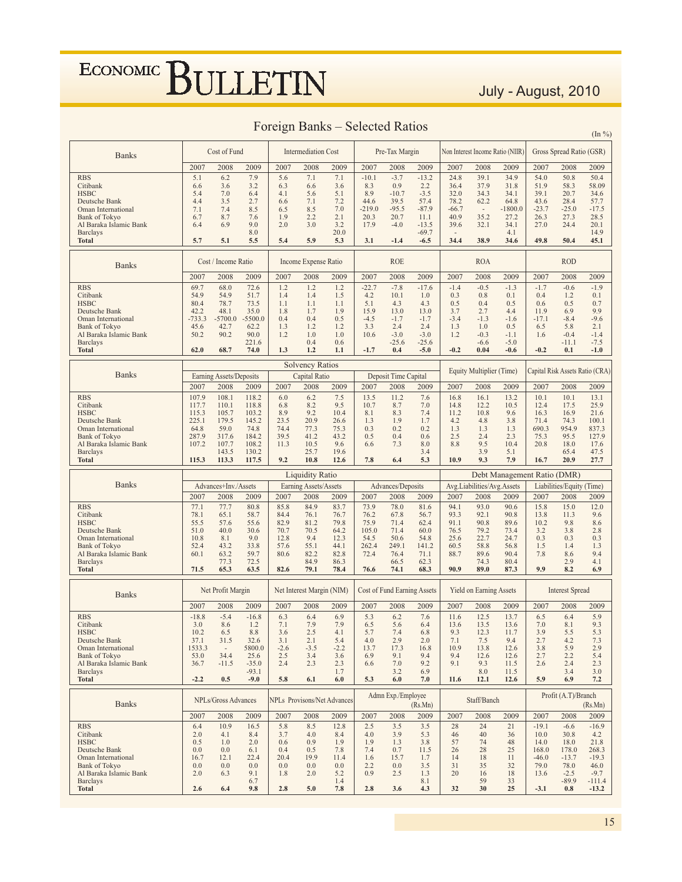### July - August, 2010

 $( \text{Im } 0 \angle )$ 

| <b>Banks</b>                 |          | Cost of Fund             |           |        | <b>Intermediation Cost</b> |                                    |            | Pre-Tax Margin              |            |                          |                                | Non Interest Income Ratio (NIIR) |         | Gross Spread Ratio (GSR)  |                                 |
|------------------------------|----------|--------------------------|-----------|--------|----------------------------|------------------------------------|------------|-----------------------------|------------|--------------------------|--------------------------------|----------------------------------|---------|---------------------------|---------------------------------|
|                              | 2007     | 2008                     | 2009      | 2007   | 2008                       | 2009                               | 2007       | 2008                        | 2009       | 2007                     | 2008                           | 2009                             | 2007    | 2008                      | 2009                            |
| <b>RBS</b>                   | 5.1      | 6.2                      | 7.9       | 5.6    | 7.1                        | 7.1                                | $-10.1$    | $-3.7$                      | $-13.2$    | 24.8                     | 39.1                           | 34.9                             | 54.0    | 50.8                      | 50.4                            |
| Citibank                     | 6.6      |                          | 3.2       | 6.3    | 6.6                        | 3.6                                | 8.3        | 0.9                         | 2.2        | 36.4                     | 37.9                           | 31.8                             | 51.9    | 58.3                      | 58.09                           |
|                              |          | 3.6                      |           |        |                            |                                    |            |                             |            |                          |                                |                                  |         |                           |                                 |
| <b>HSBC</b><br>Deutsche Bank | 5.4      | 7.0                      | 6.4       | 4.1    | 5.6                        | 5.1                                | 8.9        | $-10.7$                     | $-3.5$     | 32.0                     | 34.3                           | 34.1                             | 39.1    | 20.7                      | 34.6                            |
|                              | 4.4      | 3.5                      | 2.7       | 6.6    | 7.1                        | 7.2                                | 44.6       | 39.5                        | 57.4       | 78.2                     | 62.2                           | 64.8                             | 43.6    | 28.4                      | 57.7                            |
| Oman International           | 7.1      | 7.4                      | 8.5       | 6.5    | 8.5                        | 7.0                                | $-219.0$   | $-95.5$                     | $-87.9$    | $-66.7$                  | $\sim$                         | $-1800.0$                        | $-23.7$ | $-25.0$                   | $-17.5$                         |
| <b>Bank of Tokyo</b>         | 6.7      | 8.7                      | 7.6       | 1.9    | 2.2                        | 2.1                                | 20.3       | 20.7                        | 11.1       | 40.9                     | 35.2                           | 27.2                             | 26.3    | 27.3                      | 28.5                            |
| Al Baraka Islamic Bank       | 6.4      | 6.9                      | 9.0       | 2.0    | 3.0                        | 3.2                                | 17.9       | $-4.0$                      | $-13.5$    | 39.6                     | 32.1                           | 34.1                             | 27.0    | 24.4                      | 20.1                            |
| <b>Barclays</b>              |          |                          | 8.0       |        |                            | 20.0                               |            |                             | $-69.7$    | $\overline{\phantom{a}}$ |                                | 4.1                              |         |                           | 14.9                            |
| <b>Total</b>                 | 5.7      | 5.1                      | 5.5       | 5.4    | 5.9                        | 5.3                                | 3.1        | $-1.4$                      | $-6.5$     | 34.4                     | 38.9                           | 34.6                             | 49.8    | 50.4                      | 45.1                            |
| <b>Banks</b>                 |          | Cost / Income Ratio      |           |        | Income Expense Ratio       |                                    |            | <b>ROE</b>                  |            |                          | <b>ROA</b>                     |                                  |         | <b>ROD</b>                |                                 |
|                              | 2007     | 2008                     | 2009      | 2007   | 2008                       | 2009                               | 2007       | 2008                        | 2009       | 2007                     | 2008                           | 2009                             | 2007    | 2008                      | 2009                            |
| <b>RBS</b>                   | 69.7     | 68.0                     | 72.6      | 1.2    | 1.2                        | 1.2                                | $-22.7$    | $-7.8$                      | $-17.6$    | $-1.4$                   | $-0.5$                         | $-1.3$                           | $-1.7$  | $-0.6$                    | $-1.9$                          |
| Citibank                     | 54.9     | 54.9                     | 51.7      | 1.4    | 1.4                        | 1.5                                | 4.2        | 10.1                        | 1.0        | 0.3                      | 0.8                            | 0.1                              | 0.4     | 1.2                       | 0.1                             |
| <b>HSBC</b>                  | 80.4     | 78.7                     | 73.5      | 1.1    | 1.1                        | 1.1                                | 5.1        | 4.3                         | 4.3        | 0.5                      | 0.4                            | 0.5                              | 0.6     | 0.5                       | 0.7                             |
| Deutsche Bank                | 42.2     | 48.1                     | 35.0      | 1.8    | 1.7                        | 1.9                                | 15.9       | 13.0                        | 13.0       | 3.7                      | 2.7                            | 4.4                              | 11.9    | 6.9                       | 9.9                             |
| Oman International           | $-733.3$ | $-5700.0$                | $-5500.0$ | 0.4    | 0.4                        | 0.5                                | $-4.5$     | $-1.7$                      | $-1.7$     | $-3.4$                   | $-1.3$                         | $-1.6$                           | $-17.1$ | $-8.4$                    | $-9.6$                          |
| Bank of Tokyo                | 45.6     | 42.7                     | 62.2      | 1.3    | 1.2                        | 1.2                                | 3.3        | 2.4                         | 2.4        | 1.3                      | 1.0                            | 0.5                              | 6.5     | 5.8                       | 2.1                             |
| Al Baraka Islamic Bank       | 50.2     | 90.2                     | 90.0      | 1.2    | 1.0                        | 1.0                                | 10.6       | $-3.0$                      | $-3.0$     | 1.2                      | $-0.3$                         | $-1.1$                           | 1.6     | $-0.4$                    | $-1.4$                          |
| <b>Barclays</b>              |          |                          | 221.6     |        | 0.4                        | 0.6                                |            | $-25.6$                     | $-25.6$    |                          | $-6.6$                         | $-5.0$                           |         | $-11.1$                   | $-7.5$                          |
| <b>Total</b>                 | 62.0     | 68.7                     | 74.0      | 1.3    | 1.2                        | 1.1                                | $-1.7$     | 0.4                         | $-5.0$     | $-0.2$                   | 0.04                           | $-0.6$                           | $-0.2$  | 0.1                       | $-1.0$                          |
|                              |          |                          |           |        |                            |                                    |            |                             |            |                          |                                |                                  |         |                           |                                 |
|                              |          |                          |           |        | <b>Solvency Ratios</b>     |                                    |            |                             |            |                          | Equity Multiplier (Time)       |                                  |         |                           | Capital Risk Assets Ratio (CRA) |
| <b>Banks</b>                 |          | Earning Assets/Deposits  |           |        | Capital Ratio              |                                    |            | Deposit Time Capital        |            |                          |                                |                                  |         |                           |                                 |
|                              | 2007     | 2008                     | 2009      | 2007   | 2008                       | 2009                               | 2007       | 2008                        | 2009       | 2007                     | 2008                           | 2009                             | 2007    | 2008                      | 2009                            |
| <b>RBS</b>                   | 107.9    | 108.1                    | 118.2     | 6.0    | 6.2                        | 7.5                                | 13.5       | 11.2                        | 7.6        | 16.8                     | 16.1                           | 13.2                             | 10.1    | 10.1                      | 13.1                            |
| Citibank                     | 117.7    | 110.1                    | 118.8     | 6.8    | 8.2                        | 9.5                                | 10.7       | 8.7                         | 7.0        | 14.8                     | 12.2                           | 10.5                             | 12.4    | 17.5                      | 25.9                            |
| <b>HSBC</b>                  |          |                          |           | 8.9    | 9.2                        | 10.4                               |            | 8.3                         |            | 11.2                     | 10.8                           | 9.6                              | 16.3    |                           | 21.6                            |
|                              | 115.3    | 105.7                    | 103.2     |        |                            |                                    | 8.1        | 1.9                         | 7.4        |                          |                                |                                  |         | 16.9                      |                                 |
| Deutsche Bank                | 225.1    | 179.5                    | 145.2     | 23.5   | 20.9<br>77.3               | 26.6                               | 1.3<br>0.3 | 0.2                         | 1.7<br>0.2 | 4.2<br>1.3               | 4.8                            | 3.8                              | 71.4    | 74.3                      | 100.1                           |
| Oman International           | 64.8     | 59.0                     | 74.8      | 74.4   |                            | 75.3                               |            |                             |            |                          | 1.3                            | 1.3                              | 690.3   | 954.9                     | 837.3                           |
| <b>Bank of Tokyo</b>         | 287.9    | 317.6                    | 184.2     | 39.5   | 41.2                       | 43.2                               | 0.5        | 0.4                         | 0.6        | 2.5                      | 2.4                            | 2.3                              | 75.3    | 95.5                      | 127.9                           |
| Al Baraka Islamic Bank       | 107.2    | 107.7                    | 108.2     | 11.3   | 10.5                       | 9.6                                | 6.6        | 7.3                         | 8.0        | 8.8                      | 9.5                            | 10.4                             | 20.8    | 18.0                      | 17.6                            |
| <b>Barclays</b>              |          | 143.5                    | 130.2     |        | 25.7                       | 19.6                               |            |                             | 3.4        |                          | 3.9                            | 5.1                              |         | 65.4                      | 47.5                            |
| <b>Total</b>                 | 115.3    | 113.3                    | 117.5     | 9.2    | 10.8                       | 12.6                               | 7.8        | 6.4                         | 5.3        | 10.9                     | 9.3                            | 7.9                              | 16.7    | 20.9                      | 27.7                            |
|                              |          |                          |           |        |                            |                                    |            |                             |            |                          |                                |                                  |         |                           |                                 |
|                              |          |                          |           |        | <b>Liquidity Ratio</b>     |                                    |            |                             |            |                          |                                | Debt Management Ratio (DMR)      |         |                           |                                 |
| <b>Banks</b>                 |          | Advances+Inv./Assets     |           |        | Earning Assets/Assets      |                                    |            | Advances/Deposits           |            |                          | Avg.Liabilities/Avg.Assets     |                                  |         |                           |                                 |
|                              |          |                          |           |        |                            |                                    |            |                             |            |                          |                                |                                  |         | Liabilities/Equity (Time) |                                 |
|                              | 2007     | 2008                     | 2009      | 2007   | 2008                       | 2009                               | 2007       | 2008                        | 2009       | 2007                     | 2008                           | 2009                             | 2007    | 2008                      | 2009                            |
| <b>RBS</b>                   | 77.1     | 77.7                     | 80.8      | 85.8   | 84.9                       | 83.7                               | 73.9       | 78.0                        | 81.6       | 94.1                     | 93.0                           | 90.6                             | 15.8    | 15.0                      | 12.0                            |
| Citibank                     | 78.1     | 65.1                     | 58.7      | 84.4   | 76.1                       | 76.7                               | 76.2       | 67.8                        | 56.7       | 93.3                     | 92.1                           | 90.8                             | 13.8    | 11.3                      | 9.6                             |
| <b>HSBC</b>                  | 55.5     | 57.6                     | 55.6      | 82.9   | 81.2                       | 79.8                               | 75.9       | 71.4                        | 62.4       | 91.1                     | 90.8                           | 89.6                             | 10.2    | 9.8                       | 8.6                             |
| Deutsche Bank                | 51.0     | 40.0                     | 30.6      | 70.7   | 70.5                       | 64.2                               | 105.0      | 71.4                        | 60.0       | 76.5                     | 79.2                           | 73.4                             | 3.2     | 3.8                       | 2.8                             |
| Oman International           | 10.8     | 8.1                      | 9.0       | 12.8   | 9.4                        | 12.3                               | 54.5       | 50.6                        | 54.8       | 25.6                     | 22.7                           | 24.7                             | 0.3     | 0.3                       | 0.3                             |
| <b>Bank of Tokyo</b>         | 52.4     | 43.2                     | 33.8      | 57.6   | 55.1                       | 44.1                               | 262.4      | 249.1                       | 141.2      | 60.5                     | 58.8                           | 56.8                             | 1.5     | 1.4                       | 1.3                             |
| Al Baraka Islamic Bank       | 60.1     | 63.2                     | 59.7      | 80.6   | 82.2                       | 82.8                               | 72.4       | 76.4                        | 71.1       | 88.7                     | 89.6                           | 90.4                             | 7.8     | 8.6                       | 9.4                             |
| <b>Barclays</b>              |          | 77.3                     | 72.5      |        | 84.9                       | 86.3                               |            | 66.5                        | 62.3       |                          | 74.3                           | 80.4                             |         | 2.9                       | 4.1                             |
| <b>Total</b>                 | 71.5     | 65.3                     | 63.5      | 82.6   | 79.1                       | 78.4                               | 76.6       | 74.1                        | 68.3       | 90.9                     | 89.0                           | 87.3                             | 9.9     | 8.2                       | 6.9                             |
|                              |          |                          |           |        |                            |                                    |            |                             |            |                          |                                |                                  |         |                           |                                 |
| <b>Banks</b>                 |          | Net Profit Margin        |           |        | Net Interest Margin (NIM)  |                                    |            | Cost of Fund Earning Assets |            |                          | <b>Yield on Earning Assets</b> |                                  |         | <b>Interest Spread</b>    |                                 |
|                              | 2007     | 2008                     | 2009      | 2007   | 2008                       | 2009                               | 2007       |                             | 2009       | 2007                     |                                | 2009                             | 2007    | 2008                      | 2009                            |
|                              |          |                          |           |        |                            |                                    |            | 2008                        |            |                          | 2008                           |                                  |         |                           |                                 |
| <b>RBS</b>                   | $-18.8$  | $-5.4$                   | $-16.8$   | 6.3    | 6.4                        | 6.9                                | 5.3        | 6.2                         | 7.6        | 11.6                     | 12.5                           | 13.7                             | 6.5     | 6.4                       | 5.9                             |
| Citibank                     | 3.0      | 8.6                      | 1.2       | 7.1    | 7.9                        | 7.9                                | 6.5        | 5.6                         | 6.4        | 13.6                     | 13.5                           | 13.6                             | 7.0     | 8.1                       | 9.3                             |
| <b>HSBC</b>                  | 10.2     | 6.5                      | 8.8       | 3.6    | 2.5                        | 4.1                                | 5.7        | 7.4                         | 6.8        | 9.3                      | 12.3                           | 11.7                             | 3.9     | 5.5                       | 5.3                             |
| Deutsche Bank                | 37.1     | 31.5                     | 32.6      | 3.1    | 2.1                        | 5.4                                | 4.0        | 2.9                         | 2.0        | 7.1                      | 7.5                            | 9.4                              | 2.7     | 4.2                       | 7.3                             |
| Oman International           | 1533.3   | $\overline{\phantom{a}}$ | 5800.0    | $-2.6$ | $-3.5$                     | $-2.2$                             | 13.7       | 17.3                        | 16.8       | 10.9                     | 13.8                           | 12.6                             | 3.8     | 5.9                       | 2.9                             |
| <b>Bank of Tokyo</b>         | 53.0     | 34.4                     | 25.6      | 2.5    | 3.4                        | 3.6                                | 6.9        | 9.1                         | 9.4        | 9.4                      | 12.6                           | 12.6                             | 2.7     | 2.2                       | 5.4                             |
| Al Baraka Islamic Bank       | 36.7     | $-11.5$                  | $-35.0$   | 2.4    | 2.3                        | 2.3                                | 6.6        | 7.0                         | 9.2        | 9.1                      | 9.3                            | 11.5                             | 2.6     | 2.4                       | 2.3                             |
| <b>Barclays</b>              |          |                          | $-93.1$   |        |                            | 1.7                                |            | 3.2                         | 6.9        |                          | 8.0                            | 11.5                             |         | 3.4                       | 3.0                             |
| <b>Total</b>                 | $-2.2$   | 0.5                      | $-9.0$    | 5.8    | 6.1                        | 6.0                                | 5.3        | 6.0                         | 7.0        | 11.6                     | 12.1                           | 12.6                             | 5.9     | 6.9                       | 7.2                             |
|                              |          |                          |           |        |                            |                                    |            |                             |            |                          |                                |                                  |         |                           |                                 |
|                              |          | NPLs/Gross Advances      |           |        |                            | <b>NPLs</b> Provisons/Net Advances |            | Admn Exp./Employee          |            |                          | Staff/Banch                    |                                  |         | Profit (A.T)/Branch       |                                 |
| <b>Banks</b>                 |          |                          |           |        |                            |                                    |            |                             | (Rs.Mn)    |                          |                                |                                  |         |                           | (Rs.Mn)                         |
|                              | 2007     | 2008                     | 2009      | 2007   | 2008                       | 2009                               | 2007       | 2008                        | 2009       | 2007                     | 2008                           | 2009                             | 2007    | 2008                      | 2009                            |
| <b>RBS</b>                   | 6.4      | 10.9                     | 16.5      | 5.8    | 8.5                        | 12.8                               | 2.5        | 3.5                         | 3.5        | 28                       | 24                             | 21                               | $-19.1$ | $-6.6$                    | $-16.9$                         |
| Citibank                     | 2.0      | 4.1                      | 8.4       | 3.7    | 4.0                        | 8.4                                | 4.0        | 3.9                         | 5.3        | 46                       | 40                             | 36                               | 10.0    | 30.8                      | 4.2                             |
| <b>HSBC</b>                  | 0.5      | 1.0                      | 2.0       | 0.6    | 0.9                        | 1.9                                | 1.9        | 1.3                         | 3.8        | 57                       | 74                             | 48                               | 14.0    | 18.0                      | 21.8                            |
| Deutsche Bank                | 0.0      | 0.0                      | 6.1       | 0.4    | 0.5                        | 7.8                                | 7.4        | 0.7                         | 11.5       | 26                       | 28                             | 25                               | 168.0   | 178.0                     | 268.3                           |
| Oman International           | 16.7     | 12.1                     | 22.4      | 20.4   | 19.9                       | 11.4                               | 1.6        | 15.7                        | 1.7        | 14                       | 18                             | 11                               | $-46.0$ | $-13.7$                   | $-19.3$                         |
| <b>Bank of Tokyo</b>         | 0.0      | 0.0                      | 0.0       | 0.0    | 0.0                        | 0.0                                | 2.2        | 0.0                         | 3.5        | 31                       | 35                             | 32                               | 79.0    | 78.0                      | 46.0                            |
| Al Baraka Islamic Bank       | 2.0      | 6.3                      | 9.1       | 1.8    | 2.0                        | 5.2                                | 0.9        | 2.5                         | 1.3        | 20                       | 16                             | 18                               | 13.6    | $-2.5$                    | $-9.7$                          |
| <b>Barclays</b>              |          |                          | 6.7       |        |                            | 1.4                                |            |                             | 8.1        |                          | 59                             | 33                               |         | $-89.9$                   | $-111.4$                        |
| <b>Total</b>                 | 2.6      | 6.4                      | 9.8       | 2.8    | 5.0                        | 7.8                                | 2.8        | 3.6                         | 4.3        | 32                       | 30                             | 25                               | $-3.1$  | 0.8                       | $-13.2$                         |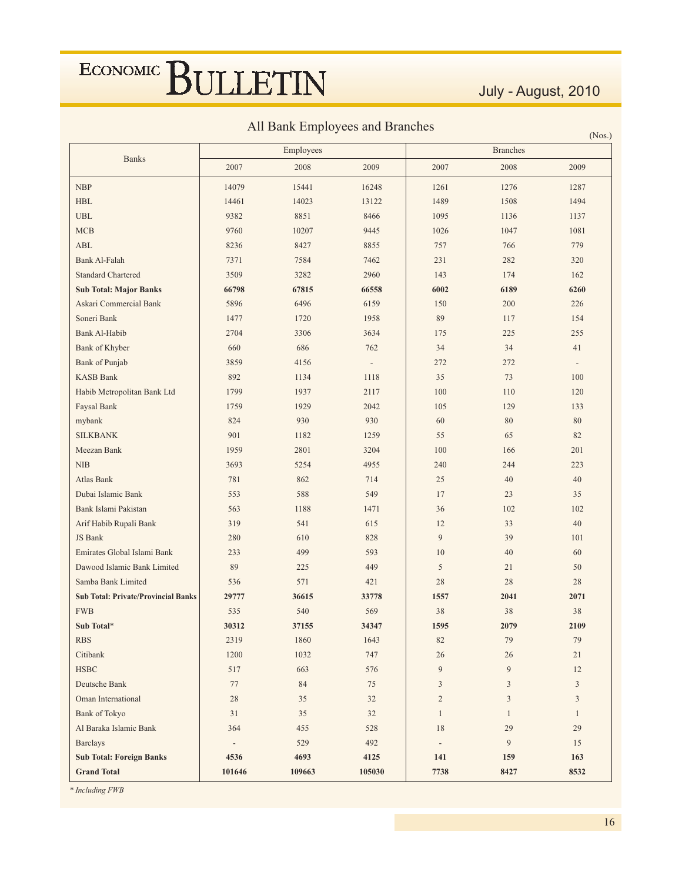July - August, 2010

 $(\mathbf{M}_{\alpha\alpha})$ 

All Bank Employees and Branches

|                                            |                          | Employees |                          |                          | <b>Branches</b> | (1803.)        |
|--------------------------------------------|--------------------------|-----------|--------------------------|--------------------------|-----------------|----------------|
| <b>Banks</b>                               | 2007                     | 2008      | 2009                     | 2007                     | 2008            | 2009           |
|                                            |                          |           |                          |                          |                 |                |
| <b>NBP</b>                                 | 14079                    | 15441     | 16248                    | 1261                     | 1276            | 1287           |
| <b>HBL</b>                                 | 14461                    | 14023     | 13122                    | 1489                     | 1508            | 1494           |
| <b>UBL</b>                                 | 9382                     | 8851      | 8466                     | 1095                     | 1136            | 1137           |
| MCB                                        | 9760                     | 10207     | 9445                     | 1026                     | 1047            | 1081           |
| <b>ABL</b>                                 | 8236                     | 8427      | 8855                     | 757                      | 766             | 779            |
| Bank Al-Falah                              | 7371                     | 7584      | 7462                     | 231                      | 282             | 320            |
| <b>Standard Chartered</b>                  | 3509                     | 3282      | 2960                     | 143                      | 174             | 162            |
| <b>Sub Total: Major Banks</b>              | 66798                    | 67815     | 66558                    | 6002                     | 6189            | 6260           |
| Askari Commercial Bank                     | 5896                     | 6496      | 6159                     | 150                      | 200             | 226            |
| Soneri Bank                                | 1477                     | 1720      | 1958                     | 89                       | 117             | 154            |
| Bank Al-Habib                              | 2704                     | 3306      | 3634                     | 175                      | 225             | 255            |
| Bank of Khyber                             | 660                      | 686       | 762                      | 34                       | 34              | 41             |
| <b>Bank of Punjab</b>                      | 3859                     | 4156      | $\overline{\phantom{a}}$ | 272                      | 272             |                |
| <b>KASB Bank</b>                           | 892                      | 1134      | 1118                     | 35                       | 73              | 100            |
| Habib Metropolitan Bank Ltd                | 1799                     | 1937      | 2117                     | 100                      | 110             | 120            |
| Faysal Bank                                | 1759                     | 1929      | 2042                     | 105                      | 129             | 133            |
| mybank                                     | 824                      | 930       | 930                      | 60                       | $80\,$          | 80             |
| <b>SILKBANK</b>                            | 901                      | 1182      | 1259                     | 55                       | 65              | 82             |
| Meezan Bank                                | 1959                     | 2801      | 3204                     | 100                      | 166             | 201            |
| <b>NIB</b>                                 | 3693                     | 5254      | 4955                     | 240                      | 244             | 223            |
| Atlas Bank                                 | 781                      | 862       | 714                      | 25                       | 40              | 40             |
| Dubai Islamic Bank                         | 553                      | 588       | 549                      | 17                       | 23              | 35             |
| Bank Islami Pakistan                       | 563                      | 1188      | 1471                     | 36                       | 102             | 102            |
| Arif Habib Rupali Bank                     | 319                      | 541       | 615                      | 12                       | 33              | 40             |
| JS Bank                                    | 280                      | 610       | 828                      | 9                        | 39              | 101            |
| Emirates Global Islami Bank                | 233                      | 499       | 593                      | 10                       | 40              | 60             |
| Dawood Islamic Bank Limited                | 89                       | 225       | 449                      | 5                        | 21              | 50             |
| Samba Bank Limited                         | 536                      | 571       | 421                      | 28                       | 28              | 28             |
| <b>Sub Total: Private/Provincial Banks</b> | 29777                    | 36615     | 33778                    | 1557                     | 2041            | 2071           |
| <b>FWB</b>                                 | 535                      | 540       | 569                      | 38                       | 38              | 38             |
| Sub Total*                                 | 30312                    | 37155     | 34347                    | 1595                     | 2079            | 2109           |
| <b>RBS</b>                                 | 2319                     | 1860      | 1643                     | 82                       | 79              | 79             |
| Citibank                                   | 1200                     | 1032      | 747                      | 26                       | 26              | 21             |
| HSBC                                       | 517                      | 663       | 576                      | $\overline{9}$           | $\overline{9}$  | 12             |
| Deutsche Bank                              | 77                       | 84        | 75                       | $\mathfrak{Z}$           | $\mathfrak{Z}$  | $\mathfrak{Z}$ |
| Oman International                         | 28                       | 35        | 32                       | $\overline{c}$           | $\mathfrak{Z}$  | $\mathfrak{Z}$ |
| <b>Bank of Tokyo</b>                       | 31                       | 35        | 32                       | $\mathbf{1}$             | $\mathbf{1}$    | $\mathbf{1}$   |
| Al Baraka Islamic Bank                     | 364                      | 455       | 528                      | 18                       | 29              | 29             |
| <b>Barclays</b>                            | $\overline{\phantom{m}}$ | 529       | 492                      | $\overline{\phantom{a}}$ | 9               | 15             |
| <b>Sub Total: Foreign Banks</b>            | 4536                     | 4693      | 4125                     | 141                      | 159             | 163            |
| <b>Grand Total</b>                         | 101646                   | 109663    | 105030                   | 7738                     | 8427            | 8532           |

\* Including FWB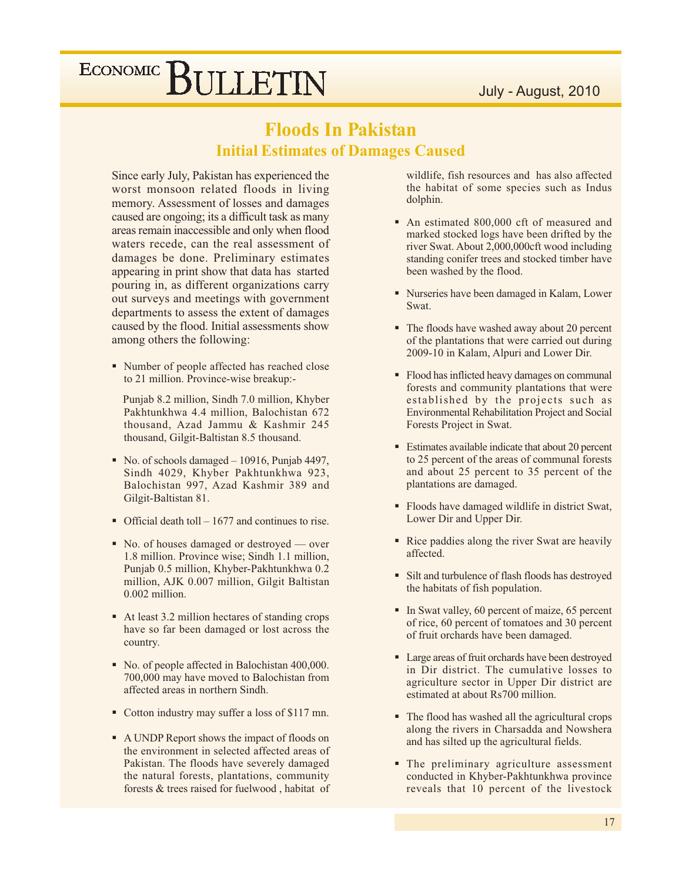### **Floods In Pakistan Initial Estimates of Damages Caused**

Since early July, Pakistan has experienced the worst monsoon related floods in living memory. Assessment of losses and damages caused are ongoing; its a difficult task as many areas remain inaccessible and only when flood waters recede, can the real assessment of damages be done. Preliminary estimates appearing in print show that data has started pouring in, as different organizations carry out surveys and meetings with government departments to assess the extent of damages caused by the flood. Initial assessments show among others the following:

• Number of people affected has reached close to 21 million. Province-wise breakup:-

Punjab 8.2 million, Sindh 7.0 million, Khyber Pakhtunkhwa 4.4 million, Balochistan 672 thousand, Azad Jammu & Kashmir 245 thousand, Gilgit-Baltistan 8.5 thousand.

- No. of schools damaged  $-10916$ , Punjab 4497, Sindh 4029, Khyber Pakhtunkhwa 923, Balochistan 997, Azad Kashmir 389 and Gilgit-Baltistan 81.
- Official death toll  $1677$  and continues to rise.
- No. of houses damaged or destroyed over 1.8 million. Province wise; Sindh 1.1 million, Punjab 0.5 million, Khyber-Pakhtunkhwa 0.2 million, AJK 0.007 million, Gilgit Baltistan  $0.002$  million.
- At least 3.2 million hectares of standing crops have so far been damaged or lost across the country.
- No. of people affected in Balochistan 400,000. 700,000 may have moved to Balochistan from affected areas in northern Sindh.
- Cotton industry may suffer a loss of \$117 mn.
- A UNDP Report shows the impact of floods on the environment in selected affected areas of Pakistan. The floods have severely damaged the natural forests, plantations, community forests & trees raised for fuelwood, habitat of

wildlife, fish resources and has also affected the habitat of some species such as Indus dolphin.

- An estimated 800,000 cft of measured and marked stocked logs have been drifted by the river Swat. About 2,000,000cft wood including standing conifer trees and stocked timber have been washed by the flood.
- Nurseries have been damaged in Kalam, Lower Swat.
- The floods have washed away about 20 percent of the plantations that were carried out during 2009-10 in Kalam, Alpuri and Lower Dir.
- Flood has inflicted heavy damages on communal forests and community plantations that were established by the projects such as **Environmental Rehabilitation Project and Social** Forests Project in Swat.
- Estimates available indicate that about 20 percent to 25 percent of the areas of communal forests and about 25 percent to 35 percent of the plantations are damaged.
- Floods have damaged wildlife in district Swat, Lower Dir and Upper Dir.
- Rice paddies along the river Swat are heavily affected.
- Silt and turbulence of flash floods has destroyed the habitats of fish population.
- In Swat valley, 60 percent of maize, 65 percent of rice, 60 percent of tomatoes and 30 percent of fruit orchards have been damaged.
- Large areas of fruit orchards have been destroyed in Dir district. The cumulative losses to agriculture sector in Upper Dir district are estimated at about Rs700 million.
- The flood has washed all the agricultural crops along the rivers in Charsadda and Nowshera and has silted up the agricultural fields.
- The preliminary agriculture assessment conducted in Khyber-Pakhtunkhwa province reveals that 10 percent of the livestock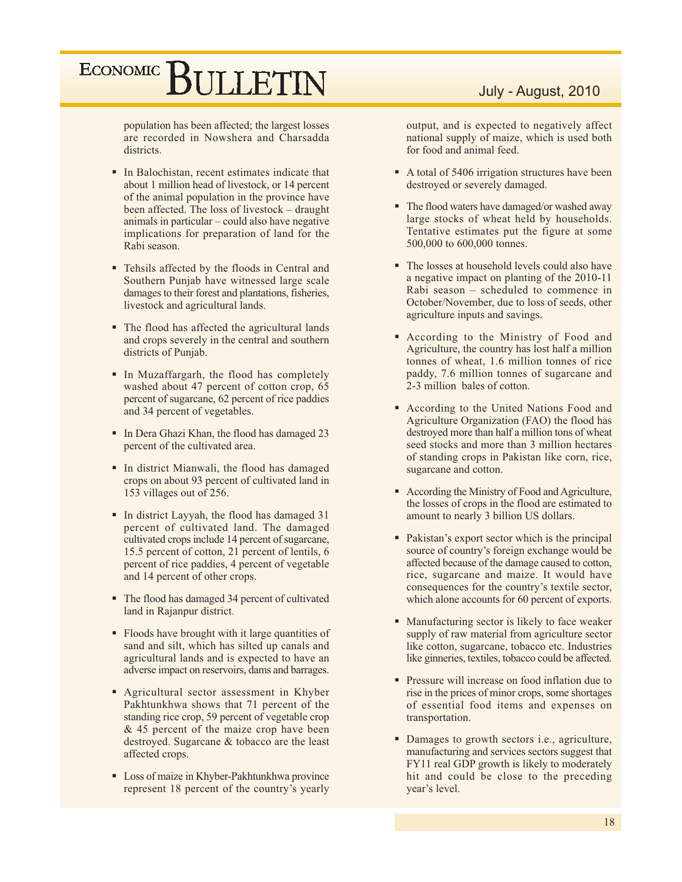population has been affected; the largest losses are recorded in Nowshera and Charsadda districts.

- In Balochistan, recent estimates indicate that about 1 million head of livestock, or 14 percent of the animal population in the province have been affected. The loss of livestock – draught animals in particular – could also have negative implications for preparation of land for the Rabi season.
- Tehsils affected by the floods in Central and Southern Punjab have witnessed large scale damages to their forest and plantations, fisheries, livestock and agricultural lands.
- The flood has affected the agricultural lands and crops severely in the central and southern districts of Punjab.
- In Muzaffargarh, the flood has completely washed about 47 percent of cotton crop, 65 percent of sugarcane, 62 percent of rice paddies and 34 percent of vegetables.
- In Dera Ghazi Khan, the flood has damaged 23 percent of the cultivated area.
- In district Mianwali, the flood has damaged crops on about 93 percent of cultivated land in 153 villages out of 256.
- In district Layyah, the flood has damaged 31 percent of cultivated land. The damaged cultivated crops include 14 percent of sugarcane, 15.5 percent of cotton, 21 percent of lentils, 6 percent of rice paddies, 4 percent of vegetable and 14 percent of other crops.
- The flood has damaged 34 percent of cultivated land in Rajanpur district.
- Floods have brought with it large quantities of sand and silt, which has silted up canals and agricultural lands and is expected to have an adverse impact on reservoirs, dams and barrages.
- Agricultural sector assessment in Khyber Pakhtunkhwa shows that 71 percent of the standing rice crop, 59 percent of vegetable crop & 45 percent of the maize crop have been destroyed. Sugarcane & tobacco are the least affected crops.
- Loss of maize in Khyber-Pakhtunkhwa province represent 18 percent of the country's yearly

#### July - August, 2010

output, and is expected to negatively affect national supply of maize, which is used both for food and animal feed.

- A total of 5406 irrigation structures have been destroyed or severely damaged.
- The flood waters have damaged/or washed away large stocks of wheat held by households. Tentative estimates put the figure at some 500,000 to 600,000 tonnes.
- The losses at household levels could also have a negative impact on planting of the 2010-11 Rabi season - scheduled to commence in October/November, due to loss of seeds, other agriculture inputs and savings.
- According to the Ministry of Food and Agriculture, the country has lost half a million tonnes of wheat, 1.6 million tonnes of rice paddy, 7.6 million tonnes of sugarcane and 2-3 million bales of cotton.
- According to the United Nations Food and Agriculture Organization (FAO) the flood has destroyed more than half a million tons of wheat seed stocks and more than 3 million hectares of standing crops in Pakistan like corn, rice, sugarcane and cotton.
- According the Ministry of Food and Agriculture, the losses of crops in the flood are estimated to amount to nearly 3 billion US dollars.
- Pakistan's export sector which is the principal source of country's foreign exchange would be affected because of the damage caused to cotton, rice, sugarcane and maize. It would have consequences for the country's textile sector, which alone accounts for 60 percent of exports.
- Manufacturing sector is likely to face weaker supply of raw material from agriculture sector like cotton, sugarcane, tobacco etc. Industries like ginneries, textiles, tobacco could be affected.
- Pressure will increase on food inflation due to rise in the prices of minor crops, some shortages of essential food items and expenses on transportation.
- Damages to growth sectors i.e., agriculture, manufacturing and services sectors suggest that FY11 real GDP growth is likely to moderately hit and could be close to the preceding year's level.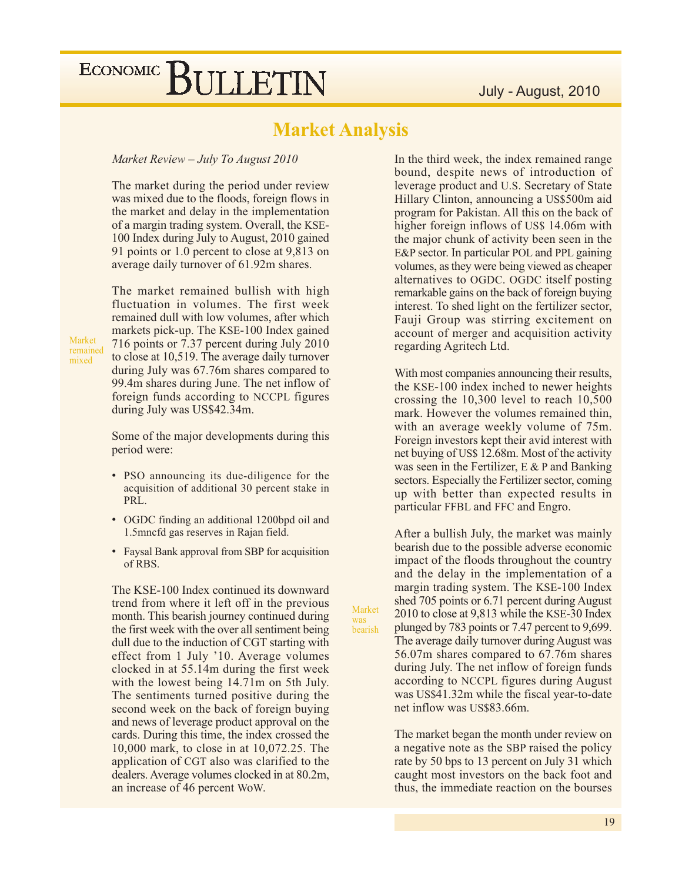### **Market Analysis**

Market

bearish

was

#### Market Review - July To August 2010

The market during the period under review was mixed due to the floods, foreign flows in the market and delay in the implementation of a margin trading system. Overall, the KSE-100 Index during July to August, 2010 gained 91 points or 1.0 percent to close at 9,813 on average daily turnover of 61.92m shares.

The market remained bullish with high fluctuation in volumes. The first week remained dull with low volumes, after which markets pick-up. The KSE-100 Index gained 716 points or 7.37 percent during July 2010 to close at 10,519. The average daily turnover during July was 67.76m shares compared to 99.4m shares during June. The net inflow of foreign funds according to NCCPL figures during July was US\$42.34m.

Market

mixed

remained

Some of the major developments during this period were:

- PSO announcing its due-diligence for the acquisition of additional 30 percent stake in PRL.
- OGDC finding an additional 1200bpd oil and 1.5mncfd gas reserves in Rajan field.
- Faysal Bank approval from SBP for acquisition of RBS.

The KSE-100 Index continued its downward trend from where it left off in the previous month. This bearish journey continued during the first week with the over all sentiment being dull due to the induction of CGT starting with effect from 1 July '10. Average volumes clocked in at 55.14m during the first week with the lowest being 14.71m on 5th July. The sentiments turned positive during the second week on the back of foreign buying and news of leverage product approval on the cards. During this time, the index crossed the 10,000 mark, to close in at 10,072.25. The application of CGT also was clarified to the dealers. Average volumes clocked in at 80.2m, an increase of 46 percent WoW.

In the third week, the index remained range bound, despite news of introduction of leverage product and U.S. Secretary of State Hillary Clinton, announcing a US\$500m aid program for Pakistan. All this on the back of higher foreign inflows of US\$ 14.06m with the major chunk of activity been seen in the E&P sector. In particular POL and PPL gaining volumes, as they were being viewed as cheaper alternatives to OGDC. OGDC itself posting remarkable gains on the back of foreign buying interest. To shed light on the fertilizer sector, Fauji Group was stirring excitement on account of merger and acquisition activity regarding Agritech Ltd.

With most companies announcing their results, the KSE-100 index inched to newer heights crossing the  $10,300$  level to reach  $10,500$ mark. However the volumes remained thin, with an average weekly volume of 75m. Foreign investors kept their avid interest with net buying of US\$ 12.68m. Most of the activity was seen in the Fertilizer,  $E \& P$  and Banking sectors. Especially the Fertilizer sector, coming up with better than expected results in particular FFBL and FFC and Engro.

After a bullish July, the market was mainly bearish due to the possible adverse economic impact of the floods throughout the country and the delay in the implementation of a margin trading system. The KSE-100 Index shed 705 points or 6.71 percent during August 2010 to close at 9,813 while the KSE-30 Index plunged by 783 points or 7.47 percent to 9,699. The average daily turnover during August was 56.07m shares compared to 67.76m shares during July. The net inflow of foreign funds according to NCCPL figures during August was US\$41.32m while the fiscal year-to-date net inflow was US\$83.66m.

The market began the month under review on a negative note as the SBP raised the policy rate by 50 bps to 13 percent on July 31 which caught most investors on the back foot and thus, the immediate reaction on the bourses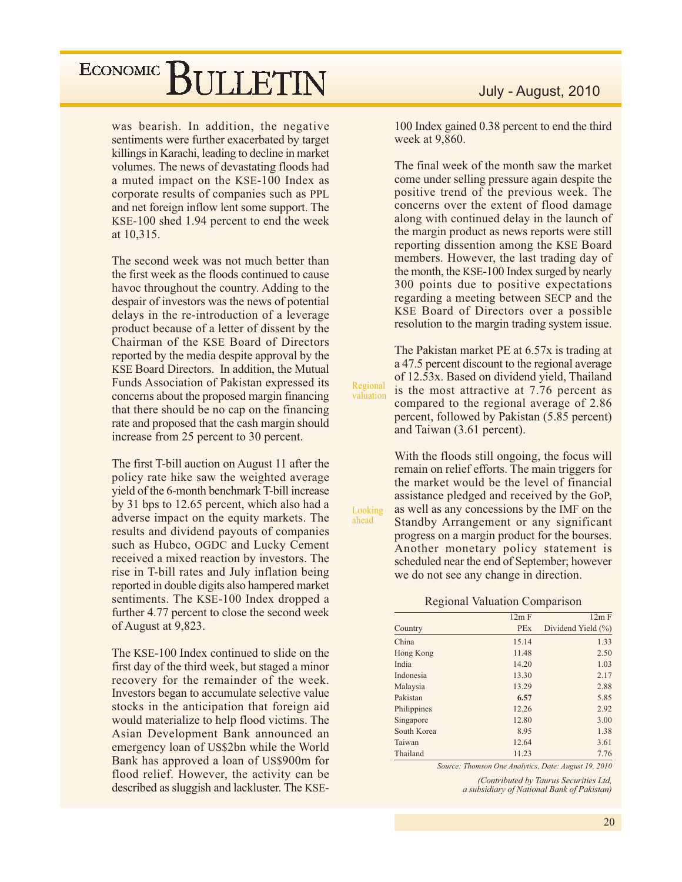was bearish. In addition, the negative sentiments were further exacerbated by target killings in Karachi, leading to decline in market volumes. The news of devastating floods had a muted impact on the KSE-100 Index as corporate results of companies such as PPL and net foreign inflow lent some support. The KSE-100 shed 1.94 percent to end the week at 10,315.

The second week was not much better than the first week as the floods continued to cause havoc throughout the country. Adding to the despair of investors was the news of potential delays in the re-introduction of a leverage product because of a letter of dissent by the Chairman of the KSE Board of Directors reported by the media despite approval by the KSE Board Directors. In addition, the Mutual Funds Association of Pakistan expressed its concerns about the proposed margin financing that there should be no cap on the financing rate and proposed that the cash margin should increase from 25 percent to 30 percent.

The first T-bill auction on August 11 after the policy rate hike saw the weighted average yield of the 6-month benchmark T-bill increase by 31 bps to 12.65 percent, which also had a adverse impact on the equity markets. The results and dividend payouts of companies such as Hubco, OGDC and Lucky Cement received a mixed reaction by investors. The rise in T-bill rates and July inflation being reported in double digits also hampered market sentiments. The KSE-100 Index dropped a further 4.77 percent to close the second week of August at 9,823.

The KSE-100 Index continued to slide on the first day of the third week, but staged a minor recovery for the remainder of the week. Investors began to accumulate selective value stocks in the anticipation that foreign aid would materialize to help flood victims. The Asian Development Bank announced an emergency loan of US\$2bn while the World Bank has approved a loan of US\$900m for flood relief. However, the activity can be described as sluggish and lackluster. The KSE-

100 Index gained 0.38 percent to end the third week at 9,860.

The final week of the month saw the market come under selling pressure again despite the positive trend of the previous week. The concerns over the extent of flood damage along with continued delay in the launch of the margin product as news reports were still reporting dissention among the KSE Board members. However, the last trading day of the month, the KSE-100 Index surged by nearly 300 points due to positive expectations regarding a meeting between SECP and the KSE Board of Directors over a possible resolution to the margin trading system issue.

The Pakistan market PE at 6.57x is trading at a 47.5 percent discount to the regional average of 12.53x. Based on dividend yield, Thailand is the most attractive at 7.76 percent as compared to the regional average of 2.86 percent, followed by Pakistan (5.85 percent) and Taiwan (3.61 percent).

Regional

valuation

Looking

ahead

With the floods still ongoing, the focus will remain on relief efforts. The main triggers for the market would be the level of financial assistance pledged and received by the GoP, as well as any concessions by the IMF on the Standby Arrangement or any significant progress on a margin product for the bourses. Another monetary policy statement is scheduled near the end of September; however we do not see any change in direction.

#### **Regional Valuation Comparison**

|             | 12m F      | 12m F              |
|-------------|------------|--------------------|
| Country     | <b>PEx</b> | Dividend Yield (%) |
| China       | 15.14      | 1.33               |
| Hong Kong   | 11.48      | 2.50               |
| India       | 14.20      | 1.03               |
| Indonesia   | 13.30      | 2.17               |
| Malaysia    | 13.29      | 2.88               |
| Pakistan    | 6.57       | 5.85               |
| Philippines | 12.26      | 2.92               |
| Singapore   | 12.80      | 3.00               |
| South Korea | 8.95       | 1.38               |
| Taiwan      | 12.64      | 3.61               |
| Thailand    | 11.23      | 7.76               |

Source: Thomson One Analytics, Date: August 19, 2010

(Contributed by Taurus Securities Ltd, a subsidiary of National Bank of Pakistan)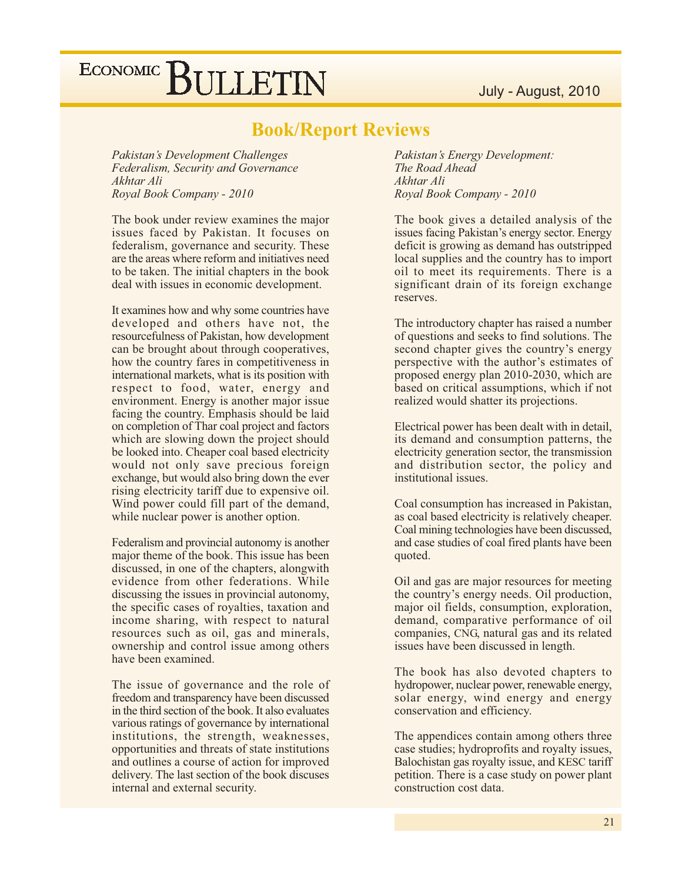#### July - August, 2010

# ECONOMIC BULLETIN

### **Book/Report Reviews**

Pakistan's Development Challenges Federalism, Security and Governance Akhtar Ali Royal Book Company - 2010

The book under review examines the major issues faced by Pakistan. It focuses on federalism, governance and security. These are the areas where reform and initiatives need to be taken. The initial chapters in the book deal with issues in economic development.

It examines how and why some countries have developed and others have not, the resourcefulness of Pakistan, how development can be brought about through cooperatives, how the country fares in competitiveness in international markets, what is its position with respect to food, water, energy and environment. Energy is another major issue facing the country. Emphasis should be laid on completion of Thar coal project and factors which are slowing down the project should be looked into. Cheaper coal based electricity would not only save precious foreign exchange, but would also bring down the ever rising electricity tariff due to expensive oil. Wind power could fill part of the demand, while nuclear power is another option.

Federalism and provincial autonomy is another major theme of the book. This issue has been discussed, in one of the chapters, alongwith evidence from other federations. While discussing the issues in provincial autonomy, the specific cases of royalties, taxation and income sharing, with respect to natural resources such as oil, gas and minerals, ownership and control issue among others have been examined.

The issue of governance and the role of freedom and transparency have been discussed in the third section of the book. It also evaluates various ratings of governance by international institutions, the strength, weaknesses, opportunities and threats of state institutions and outlines a course of action for improved delivery. The last section of the book discuses internal and external security.

Pakistan's Energy Development: The Road Ahead Akhtar Ali Royal Book Company - 2010

The book gives a detailed analysis of the issues facing Pakistan's energy sector. Energy deficit is growing as demand has outstripped local supplies and the country has to import oil to meet its requirements. There is a significant drain of its foreign exchange reserves.

The introductory chapter has raised a number of questions and seeks to find solutions. The second chapter gives the country's energy perspective with the author's estimates of proposed energy plan 2010-2030, which are based on critical assumptions, which if not realized would shatter its projections.

Electrical power has been dealt with in detail, its demand and consumption patterns, the electricity generation sector, the transmission and distribution sector, the policy and institutional issues.

Coal consumption has increased in Pakistan, as coal based electricity is relatively cheaper. Coal mining technologies have been discussed, and case studies of coal fired plants have been quoted.

Oil and gas are major resources for meeting the country's energy needs. Oil production, major oil fields, consumption, exploration, demand, comparative performance of oil companies, CNG, natural gas and its related issues have been discussed in length.

The book has also devoted chapters to hydropower, nuclear power, renewable energy, solar energy, wind energy and energy conservation and efficiency.

The appendices contain among others three case studies; hydroprofits and royalty issues, Balochistan gas royalty issue, and KESC tariff petition. There is a case study on power plant construction cost data.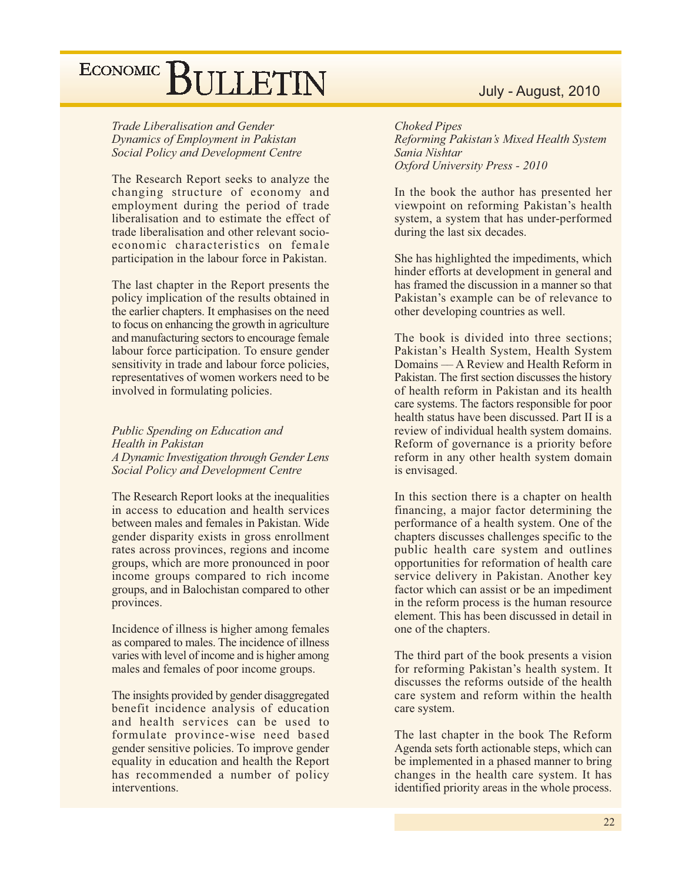Trade Liberalisation and Gender Dynamics of Employment in Pakistan Social Policy and Development Centre

The Research Report seeks to analyze the changing structure of economy and employment during the period of trade liberalisation and to estimate the effect of trade liberalisation and other relevant socioeconomic characteristics on female participation in the labour force in Pakistan.

The last chapter in the Report presents the policy implication of the results obtained in the earlier chapters. It emphasises on the need to focus on enhancing the growth in agriculture and manufacturing sectors to encourage female labour force participation. To ensure gender sensitivity in trade and labour force policies, representatives of women workers need to be involved in formulating policies.

Public Spending on Education and Health in Pakistan A Dynamic Investigation through Gender Lens Social Policy and Development Centre

The Research Report looks at the inequalities in access to education and health services between males and females in Pakistan, Wide gender disparity exists in gross enrollment rates across provinces, regions and income groups, which are more pronounced in poor income groups compared to rich income groups, and in Balochistan compared to other provinces.

Incidence of illness is higher among females as compared to males. The incidence of illness varies with level of income and is higher among males and females of poor income groups.

The insights provided by gender disaggregated benefit incidence analysis of education and health services can be used to formulate province-wise need based gender sensitive policies. To improve gender equality in education and health the Report has recommended a number of policy interventions.

### July - August, 2010

**Choked Pipes** Reforming Pakistan's Mixed Health System Sania Nishtar Oxford University Press - 2010

In the book the author has presented her viewpoint on reforming Pakistan's health system, a system that has under-performed during the last six decades.

She has highlighted the impediments, which hinder efforts at development in general and has framed the discussion in a manner so that Pakistan's example can be of relevance to other developing countries as well.

The book is divided into three sections; Pakistan's Health System, Health System Domains — A Review and Health Reform in Pakistan. The first section discusses the history of health reform in Pakistan and its health care systems. The factors responsible for poor health status have been discussed. Part II is a review of individual health system domains. Reform of governance is a priority before reform in any other health system domain is envisaged.

In this section there is a chapter on health financing, a major factor determining the performance of a health system. One of the chapters discusses challenges specific to the public health care system and outlines opportunities for reformation of health care service delivery in Pakistan. Another key factor which can assist or be an impediment in the reform process is the human resource element. This has been discussed in detail in one of the chapters.

The third part of the book presents a vision for reforming Pakistan's health system. It discusses the reforms outside of the health care system and reform within the health care system.

The last chapter in the book The Reform Agenda sets forth actionable steps, which can be implemented in a phased manner to bring changes in the health care system. It has identified priority areas in the whole process.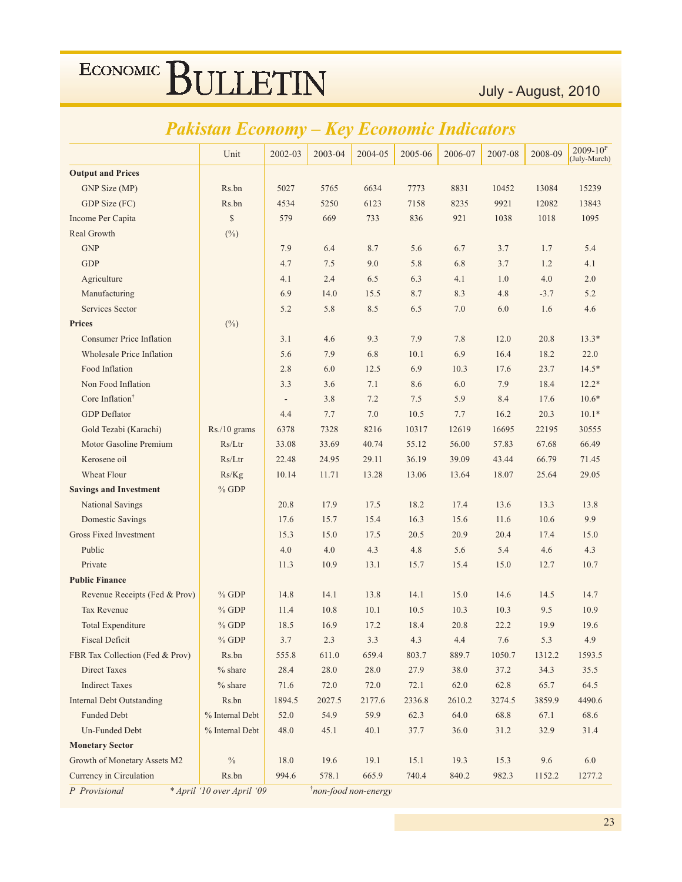### Pakistan Economy - Key Economic Indicators

|                                  | Unit            | 2002-03                  | 2003-04 | 2004-05 | 2005-06 | 2006-07 | 2007-08 | 2008-09 | $2009 - 10^{P}$<br>(July-March) |
|----------------------------------|-----------------|--------------------------|---------|---------|---------|---------|---------|---------|---------------------------------|
| <b>Output and Prices</b>         |                 |                          |         |         |         |         |         |         |                                 |
| GNP Size (MP)                    | Rs.bn           | 5027                     | 5765    | 6634    | 7773    | 8831    | 10452   | 13084   | 15239                           |
| GDP Size (FC)                    | Rs.bn           | 4534                     | 5250    | 6123    | 7158    | 8235    | 9921    | 12082   | 13843                           |
| Income Per Capita                | $\mathbb{S}$    | 579                      | 669     | 733     | 836     | 921     | 1038    | 1018    | 1095                            |
| Real Growth                      | $(^{0}_{0})$    |                          |         |         |         |         |         |         |                                 |
| <b>GNP</b>                       |                 | 7.9                      | 6.4     | 8.7     | 5.6     | 6.7     | 3.7     | 1.7     | 5.4                             |
| <b>GDP</b>                       |                 | 4.7                      | 7.5     | 9.0     | 5.8     | 6.8     | 3.7     | 1.2     | 4.1                             |
| Agriculture                      |                 | 4.1                      | 2.4     | 6.5     | 6.3     | 4.1     | 1.0     | 4.0     | 2.0                             |
| Manufacturing                    |                 | 6.9                      | 14.0    | 15.5    | 8.7     | 8.3     | 4.8     | $-3.7$  | 5.2                             |
| Services Sector                  |                 | 5.2                      | 5.8     | 8.5     | 6.5     | 7.0     | 6.0     | 1.6     | 4.6                             |
| <b>Prices</b>                    | (%)             |                          |         |         |         |         |         |         |                                 |
| <b>Consumer Price Inflation</b>  |                 | 3.1                      | 4.6     | 9.3     | 7.9     | 7.8     | 12.0    | 20.8    | $13.3*$                         |
| <b>Wholesale Price Inflation</b> |                 | 5.6                      | 7.9     | 6.8     | 10.1    | 6.9     | 16.4    | 18.2    | 22.0                            |
| Food Inflation                   |                 | 2.8                      | 6.0     | 12.5    | 6.9     | 10.3    | 17.6    | 23.7    | $14.5*$                         |
| Non Food Inflation               |                 | 3.3                      | 3.6     | 7.1     | 8.6     | 6.0     | 7.9     | 18.4    | $12.2*$                         |
| Core Inflation <sup>†</sup>      |                 | $\overline{\phantom{a}}$ | 3.8     | 7.2     | 7.5     | 5.9     | 8.4     | 17.6    | $10.6*$                         |
| <b>GDP</b> Deflator              |                 | 4.4                      | 7.7     | 7.0     | 10.5    | 7.7     | 16.2    | 20.3    | $10.1*$                         |
| Gold Tezabi (Karachi)            | Rs./10 grams    | 6378                     | 7328    | 8216    | 10317   | 12619   | 16695   | 22195   | 30555                           |
| Motor Gasoline Premium           | Rs/Ltr          | 33.08                    | 33.69   | 40.74   | 55.12   | 56.00   | 57.83   | 67.68   | 66.49                           |
| Kerosene oil                     | Rs/Ltr          | 22.48                    | 24.95   | 29.11   | 36.19   | 39.09   | 43.44   | 66.79   | 71.45                           |
| Wheat Flour                      | Rs/Kg           | 10.14                    | 11.71   | 13.28   | 13.06   | 13.64   | 18.07   | 25.64   | 29.05                           |
| <b>Savings and Investment</b>    | $%$ GDP         |                          |         |         |         |         |         |         |                                 |
| <b>National Savings</b>          |                 | 20.8                     | 17.9    | 17.5    | 18.2    | 17.4    | 13.6    | 13.3    | 13.8                            |
| <b>Domestic Savings</b>          |                 | 17.6                     | 15.7    | 15.4    | 16.3    | 15.6    | 11.6    | 10.6    | 9.9                             |
| <b>Gross Fixed Investment</b>    |                 | 15.3                     | 15.0    | 17.5    | 20.5    | 20.9    | 20.4    | 17.4    | 15.0                            |
| Public                           |                 | 4.0                      | 4.0     | 4.3     | 4.8     | 5.6     | 5.4     | 4.6     | 4.3                             |
| Private                          |                 | 11.3                     | 10.9    | 13.1    | 15.7    | 15.4    | 15.0    | 12.7    | 10.7                            |
| <b>Public Finance</b>            |                 |                          |         |         |         |         |         |         |                                 |
| Revenue Receipts (Fed & Prov)    | $%$ GDP         | 14.8                     | 14.1    | 13.8    | 14.1    | 15.0    | 14.6    | 14.5    | 14.7                            |
| <b>Tax Revenue</b>               | $%$ GDP         | 11.4                     | 10.8    | 10.1    | 10.5    | 10.3    | 10.3    | 9.5     | 10.9                            |
| <b>Total Expenditure</b>         | $%$ GDP         | 18.5                     | 16.9    | 17.2    | 18.4    | 20.8    | 22.2    | 19.9    | 19.6                            |
| <b>Fiscal Deficit</b>            | $%$ GDP         | 3.7                      | 2.3     | 3.3     | 4.3     | 4.4     | 7.6     | 5.3     | 4.9                             |
| FBR Tax Collection (Fed & Prov)  | Rs.bn           | 555.8                    | 611.0   | 659.4   | 803.7   | 889.7   | 1050.7  | 1312.2  | 1593.5                          |
| <b>Direct Taxes</b>              | $%$ share       | 28.4                     | 28.0    | 28.0    | 27.9    | 38.0    | 37.2    | 34.3    | 35.5                            |
| <b>Indirect Taxes</b>            | $%$ share       | 71.6                     | 72.0    | 72.0    | 72.1    | 62.0    | 62.8    | 65.7    | 64.5                            |
| <b>Internal Debt Outstanding</b> | Rs.bn           | 1894.5                   | 2027.5  | 2177.6  | 2336.8  | 2610.2  | 3274.5  | 3859.9  | 4490.6                          |
| <b>Funded Debt</b>               | % Internal Debt | 52.0                     | 54.9    | 59.9    | 62.3    | 64.0    | 68.8    | 67.1    | 68.6                            |
| Un-Funded Debt                   | % Internal Debt | 48.0                     | 45.1    | 40.1    | 37.7    | 36.0    | 31.2    | 32.9    | 31.4                            |
| <b>Monetary Sector</b>           |                 |                          |         |         |         |         |         |         |                                 |
| Growth of Monetary Assets M2     | $\%$            | 18.0                     | 19.6    | 19.1    | 15.1    | 19.3    | 15.3    | 9.6     | 6.0                             |
| Currency in Circulation          | Rs.bn           | 994.6                    | 578.1   | 665.9   | 740.4   | 840.2   | 982.3   | 1152.2  | 1277.2                          |

P Provisional

\* April '10 over April '09

*inon-food non-energy*